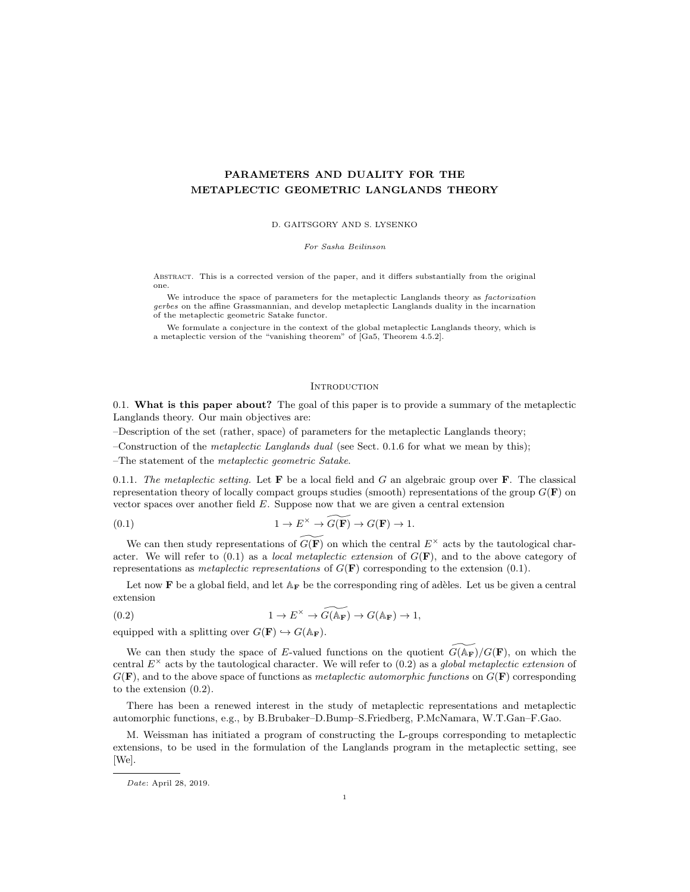# PARAMETERS AND DUALITY FOR THE METAPLECTIC GEOMETRIC LANGLANDS THEORY

D. GAITSGORY AND S. LYSENKO

For Sasha Beilinson

Abstract. This is a corrected version of the paper, and it differs substantially from the original one.

We introduce the space of parameters for the metaplectic Langlands theory as factorization gerbes on the affine Grassmannian, and develop metaplectic Langlands duality in the incarnation of the metaplectic geometric Satake functor.

We formulate a conjecture in the context of the global metaplectic Langlands theory, which is a metaplectic version of the "vanishing theorem" of [Ga5, Theorem 4.5.2].

#### **INTRODUCTION**

0.1. What is this paper about? The goal of this paper is to provide a summary of the metaplectic Langlands theory. Our main objectives are:

–Description of the set (rather, space) of parameters for the metaplectic Langlands theory;

–Construction of the *metaplectic Langlands dual* (see Sect. 0.1.6 for what we mean by this);

–The statement of the metaplectic geometric Satake.

0.1.1. The metaplectic setting. Let  $F$  be a local field and G an algebraic group over  $F$ . The classical representation theory of locally compact groups studies (smooth) representations of the group  $G(\mathbf{F})$  on vector spaces over another field  $E$ . Suppose now that we are given a central extension

(0.1) 
$$
1 \to E^{\times} \to \widetilde{G(\mathbf{F})} \to G(\mathbf{F}) \to 1.
$$

We can then study representations of  $\widetilde{G(\mathbf{F})}$  on which the central  $E^{\times}$  acts by the tautological character. We will refer to  $(0.1)$  as a *local metaplectic extension* of  $G(\mathbf{F})$ , and to the above category of representations as *metaplectic representations* of  $G(\mathbf{F})$  corresponding to the extension (0.1).

Let now F be a global field, and let  $A_F$  be the corresponding ring of adèles. Let us be given a central extension

(0.2) 
$$
1 \to E^{\times} \to \widetilde{G(\mathbb{A}_{\mathbf{F}})} \to G(\mathbb{A}_{\mathbf{F}}) \to 1,
$$

equipped with a splitting over  $G(\mathbf{F}) \hookrightarrow G(\mathbb{A}_{\mathbf{F}})$ .

We can then study the space of E-valued functions on the quotient  $G(\mathbb{A}_{\mathbf{F}})/G(\mathbf{F})$ , on which the central  $E^{\times}$  acts by the tautological character. We will refer to (0.2) as a global metaplectic extension of  $G(\mathbf{F})$ , and to the above space of functions as *metaplectic automorphic functions* on  $G(\mathbf{F})$  corresponding to the extension (0.2).

There has been a renewed interest in the study of metaplectic representations and metaplectic automorphic functions, e.g., by B.Brubaker–D.Bump–S.Friedberg, P.McNamara, W.T.Gan–F.Gao.

M. Weissman has initiated a program of constructing the L-groups corresponding to metaplectic extensions, to be used in the formulation of the Langlands program in the metaplectic setting, see [We].

Date: April 28, 2019.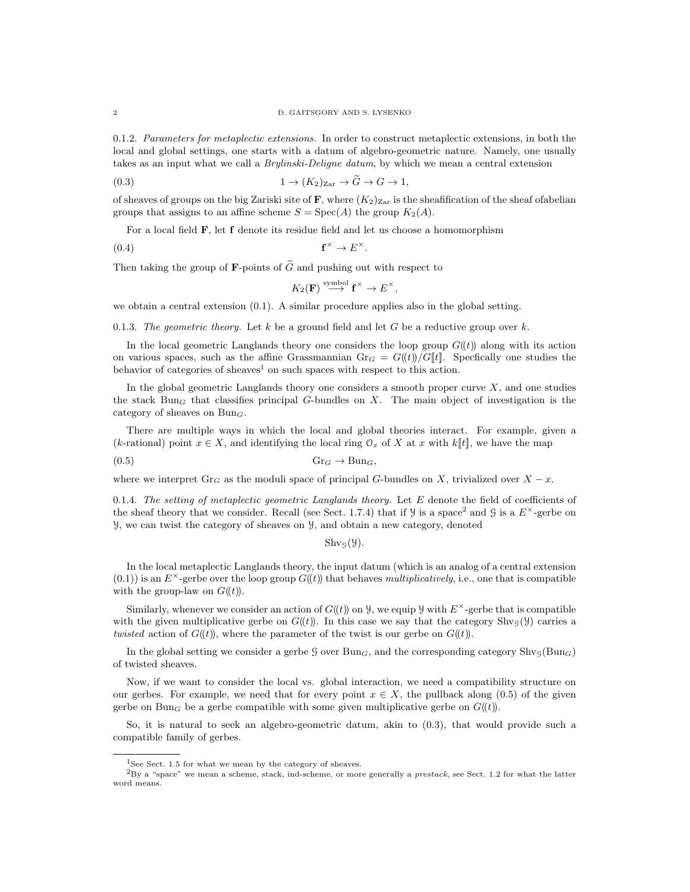0.1.2. Parameters for metaplectic extensions. In order to construct metaplectic extensions, in both the local and global settings, one starts with a datum of algebro-geometric nature. Namely, one usually takes as an input what we call a Brylinski-Deligne datum, by which we mean a central extension

(0.3) 
$$
1 \to (K_2)_{\text{Zar}} \to G \to G \to 1,
$$

of sheaves of groups on the big Zariski site of  $\mathbf{F}$ , where  $(K_2)_{\text{Zar}}$  is the sheafification of the sheaf ofabelian groups that assigns to an affine scheme  $S = \text{Spec}(A)$  the group  $K_2(A)$ .

For a local field F, let f denote its residue field and let us choose a homomorphism

 $(0.4)$  $\begin{aligned} \n\stackrel{\times}{\longrightarrow} E^{\times}. \n\end{aligned}$ 

Then taking the group of **F**-points of  $\widetilde{G}$  and pushing out with respect to

$$
K_2(\mathbf{F}) \stackrel{\text{symbol}}{\longrightarrow} \mathbf{f}^\times \to E^\times,
$$

we obtain a central extension (0.1). A similar procedure applies also in the global setting.

0.1.3. The geometric theory. Let k be a ground field and let G be a reductive group over k.

In the local geometric Langlands theory one considers the loop group  $G(\ell)$  along with its action on various spaces, such as the affine Grassmannian Gr<sub>G</sub> =  $G((t))/G[[t]]$ . Specfically one studies the behavior of categories of sheaves<sup>1</sup> on such spaces with respect to this action.

In the global geometric Langlands theory one considers a smooth proper curve  $X$ , and one studies the stack Bun<sub>G</sub> that classifies principal G-bundles on X. The main object of investigation is the category of sheaves on  $Bun_G$ .

There are multiple ways in which the local and global theories interact. For example, given a (k-rational) point  $x \in X$ , and identifying the local ring  $\mathcal{O}_x$  of X at x with k[t], we have the map

$$
(0.5) \t\t\t Gr_G \to Bun_G,
$$

where we interpret Gr<sub>G</sub> as the moduli space of principal G-bundles on X, trivialized over  $X - x$ .

0.1.4. The setting of metaplectic geometric Langlands theory. Let  $E$  denote the field of coefficients of the sheaf theory that we consider. Recall (see Sect. 1.7.4) that if  $\mathcal{Y}$  is a space<sup>2</sup> and  $\mathcal{G}$  is a  $E^{\times}$ -gerbe on Y, we can twist the category of sheaves on Y, and obtain a new category, denoted

### $\text{Shv}_\mathcal{G}(\mathcal{Y}).$

In the local metaplectic Langlands theory, the input datum (which is an analog of a central extension  $(0.1)$ ) is an  $E^{\times}$ -gerbe over the loop group  $G(t)$  that behaves multiplicatively, i.e., one that is compatible with the group-law on  $G((t))$ .

Similarly, whenever we consider an action of  $G(\mathcal{U})$  on  $\mathcal{Y}$ , we equip  $\mathcal{Y}$  with  $E^{\times}$ -gerbe that is compatible with the given multiplicative gerbe on  $G((t))$ . In this case we say that the category Shv<sub>G</sub>(Y) carries a twisted action of  $G((t))$ , where the parameter of the twist is our gerbe on  $G((t))$ .

In the global setting we consider a gerbe G over  $Bun_G$ , and the corresponding category  $Shv_G(Bun_G)$ of twisted sheaves.

Now, if we want to consider the local vs. global interaction, we need a compatibility structure on our gerbes. For example, we need that for every point  $x \in X$ , the pullback along (0.5) of the given gerbe on Bun<sub>G</sub> be a gerbe compatible with some given multiplicative gerbe on  $G((t))$ .

So, it is natural to seek an algebro-geometric datum, akin to (0.3), that would provide such a compatible family of gerbes.

<sup>&</sup>lt;sup>1</sup>See Sect. 1.5 for what we mean by the category of sheaves.

 $^{2}$ By a "space" we mean a scheme, stack, ind-scheme, or more generally a *prestack*, see Sect. 1.2 for what the latter word means.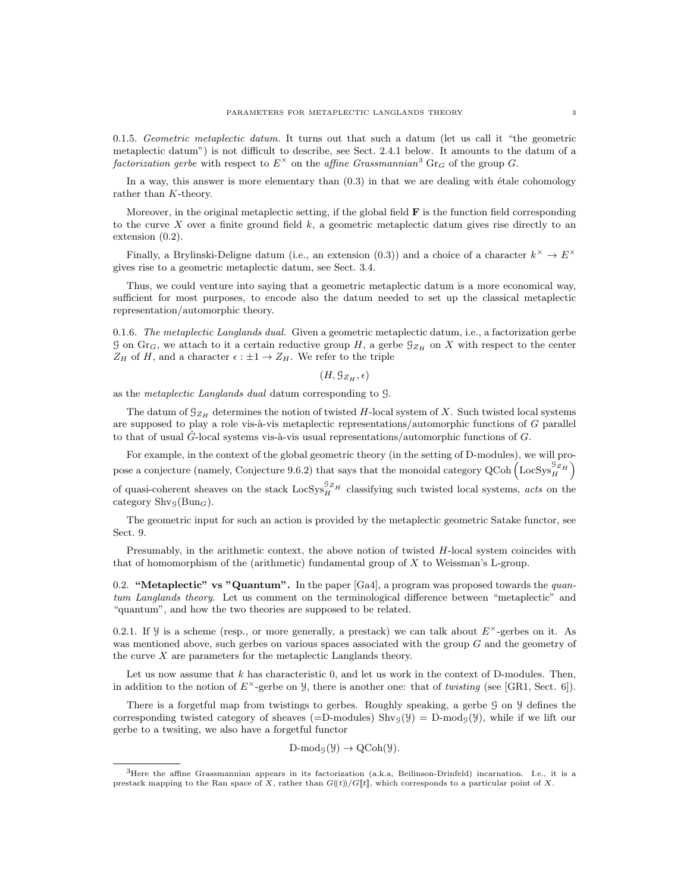0.1.5. Geometric metaplectic datum. It turns out that such a datum (let us call it "the geometric metaplectic datum") is not difficult to describe, see Sect. 2.4.1 below. It amounts to the datum of a factorization gerbe with respect to  $E^{\times}$  on the affine Grassmannian<sup>3</sup> Gr<sub>G</sub> of the group G.

In a way, this answer is more elementary than  $(0.3)$  in that we are dealing with étale cohomology rather than K-theory.

Moreover, in the original metaplectic setting, if the global field  $F$  is the function field corresponding to the curve X over a finite ground field  $k$ , a geometric metaplectic datum gives rise directly to an extension (0.2).

Finally, a Brylinski-Deligne datum (i.e., an extension (0.3)) and a choice of a character  $k^{\times} \to E^{\times}$ gives rise to a geometric metaplectic datum, see Sect. 3.4.

Thus, we could venture into saying that a geometric metaplectic datum is a more economical way, sufficient for most purposes, to encode also the datum needed to set up the classical metaplectic representation/automorphic theory.

0.1.6. The metaplectic Langlands dual. Given a geometric metaplectic datum, i.e., a factorization gerbe G on Gr<sub>G</sub>, we attach to it a certain reductive group H, a gerbe  $\mathcal{G}_{Z_H}$  on X with respect to the center  $Z_H$  of H, and a character  $\epsilon : \pm 1 \to Z_H$ . We refer to the triple

 $(H, \mathcal{G}_{Z_H}, \epsilon)$ 

as the metaplectic Langlands dual datum corresponding to G.

The datum of  $\mathfrak{G}_{Z_H}$  determines the notion of twisted H-local system of X. Such twisted local systems are supposed to play a role vis- $\grave{a}$ -vis metaplectic representations/automorphic functions of G parallel to that of usual  $\tilde{G}$ -local systems vis-à-vis usual representations/automorphic functions of G.

For example, in the context of the global geometric theory (in the setting of D-modules), we will propose a conjecture (namely, Conjecture 9.6.2) that says that the monoidal category QCoh  $\left($  LocSys $_{H}^{S_{ZH}}\right)$ 

of quasi-coherent sheaves on the stack  $\text{LocSys}_{H}^{SZ_{H}}$  classifying such twisted local systems, *acts* on the category  $\text{Shv}_\mathcal{G}(\text{Bun}_G)$ .

The geometric input for such an action is provided by the metaplectic geometric Satake functor, see Sect. 9.

Presumably, in the arithmetic context, the above notion of twisted  $H$ -local system coincides with that of homomorphism of the (arithmetic) fundamental group of  $X$  to Weissman's L-group.

0.2. "Metaplectic" vs "Quantum". In the paper  $[Ga4]$ , a program was proposed towards the *quan*tum Langlands theory. Let us comment on the terminological difference between "metaplectic" and "quantum", and how the two theories are supposed to be related.

0.2.1. If  $\mathcal Y$  is a scheme (resp., or more generally, a prestack) we can talk about  $E^{\times}$ -gerbes on it. As was mentioned above, such gerbes on various spaces associated with the group G and the geometry of the curve  $X$  are parameters for the metaplectic Langlands theory.

Let us now assume that  $k$  has characteristic  $0$ , and let us work in the context of D-modules. Then, in addition to the notion of  $E^{\times}$ -gerbe on y, there is another one: that of twisting (see [GR1, Sect. 6]).

There is a forgetful map from twistings to gerbes. Roughly speaking, a gerbe  $\mathcal G$  on  $\mathcal Y$  defines the corresponding twisted category of sheaves (=D-modules)  $\text{Shv}_S(y) = D\text{-mod}_S(y)$ , while if we lift our gerbe to a twsiting, we also have a forgetful functor

 $D\text{-mod}_{\mathcal{G}}(\mathcal{Y}) \to \text{QCoh}(\mathcal{Y}).$ 

 ${}^{3}$ Here the affine Grassmannian appears in its factorization (a.k.a, Beilinson-Drinfeld) incarnation. I.e., it is a prestack mapping to the Ran space of X, rather than  $G(\!(t)\!)/G[\![t]\!]$ , which corresponds to a particular point of X.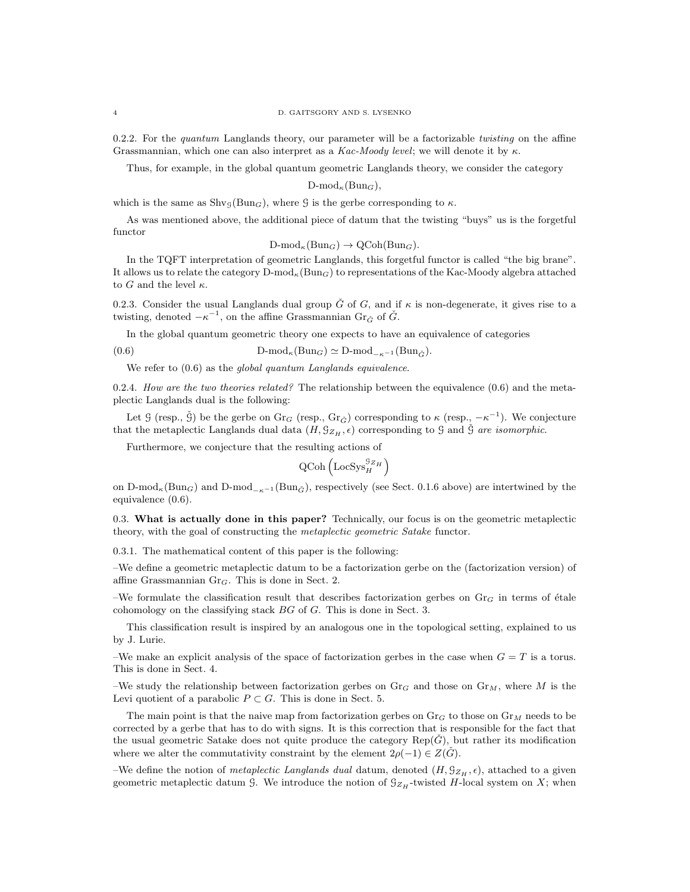0.2.2. For the *quantum* Langlands theory, our parameter will be a factorizable *twisting* on the affine Grassmannian, which one can also interpret as a Kac-Moody level; we will denote it by  $\kappa$ .

Thus, for example, in the global quantum geometric Langlands theory, we consider the category

 $D\text{-mod}_\kappa(Bun_G),$ 

which is the same as  $\text{Shv}_\mathcal{G}(\text{Bun}_G)$ , where  $\mathcal G$  is the gerbe corresponding to  $\kappa$ .

As was mentioned above, the additional piece of datum that the twisting "buys" us is the forgetful functor

$$
\text{D-mod}_{\kappa}(\text{Bun}_G) \to \text{QCoh}(\text{Bun}_G).
$$

In the TQFT interpretation of geometric Langlands, this forgetful functor is called "the big brane". It allows us to relate the category  $D\text{-mod}_{\kappa}(\text{Bun}_G)$  to representations of the Kac-Moody algebra attached to G and the level  $\kappa$ .

0.2.3. Consider the usual Langlands dual group  $\check{G}$  of  $G$ , and if  $\kappa$  is non-degenerate, it gives rise to a twisting, denoted  $-\kappa^{-1}$ , on the affine Grassmannian Gr<sub> $\check{G}$ </sub> of  $\check{G}$ .

In the global quantum geometric theory one expects to have an equivalence of categories

(0.6) D-mod<sub> $\kappa$ </sub>(Bun<sub>G</sub>)  $\simeq$  D-mod<sub>- $\kappa$ </sub>-1 (Bun<sub>G</sub><sup> $\kappa$ </sup>).

We refer to  $(0.6)$  as the global quantum Langlands equivalence.

0.2.4. How are the two theories related? The relationship between the equivalence  $(0.6)$  and the metaplectic Langlands dual is the following:

Let G (resp.,  $\check{G}$ ) be the gerbe on  $\text{Gr}_G$  (resp.,  $\text{Gr}_{\check{G}}$ ) corresponding to  $\kappa$  (resp.,  $-\kappa^{-1}$ ). We conjecture that the metaplectic Langlands dual data  $(H, \mathcal{G}_{Z_H}, \epsilon)$  corresponding to  $\mathcal G$  and  $\check{\mathcal G}$  are isomorphic.

Furthermore, we conjecture that the resulting actions of

$$
\text{QCoh}\left(\text{LocSys}_{H}^{\mathcal{G}_{Z_{H}}}\right)
$$

on D-mod<sub> $\kappa$ </sub>(Bun<sub>G</sub>) and D-mod<sub> $-\kappa$ </sub>-1 (Bun<sub>G</sub><sup>)</sup>), respectively (see Sect. 0.1.6 above) are intertwined by the equivalence (0.6).

0.3. What is actually done in this paper? Technically, our focus is on the geometric metaplectic theory, with the goal of constructing the metaplectic geometric Satake functor.

0.3.1. The mathematical content of this paper is the following:

–We define a geometric metaplectic datum to be a factorization gerbe on the (factorization version) of affine Grassmannian Gr<sub>G</sub>. This is done in Sect. 2.

–We formulate the classification result that describes factorization gerbes on  $\text{Gr}_G$  in terms of étale cohomology on the classifying stack BG of G. This is done in Sect. 3.

This classification result is inspired by an analogous one in the topological setting, explained to us by J. Lurie.

–We make an explicit analysis of the space of factorization gerbes in the case when  $G = T$  is a torus. This is done in Sect. 4.

–We study the relationship between factorization gerbes on  $\text{Gr}_G$  and those on  $\text{Gr}_M$ , where M is the Levi quotient of a parabolic  $P \subset G$ . This is done in Sect. 5.

The main point is that the naive map from factorization gerbes on  $\text{Gr}_G$  to those on  $\text{Gr}_M$  needs to be corrected by a gerbe that has to do with signs. It is this correction that is responsible for the fact that the usual geometric Satake does not quite produce the category  $\text{Rep}(G)$ , but rather its modification where we alter the commutativity constraint by the element  $2\rho(-1) \in Z(G)$ .

–We define the notion of *metaplectic Langlands dual* datum, denoted  $(H, \mathcal{G}_{Z_H}, \epsilon)$ , attached to a given geometric metaplectic datum G. We introduce the notion of  $\mathcal{G}_{Z_H}$ -twisted H-local system on X; when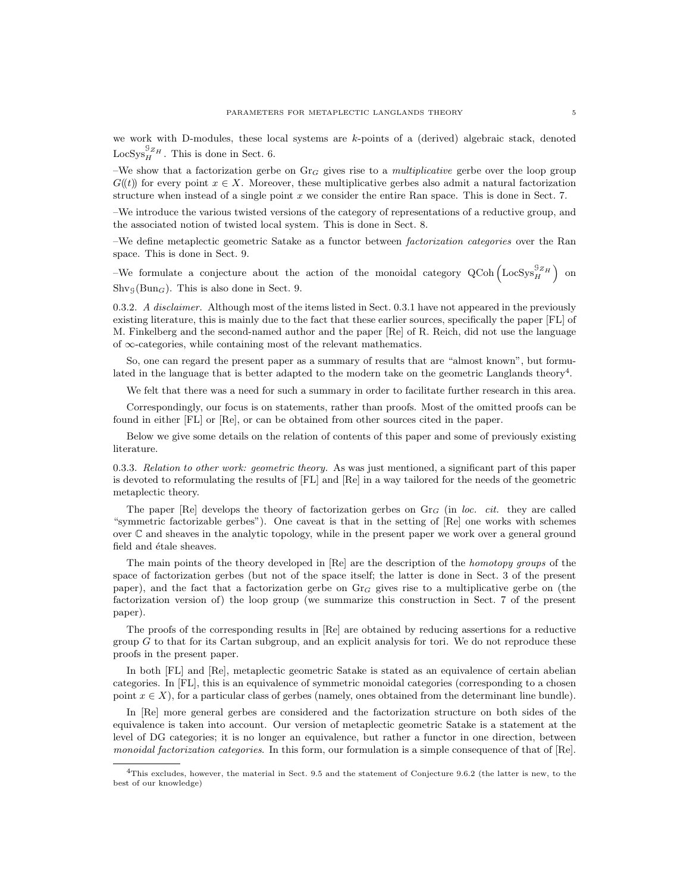we work with D-modules, these local systems are  $k$ -points of a (derived) algebraic stack, denoted  $\text{LocSys}_{H}^{\mathcal{G}_{ZH}}$ . This is done in Sect. 6.

–We show that a factorization gerbe on  $\text{Gr}_G$  gives rise to a *multiplicative* gerbe over the loop group  $G(\ell)$  for every point  $x \in X$ . Moreover, these multiplicative gerbes also admit a natural factorization structure when instead of a single point  $x$  we consider the entire Ran space. This is done in Sect. 7.

–We introduce the various twisted versions of the category of representations of a reductive group, and the associated notion of twisted local system. This is done in Sect. 8.

–We define metaplectic geometric Satake as a functor between factorization categories over the Ran space. This is done in Sect. 9.

-We formulate a conjecture about the action of the monoidal category  $Q\text{Coh}(\text{LocSys}^{\mathcal{G}_{Z}}_{H})$  on  $\text{Shv}_\mathcal{G}(\text{Bun}_G)$ . This is also done in Sect. 9.

0.3.2. A disclaimer. Although most of the items listed in Sect. 0.3.1 have not appeared in the previously existing literature, this is mainly due to the fact that these earlier sources, specifically the paper [FL] of M. Finkelberg and the second-named author and the paper [Re] of R. Reich, did not use the language of ∞-categories, while containing most of the relevant mathematics.

So, one can regard the present paper as a summary of results that are "almost known", but formulated in the language that is better adapted to the modern take on the geometric Langlands theory<sup>4</sup>.

We felt that there was a need for such a summary in order to facilitate further research in this area.

Correspondingly, our focus is on statements, rather than proofs. Most of the omitted proofs can be found in either [FL] or [Re], or can be obtained from other sources cited in the paper.

Below we give some details on the relation of contents of this paper and some of previously existing literature.

0.3.3. Relation to other work: geometric theory. As was just mentioned, a significant part of this paper is devoted to reformulating the results of [FL] and [Re] in a way tailored for the needs of the geometric metaplectic theory.

The paper [Re] develops the theory of factorization gerbes on  $Gr_G$  (in loc. cit. they are called "symmetric factorizable gerbes"). One caveat is that in the setting of [Re] one works with schemes over C and sheaves in the analytic topology, while in the present paper we work over a general ground field and étale sheaves.

The main points of the theory developed in [Re] are the description of the homotopy groups of the space of factorization gerbes (but not of the space itself; the latter is done in Sect. 3 of the present paper), and the fact that a factorization gerbe on  $Gr_G$  gives rise to a multiplicative gerbe on (the factorization version of) the loop group (we summarize this construction in Sect. 7 of the present paper).

The proofs of the corresponding results in [Re] are obtained by reducing assertions for a reductive group  $G$  to that for its Cartan subgroup, and an explicit analysis for tori. We do not reproduce these proofs in the present paper.

In both [FL] and [Re], metaplectic geometric Satake is stated as an equivalence of certain abelian categories. In [FL], this is an equivalence of symmetric monoidal categories (corresponding to a chosen point  $x \in X$ ), for a particular class of gerbes (namely, ones obtained from the determinant line bundle).

In [Re] more general gerbes are considered and the factorization structure on both sides of the equivalence is taken into account. Our version of metaplectic geometric Satake is a statement at the level of DG categories; it is no longer an equivalence, but rather a functor in one direction, between monoidal factorization categories. In this form, our formulation is a simple consequence of that of [Re].

<sup>4</sup>This excludes, however, the material in Sect. 9.5 and the statement of Conjecture 9.6.2 (the latter is new, to the best of our knowledge)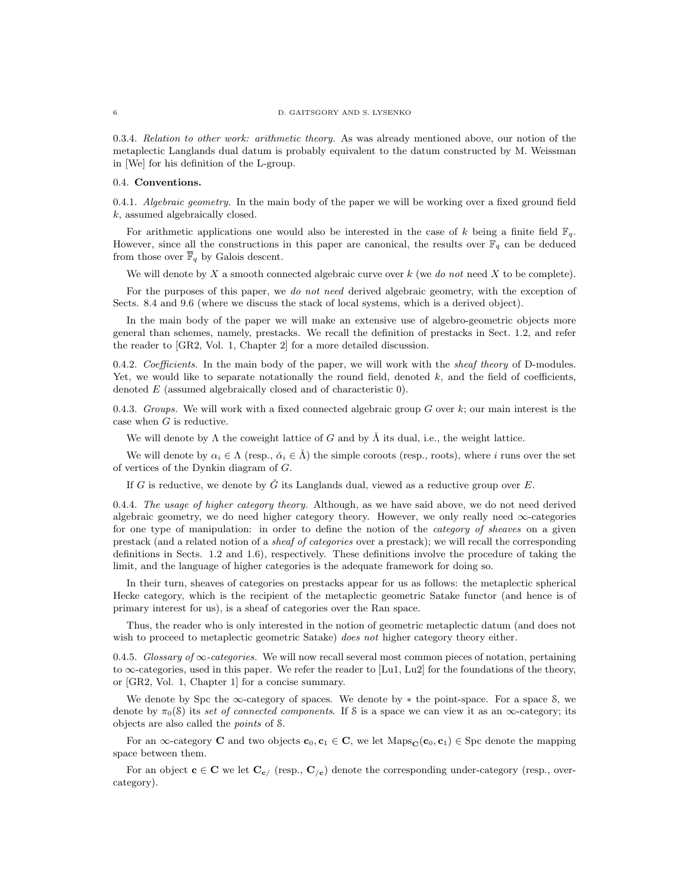#### 6 D. GAITSGORY AND S. LYSENKO

0.3.4. Relation to other work: arithmetic theory. As was already mentioned above, our notion of the metaplectic Langlands dual datum is probably equivalent to the datum constructed by M. Weissman in [We] for his definition of the L-group.

### 0.4. Conventions.

0.4.1. *Algebraic geometry*. In the main body of the paper we will be working over a fixed ground field k, assumed algebraically closed.

For arithmetic applications one would also be interested in the case of k being a finite field  $\mathbb{F}_q$ . However, since all the constructions in this paper are canonical, the results over  $\mathbb{F}_q$  can be deduced from those over  $\bar{\mathbb{F}}_q$  by Galois descent.

We will denote by X a smooth connected algebraic curve over  $k$  (we do not need X to be complete).

For the purposes of this paper, we do not need derived algebraic geometry, with the exception of Sects. 8.4 and 9.6 (where we discuss the stack of local systems, which is a derived object).

In the main body of the paper we will make an extensive use of algebro-geometric objects more general than schemes, namely, prestacks. We recall the definition of prestacks in Sect. 1.2, and refer the reader to [GR2, Vol. 1, Chapter 2] for a more detailed discussion.

0.4.2. Coefficients. In the main body of the paper, we will work with the sheaf theory of D-modules. Yet, we would like to separate notationally the round field, denoted  $k$ , and the field of coefficients, denoted E (assumed algebraically closed and of characteristic 0).

0.4.3. Groups. We will work with a fixed connected algebraic group  $G$  over  $k$ ; our main interest is the case when  $G$  is reductive.

We will denote by  $\Lambda$  the coweight lattice of G and by  $\tilde{\Lambda}$  its dual, i.e., the weight lattice.

We will denote by  $\alpha_i \in \Lambda$  (resp.,  $\check{\alpha}_i \in \check{\Lambda}$ ) the simple coroots (resp., roots), where *i* runs over the set of vertices of the Dynkin diagram of G.

If G is reductive, we denote by  $\check{G}$  its Langlands dual, viewed as a reductive group over E.

0.4.4. The usage of higher category theory. Although, as we have said above, we do not need derived algebraic geometry, we do need higher category theory. However, we only really need  $\infty$ -categories for one type of manipulation: in order to define the notion of the *category of sheaves* on a given prestack (and a related notion of a sheaf of categories over a prestack); we will recall the corresponding definitions in Sects. 1.2 and 1.6), respectively. These definitions involve the procedure of taking the limit, and the language of higher categories is the adequate framework for doing so.

In their turn, sheaves of categories on prestacks appear for us as follows: the metaplectic spherical Hecke category, which is the recipient of the metaplectic geometric Satake functor (and hence is of primary interest for us), is a sheaf of categories over the Ran space.

Thus, the reader who is only interested in the notion of geometric metaplectic datum (and does not wish to proceed to metaplectic geometric Satake) does not higher category theory either.

0.4.5. Glossary of  $\infty$ -categories. We will now recall several most common pieces of notation, pertaining to  $\infty$ -categories, used in this paper. We refer the reader to [Lu1, Lu2] for the foundations of the theory, or [GR2, Vol. 1, Chapter 1] for a concise summary.

We denote by Spc the  $\infty$ -category of spaces. We denote by  $*$  the point-space. For a space  $\delta$ , we denote by  $\pi_0(\mathcal{S})$  its set of connected components. If S is a space we can view it as an  $\infty$ -category; its objects are also called the points of S.

For an  $\infty$ -category **C** and two objects  $\mathbf{c}_0, \mathbf{c}_1 \in \mathbf{C}$ , we let Maps<sub>C</sub>( $\mathbf{c}_0, \mathbf{c}_1$ )  $\in$  Spc denote the mapping space between them.

For an object  $\mathbf{c} \in \mathbf{C}$  we let  $\mathbf{C}_{c}$  (resp.,  $\mathbf{C}_{c}$ ) denote the corresponding under-category (resp., overcategory).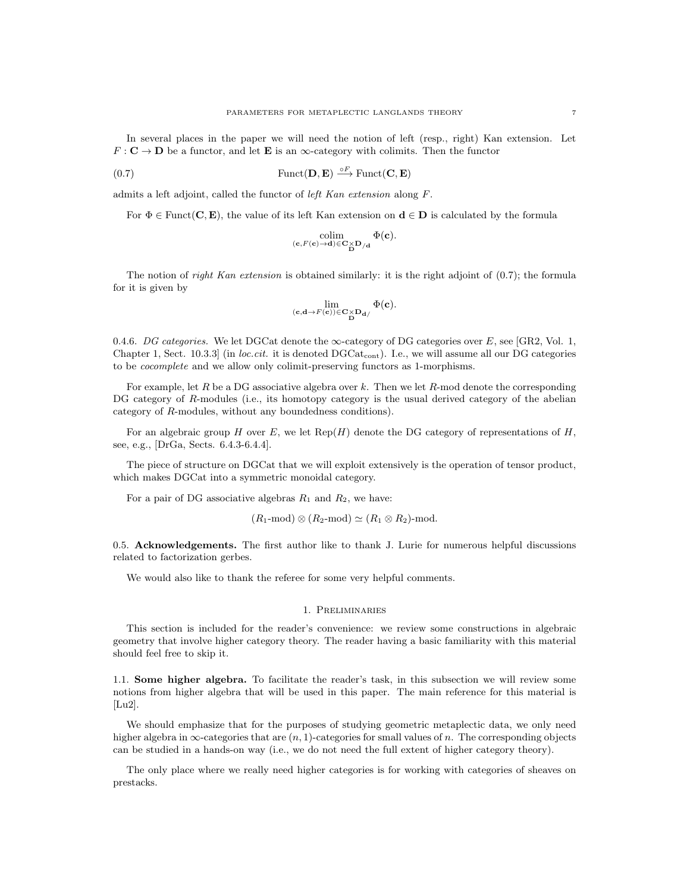In several places in the paper we will need the notion of left (resp., right) Kan extension. Let  $F: \mathbf{C} \to \mathbf{D}$  be a functor, and let **E** is an  $\infty$ -category with colimits. Then the functor

(0.7) 
$$
\text{Funct}(\mathbf{D}, \mathbf{E}) \stackrel{\circ F}{\longrightarrow} \text{Funct}(\mathbf{C}, \mathbf{E})
$$

admits a left adjoint, called the functor of left Kan extension along F.

For  $\Phi \in$  Funct(**C**, **E**), the value of its left Kan extension on  $\mathbf{d} \in \mathbf{D}$  is calculated by the formula

$$
\underset{(\mathbf{c}, F(\mathbf{c}) \rightarrow \mathbf{d}) \in \mathbf{C} \times \mathbf{D}/\mathbf{d}}{\operatorname{colim}} \underset{\mathbf{D}}{\Phi(\mathbf{c})}.
$$

The notion of *right Kan extension* is obtained similarly: it is the right adjoint of  $(0.7)$ ; the formula for it is given by

$$
\lim_{(\mathbf{c},\mathbf{d}\rightarrow F(\mathbf{c}))\in \mathbf{C}\times \mathbf{D}_{\mathbf{d}}/\mathbf{D}}\Phi(\mathbf{c}).
$$

0.4.6. DG categories. We let DGCat denote the  $\infty$ -category of DG categories over E, see [GR2, Vol. 1, Chapter 1, Sect. 10.3.3] (in *loc.cit.* it is denoted  $DGCat_{cont}$ ). I.e., we will assume all our DG categories to be cocomplete and we allow only colimit-preserving functors as 1-morphisms.

For example, let R be a DG associative algebra over k. Then we let R-mod denote the corresponding DG category of R-modules (i.e., its homotopy category is the usual derived category of the abelian category of R-modules, without any boundedness conditions).

For an algebraic group H over E, we let  $\text{Rep}(H)$  denote the DG category of representations of H, see, e.g., [DrGa, Sects. 6.4.3-6.4.4].

The piece of structure on DGCat that we will exploit extensively is the operation of tensor product, which makes DGCat into a symmetric monoidal category.

For a pair of DG associative algebras  $R_1$  and  $R_2$ , we have:

 $(R_1\text{-mod}) \otimes (R_2\text{-mod}) \simeq (R_1 \otimes R_2)\text{-mod}.$ 

0.5. Acknowledgements. The first author like to thank J. Lurie for numerous helpful discussions related to factorization gerbes.

We would also like to thank the referee for some very helpful comments.

#### 1. Preliminaries

This section is included for the reader's convenience: we review some constructions in algebraic geometry that involve higher category theory. The reader having a basic familiarity with this material should feel free to skip it.

1.1. Some higher algebra. To facilitate the reader's task, in this subsection we will review some notions from higher algebra that will be used in this paper. The main reference for this material is [Lu2].

We should emphasize that for the purposes of studying geometric metaplectic data, we only need higher algebra in  $\infty$ -categories that are  $(n, 1)$ -categories for small values of n. The corresponding objects can be studied in a hands-on way (i.e., we do not need the full extent of higher category theory).

The only place where we really need higher categories is for working with categories of sheaves on prestacks.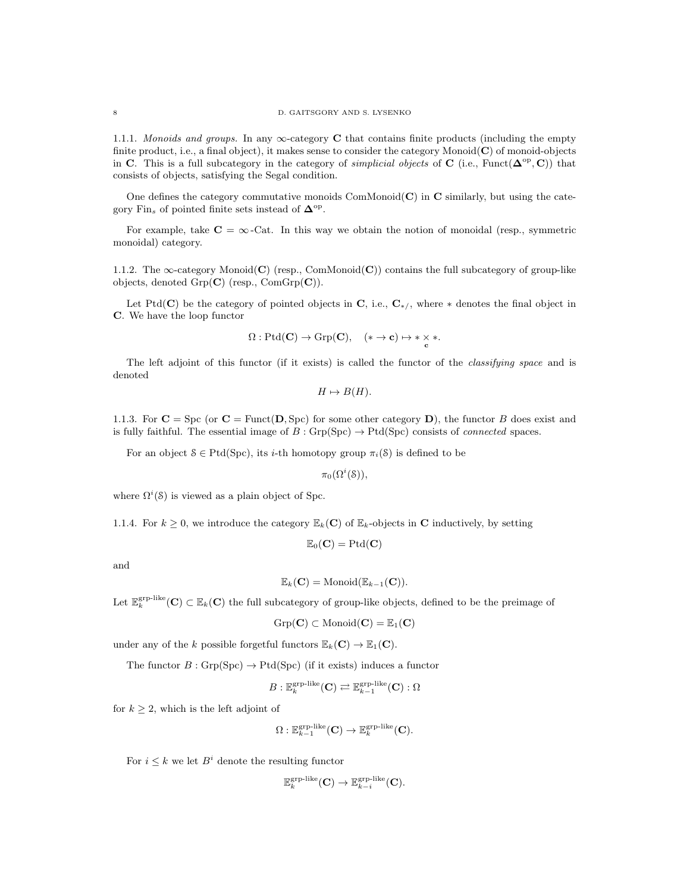1.1.1. Monoids and groups. In any  $\infty$ -category C that contains finite products (including the empty finite product, i.e., a final object), it makes sense to consider the category Monoid $(C)$  of monoid-objects in C. This is a full subcategory in the category of *simplicial objects* of C (i.e., Funct( $\Delta^{op}, C$ )) that consists of objects, satisfying the Segal condition.

One defines the category commutative monoids  $ComMonoid(C)$  in  $C$  similarly, but using the category Fin<sub>s</sub> of pointed finite sets instead of  $\mathbf{\Delta}^{\text{op}}$ .

For example, take  $C = \infty$ -Cat. In this way we obtain the notion of monoidal (resp., symmetric monoidal) category.

1.1.2. The  $\infty$ -category Monoid(C) (resp., ComMonoid(C)) contains the full subcategory of group-like objects, denoted  $Grp(\mathbf{C})$  (resp.,  $ComGrp(\mathbf{C})$ ).

Let Ptd(C) be the category of pointed objects in C, i.e.,  $C_{\ast}$ , where  $\ast$  denotes the final object in C. We have the loop functor

$$
\Omega: \mathrm{Ptd}(\mathbf{C}) \to \mathrm{Grp}(\mathbf{C}), \quad (* \to \mathbf{c}) \mapsto * \times *.
$$

The left adjoint of this functor (if it exists) is called the functor of the *classifying space* and is denoted

$$
H \mapsto B(H).
$$

1.1.3. For  $C = \text{Spc}$  (or  $C = \text{Funct}(D, \text{Spc})$  for some other category D), the functor B does exist and is fully faithful. The essential image of  $B : \text{Grp(Spc)} \to \text{Ptd(Spc)}$  consists of *connected* spaces.

For an object  $S \in \text{Ptd}(Spc)$ , its *i*-th homotopy group  $\pi_i(S)$  is defined to be

 $\pi_0(\Omega^i(\mathcal{S})),$ 

where  $\Omega^{i}(\mathcal{S})$  is viewed as a plain object of Spc.

1.1.4. For  $k \geq 0$ , we introduce the category  $\mathbb{E}_k(C)$  of  $\mathbb{E}_k$ -objects in **C** inductively, by setting

$$
\mathbb{E}_0(\mathbf{C}) = \mathrm{Ptd}(\mathbf{C})
$$

and

$$
\mathbb{E}_k(\mathbf{C}) = \mathrm{Monoid}(\mathbb{E}_{k-1}(\mathbf{C})).
$$

Let  $\mathbb{E}_k^{\text{grp-like}}(\mathbf{C}) \subset \mathbb{E}_k(\mathbf{C})$  the full subcategory of group-like objects, defined to be the preimage of

$$
\mathrm{Grp}(\mathbf{C})\subset \mathrm{Monoid}(\mathbf{C})=\mathbb{E}_1(\mathbf{C})
$$

under any of the k possible forgetful functors  $\mathbb{E}_k(\mathbf{C}) \to \mathbb{E}_1(\mathbf{C})$ .

The functor  $B: \text{Grp}(Spc) \to \text{Ptd}(Spc)$  (if it exists) induces a functor

$$
B: \mathbb{E}_k^{\text{grp-like}}(\mathbf{C}) \rightleftarrows \mathbb{E}_{k-1}^{\text{grp-like}}(\mathbf{C}) : \Omega
$$

for  $k \geq 2$ , which is the left adjoint of

$$
\Omega: \mathbb{E}_{k-1}^{\mathrm{grp-like}}(\mathbf{C}) \to \mathbb{E}_{k}^{\mathrm{grp-like}}(\mathbf{C}).
$$

For  $i \leq k$  we let  $B^i$  denote the resulting functor

$$
\mathbb{E}_k^{\text{grp-like}}(\mathbf{C}) \to \mathbb{E}_{k-i}^{\text{grp-like}}(\mathbf{C}).
$$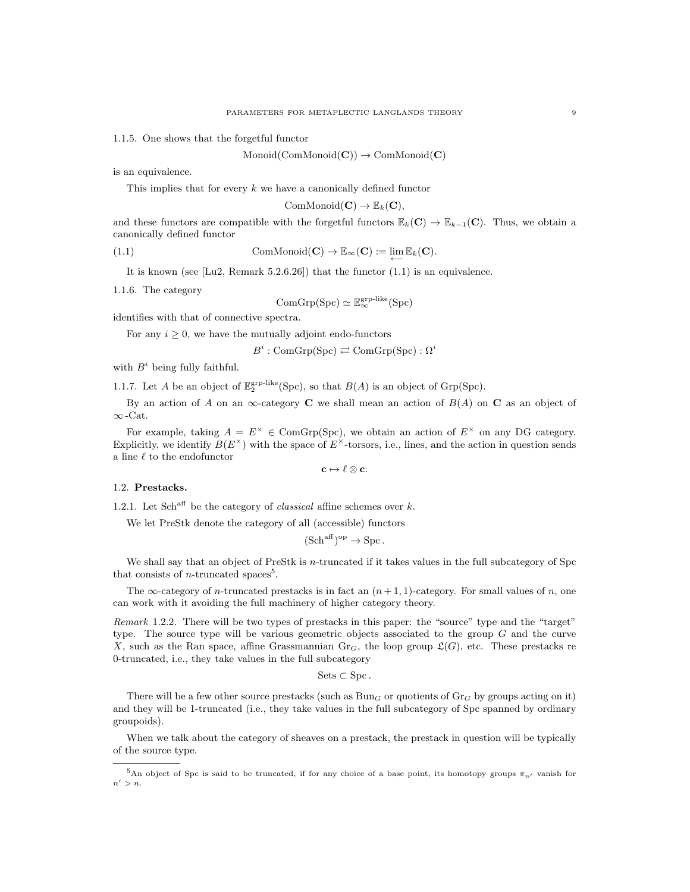1.1.5. One shows that the forgetful functor

 $Monoid(ComMonoid(C)) \rightarrow ComMonoid(C)$ 

is an equivalence.

This implies that for every  $k$  we have a canonically defined functor

$$
\mathrm{ComMonoid}(\mathbf{C}) \to \mathbb{E}_k(\mathbf{C}),
$$

and these functors are compatible with the forgetful functors  $\mathbb{E}_k(C) \to \mathbb{E}_{k-1}(C)$ . Thus, we obtain a canonically defined functor

(1.1) ComMonoid(C)  $\to \mathbb{E}_{\infty}(\mathbf{C}) := \lim_{\leftarrow} \mathbb{E}_k(\mathbf{C}).$ 

It is known (see [Lu2, Remark 5.2.6.26]) that the functor (1.1) is an equivalence.

1.1.6. The category

$$
\mathrm{ComGrp}(\mathrm{Spc})\simeq \mathbb{E}_\infty^{\mathrm{grp-like}}(\mathrm{Spc})
$$

identifies with that of connective spectra.

For any  $i \geq 0$ , we have the mutually adjoint endo-functors

 $B^i : \text{ComGrp}(\text{Spc}) \rightleftarrows \text{ComGrp}(\text{Spc}) : \Omega^i$ 

with  $B^i$  being fully faithful.

1.1.7. Let A be an object of  $\mathbb{E}_2^{\text{grp-like}}(\text{Spc})$ , so that  $B(A)$  is an object of Grp(Spc).

By an action of A on an  $\infty$ -category **C** we shall mean an action of  $B(A)$  on **C** as an object of ∞ -Cat.

For example, taking  $A = E^{\times} \in \text{ComGrp(Spc)}$ , we obtain an action of  $E^{\times}$  on any DG category. Explicitly, we identify  $B(E^{\times})$  with the space of  $E^{\times}$ -torsors, i.e., lines, and the action in question sends a line  $\ell$  to the endofunctor

 $\mathbf{c} \mapsto \ell \otimes \mathbf{c}$ .

### 1.2. Prestacks.

1.2.1. Let Sch<sup>aff</sup> be the category of *classical* affine schemes over  $k$ .

We let PreStk denote the category of all (accessible) functors

$$
(\mathrm{Sch}^{\mathrm{aff}})^{\mathrm{op}} \to \mathrm{Spc}.
$$

We shall say that an object of PreStk is *n*-truncated if it takes values in the full subcategory of Spc that consists of *n*-truncated spaces<sup>5</sup>.

The  $\infty$ -category of *n*-truncated prestacks is in fact an  $(n+1, 1)$ -category. For small values of *n*, one can work with it avoiding the full machinery of higher category theory.

Remark 1.2.2. There will be two types of prestacks in this paper: the "source" type and the "target" type. The source type will be various geometric objects associated to the group  $G$  and the curve X, such as the Ran space, affine Grassmannian  $\text{Gr}_G$ , the loop group  $\mathfrak{L}(G)$ , etc. These prestacks re 0-truncated, i.e., they take values in the full subcategory

 $Sets \subset Spec.$ 

There will be a few other source prestacks (such as  $Bun<sub>G</sub>$  or quotients of  $Gr<sub>G</sub>$  by groups acting on it) and they will be 1-truncated (i.e., they take values in the full subcategory of Spc spanned by ordinary groupoids).

When we talk about the category of sheaves on a prestack, the prestack in question will be typically of the source type.

<sup>&</sup>lt;sup>5</sup>An object of Spc is said to be truncated, if for any choice of a base point, its homotopy groups  $\pi_{n'}$  vanish for  $n' > n$ .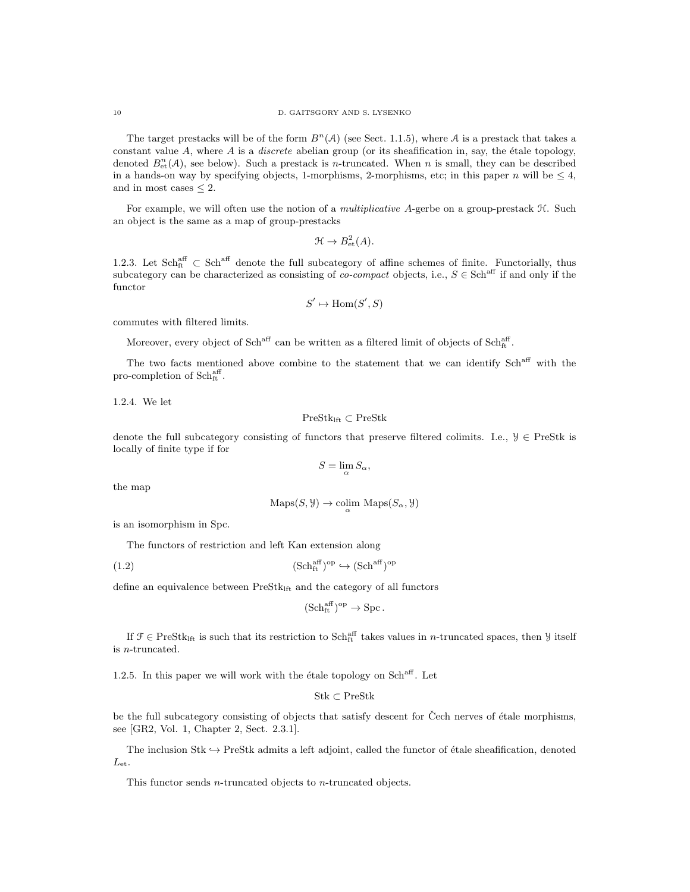The target prestacks will be of the form  $B<sup>n</sup>(A)$  (see Sect. 1.1.5), where A is a prestack that takes a constant value A, where A is a *discrete* abelian group (or its sheafification in, say, the *étale topology*, denoted  $B<sub>et</sub><sup>n</sup>(A)$ , see below). Such a prestack is *n*-truncated. When *n* is small, they can be described in a hands-on way by specifying objects, 1-morphisms, 2-morphisms, etc; in this paper n will be  $\leq 4$ , and in most cases  $\leq 2$ .

For example, we will often use the notion of a *multiplicative* A-gerbe on a group-prestack  $H$ . Such an object is the same as a map of group-prestacks

$$
\mathfrak{H} \to B^2_{\text{et}}(A).
$$

1.2.3. Let  $Sch_{ft}^{aff} \subset Sch^{aff}$  denote the full subcategory of affine schemes of finite. Functorially, thus subcategory can be characterized as consisting of *co-compact* objects, i.e.,  $S \in Sch^{aff}$  if and only if the functor

$$
S' \mapsto \text{Hom}(S', S)
$$

commutes with filtered limits.

Moreover, every object of Sch<sup>aff</sup> can be written as a filtered limit of objects of Sch<sup>aff</sup><sub>t</sub>.

The two facts mentioned above combine to the statement that we can identify Sch<sup>aff</sup> with the pro-completion of Schaff.

1.2.4. We let

PreStklft ⊂ PreStk

denote the full subcategory consisting of functors that preserve filtered colimits. I.e.,  $\mathcal{Y} \in \text{PreStk}$  is locally of finite type if for

$$
S=\lim_{\alpha}S_{\alpha},
$$

the map

$$
Maps(S, \mathcal{Y}) \to \underset{\alpha}{\text{colim}} \ Maps(S_{\alpha}, \mathcal{Y})
$$

is an isomorphism in Spc.

The functors of restriction and left Kan extension along

$$
(1.2) \t\t\t (Schftaff)op \hookrightarrow (Schaff)op
$$

define an equivalence between  $PreStk<sub>lift</sub>$  and the category of all functors

$$
(\mathrm{Sch}^{\mathrm{aff}}_{\mathrm{ft}})^\mathrm{op} \to \mathrm{Spc}.
$$

If  $\mathcal{F} \in \text{PreStk}_{\text{lift}}$  is such that its restriction to  $\text{Sch}^{\text{aff}}_{\text{fit}}$  takes values in *n*-truncated spaces, then  $\mathcal{Y}$  itself is n-truncated.

1.2.5. In this paper we will work with the étale topology on  $Sch<sup>aff</sup>$ . Let

```
Stk ⊂ PreStk
```
be the full subcategory consisting of objects that satisfy descent for Čech nerves of étale morphisms, see [GR2, Vol. 1, Chapter 2, Sect. 2.3.1].

The inclusion Stk  $\hookrightarrow$  PreStk admits a left adjoint, called the functor of étale sheafification, denoted  $L_{\text{et}}$ .

This functor sends *n*-truncated objects to *n*-truncated objects.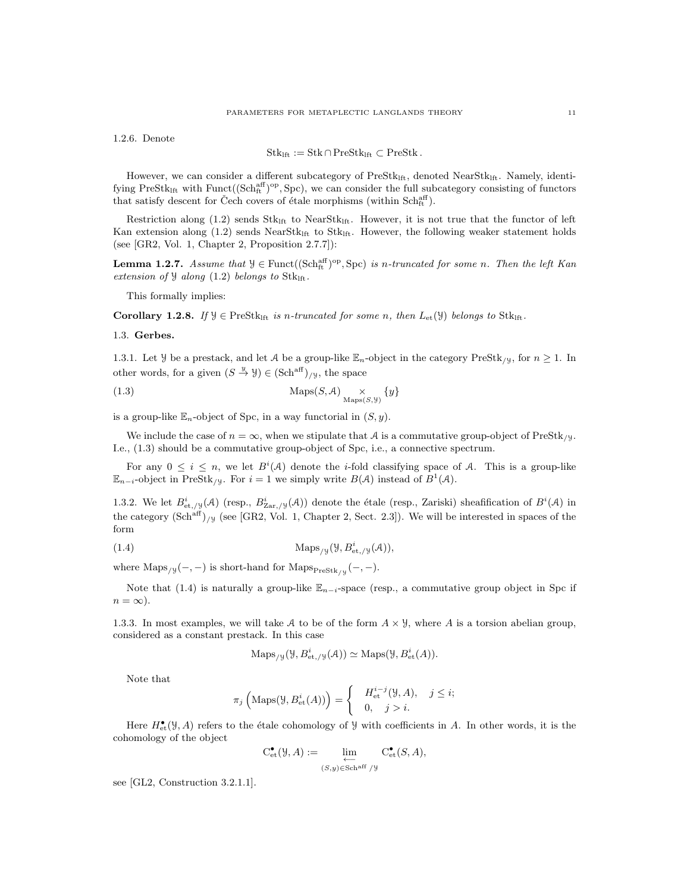1.2.6. Denote

$$
\mathrm{Stk}_{\mathrm{lft}}:=\mathrm{Stk}\cap\mathrm{PreStk}_{\mathrm{lft}}\subset\mathrm{PreStk}\,.
$$

However, we can consider a different subcategory of PreStk<sub>lft</sub>, denoted NearStk<sub>lft</sub>. Namely, identifying  $PreStk<sub>lift</sub>$  with  $Func((Sch<sub>ft</sub><sup>aff</sup>)<sup>op</sup>, Spec)$ , we can consider the full subcategory consisting of functors that satisfy descent for Čech covers of étale morphisms (within  $\text{Sch}^{\text{aff}}_{\text{ft}}$ ).

Restriction along (1.2) sends  $Stk<sub>lft</sub>$  to NearSt $k<sub>lft</sub>$ . However, it is not true that the functor of left Kan extension along  $(1.2)$  sends NearStk<sub>lft</sub> to Stk<sub>lft</sub>. However, the following weaker statement holds (see [GR2, Vol. 1, Chapter 2, Proposition 2.7.7]):

**Lemma 1.2.7.** Assume that  $\mathcal{Y} \in \text{Funct}((\text{Sch}_{ft}^{\text{aff}})^{\text{op}}, \text{Spc})$  is n-truncated for some n. Then the left Kan extension of  $\mathcal{Y}$  along (1.2) belongs to Stkl<sub>ft</sub>.

This formally implies:

Corollary 1.2.8. If  $\mathcal{Y} \in \text{PreStk}_{\text{lift}}$  is n-truncated for some n, then  $L_{\text{et}}(\mathcal{Y})$  belongs to Stkl<sub>ft</sub>.

### 1.3. Gerbes.

1.3.1. Let *Y* be a prestack, and let A be a group-like  $\mathbb{E}_n$ -object in the category PreStk<sub>/Y</sub>, for  $n \geq 1$ . In other words, for a given  $(S \stackrel{y}{\to} Y) \in (\text{Sch}^{\text{aff}})_{/Y}$ , the space

(1.3) 
$$
\operatorname{Maps}(S, \mathcal{A}) \underset{\text{Maps}(S, \mathcal{Y})}{\times} \{y\}
$$

is a group-like  $\mathbb{E}_n$ -object of Spc, in a way functorial in  $(S, y)$ .

We include the case of  $n = \infty$ , when we stipulate that A is a commutative group-object of PreStk<sub>/Y</sub>. I.e., (1.3) should be a commutative group-object of Spc, i.e., a connective spectrum.

For any  $0 \leq i \leq n$ , we let  $B^{i}(A)$  denote the *i*-fold classifying space of A. This is a group-like  $\mathbb{E}_{n-i}$ -object in PreStk<sub>/y</sub>. For  $i=1$  we simply write  $B(\mathcal{A})$  instead of  $B^1(\mathcal{A})$ .

1.3.2. We let  $B^i_{\text{\rm et},y}(\mathcal{A})$  (resp.,  $B^i_{\text{Zar},y}(\mathcal{A})$ ) denote the étale (resp., Zariski) sheafification of  $B^i(\mathcal{A})$  in the category  $(\text{Sch}^{\text{aff}})_{/y}$  (see [GR2, Vol. 1, Chapter 2, Sect. 2.3]). We will be interested in spaces of the form

(1.4) 
$$
\text{Maps}_{/\mathcal{Y}}(\mathcal{Y}, B^i_{\text{et},/\mathcal{Y}}(\mathcal{A})),
$$

where  $\text{Maps}_{/y}(-, -)$  is short-hand for  $\text{Maps}_{\text{PreStk}_{/y}}(-, -)$ .

Note that (1.4) is naturally a group-like  $\mathbb{E}_{n-i}$ -space (resp., a commutative group object in Spc if  $n = \infty$ ).

1.3.3. In most examples, we will take A to be of the form  $A \times \mathcal{Y}$ , where A is a torsion abelian group, considered as a constant prestack. In this case

$$
\operatorname{Maps}_{/\mathcal{Y}}(\mathcal{Y}, B^i_{\mathrm{et},/\mathcal{Y}}(\mathcal{A})) \simeq \operatorname{Maps}(\mathcal{Y}, B^i_{\mathrm{et}}(\mathcal{A})).
$$

Note that

$$
\pi_j\left(\text{Maps}(\mathcal{Y}, B^i_{\text{et}}(A))\right) = \begin{cases} H^{i-j}_{\text{et}}(\mathcal{Y}, A), & j \leq i; \\ 0, & j > i. \end{cases}
$$

Here  $H_{\text{et}}^{\bullet}(\mathcal{Y},A)$  refers to the étale cohomology of  $\mathcal{Y}$  with coefficients in A. In other words, it is the cohomology of the object

$$
C_{et}^{\bullet}(\mathcal{Y}, A) := \varprojlim_{(S, y) \in Sch^{\mathrm{aff}}/\mathcal{Y}} C_{et}^{\bullet}(S, A),
$$

see [GL2, Construction 3.2.1.1].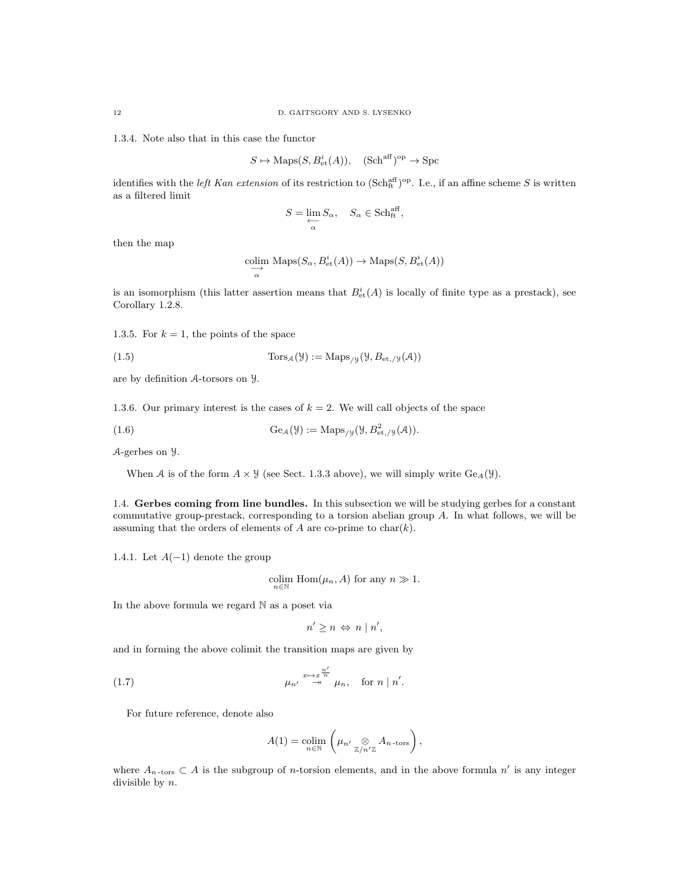1.3.4. Note also that in this case the functor

$$
S \mapsto \text{Maps}(S, B^i_{\text{et}}(A)), \quad (\text{Sch}^{\text{aff}})^{\text{op}} \to \text{Spc}
$$

identifies with the *left Kan extension* of its restriction to  $(\text{Sch}_{ft}^{\text{aff}})^{\text{op}}$ . I.e., if an affine scheme S is written as a filtered limit

$$
S=\varprojlim_\alpha S_\alpha,\quad S_\alpha\in\mathop{\rm Sch}\nolimits_{\mathop{\rm{ft}}}^{\mathop{\rm{aff}}},
$$

then the map

$$
\underset{\alpha}{\text{colim}} \text{ Maps}(S_{\alpha}, B_{\text{et}}^{i}(A)) \to \text{Maps}(S, B_{\text{et}}^{i}(A))
$$

is an isomorphism (this latter assertion means that  $B_{\text{et}}^{i}(A)$  is locally of finite type as a prestack), see Corollary 1.2.8.

1.3.5. For  $k = 1$ , the points of the space

(1.5) 
$$
\text{Tors}_{\mathcal{A}}(\mathcal{Y}) := \text{Maps}_{/\mathcal{Y}}(\mathcal{Y}, B_{\text{et},/\mathcal{Y}}(\mathcal{A}))
$$

are by definition A-torsors on Y.

1.3.6. Our primary interest is the cases of  $k = 2$ . We will call objects of the space

(1.6) 
$$
\text{Ge}_{\mathcal{A}}(\mathcal{Y}) := \text{Maps}_{/\mathcal{Y}}(\mathcal{Y}, B^2_{\text{et},/\mathcal{Y}}(\mathcal{A})).
$$

A-gerbes on Y.

When A is of the form 
$$
A \times Y
$$
 (see Sect. 1.3.3 above), we will simply write  $Ge_A(Y)$ .

1.4. Gerbes coming from line bundles. In this subsection we will be studying gerbes for a constant commutative group-prestack, corresponding to a torsion abelian group A. In what follows, we will be assuming that the orders of elements of  $A$  are co-prime to char $(k)$ .

1.4.1. Let  $A(-1)$  denote the group

colim  $\text{Hom}(\mu_n, A)$  for any  $n \gg 1$ .

In the above formula we regard N as a poset via

 $n' \geq n \Leftrightarrow n \mid n',$ 

and in forming the above colimit the transition maps are given by

(1.7) 
$$
\mu_{n'} \stackrel{x \mapsto x^{\frac{n'}{n}}}{\longrightarrow} \mu_n, \text{ for } n | n'.
$$

For future reference, denote also

$$
A(1) = \operatorname*{colim}_{n \in \mathbb{N}} \left( \mu_{n'} \underset{\mathbb{Z}/n'\mathbb{Z}}{\otimes} A_{n \text{-tors}} \right),
$$

where  $A_{n\text{-tors}} \subset A$  is the subgroup of *n*-torsion elements, and in the above formula n' is any integer divisible by n.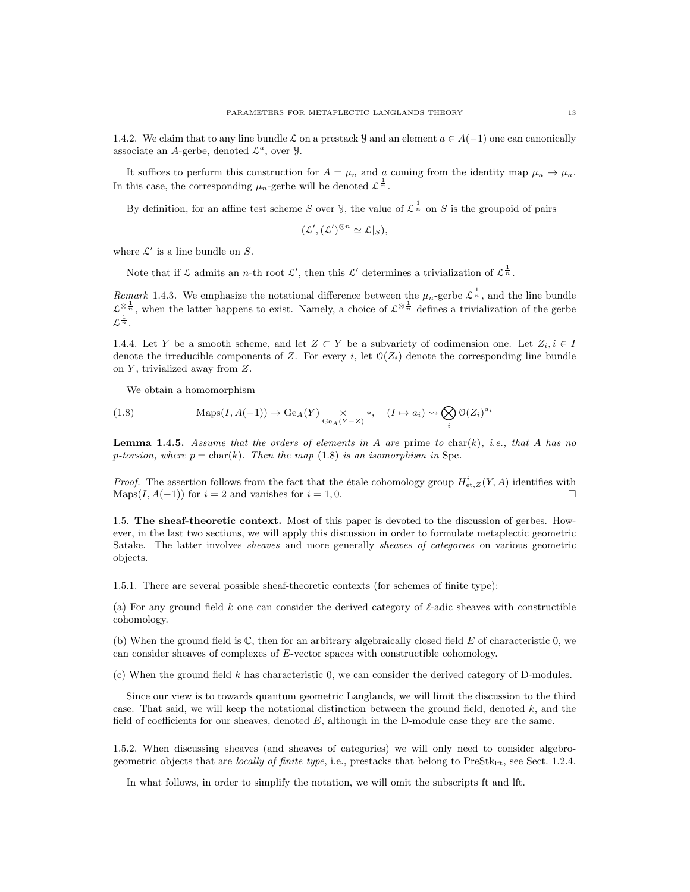1.4.2. We claim that to any line bundle L on a prestack y and an element  $a \in A(-1)$  one can canonically associate an A-gerbe, denoted  $\mathcal{L}^a$ , over  $\mathcal{Y}$ .

It suffices to perform this construction for  $A = \mu_n$  and a coming from the identity map  $\mu_n \to \mu_n$ . In this case, the corresponding  $\mu_n$ -gerbe will be denoted  $\mathcal{L}^{\frac{1}{n}}$ .

By definition, for an affine test scheme S over  $\mathcal{Y}$ , the value of  $\mathcal{L}^{\frac{1}{n}}$  on S is the groupoid of pairs

$$
(\mathcal{L}', (\mathcal{L}')^{\otimes n} \simeq \mathcal{L}|_S),
$$

where  $\mathcal{L}'$  is a line bundle on S.

Note that if  $\mathcal L$  admits an *n*-th root  $\mathcal L'$ , then this  $\mathcal L'$  determines a trivialization of  $\mathcal L^{\frac{1}{n}}$ .

Remark 1.4.3. We emphasize the notational difference between the  $\mu_n$ -gerbe  $\mathcal{L}^{\frac{1}{n}}$ , and the line bundle  $\mathcal{L}^{\otimes \frac{1}{n}}$ , when the latter happens to exist. Namely, a choice of  $\mathcal{L}^{\otimes \frac{1}{n}}$  defines a trivialization of the gerbe  $\mathcal{L}^{\frac{1}{n}}$ .

1.4.4. Let Y be a smooth scheme, and let  $Z \subset Y$  be a subvariety of codimension one. Let  $Z_i, i \in I$ denote the irreducible components of Z. For every i, let  $\mathcal{O}(Z_i)$  denote the corresponding line bundle on  $Y$ , trivialized away from  $Z$ .

We obtain a homomorphism

(1.8) 
$$
\text{Maps}(I, A(-1)) \to \text{Ge}_A(Y) \underset{\text{Ge}_A(Y-Z)}{\times} *, \quad (I \mapsto a_i) \rightsquigarrow \bigotimes_i \mathcal{O}(Z_i)^{a_i}
$$

**Lemma 1.4.5.** Assume that the orders of elements in A are prime to char(k), i.e., that A has no p-torsion, where  $p = \text{char}(k)$ . Then the map (1.8) is an isomorphism in Spc.

*Proof.* The assertion follows from the fact that the étale cohomology group  $H_{et, Z}^i(Y, A)$  identifies with Maps $(I, A(-1))$  for  $i = 2$  and vanishes for  $i = 1, 0$ .

1.5. The sheaf-theoretic context. Most of this paper is devoted to the discussion of gerbes. However, in the last two sections, we will apply this discussion in order to formulate metaplectic geometric Satake. The latter involves sheaves and more generally sheaves of categories on various geometric objects.

1.5.1. There are several possible sheaf-theoretic contexts (for schemes of finite type):

(a) For any ground field k one can consider the derived category of  $\ell$ -adic sheaves with constructible cohomology.

(b) When the ground field is  $\mathbb{C}$ , then for an arbitrary algebraically closed field E of characteristic 0, we can consider sheaves of complexes of E-vector spaces with constructible cohomology.

(c) When the ground field  $k$  has characteristic 0, we can consider the derived category of D-modules.

Since our view is to towards quantum geometric Langlands, we will limit the discussion to the third case. That said, we will keep the notational distinction between the ground field, denoted  $k$ , and the field of coefficients for our sheaves, denoted  $E$ , although in the D-module case they are the same.

1.5.2. When discussing sheaves (and sheaves of categories) we will only need to consider algebrogeometric objects that are locally of finite type, i.e., prestacks that belong to PreStk<sub>lft</sub>, see Sect. 1.2.4.

In what follows, in order to simplify the notation, we will omit the subscripts ft and lft.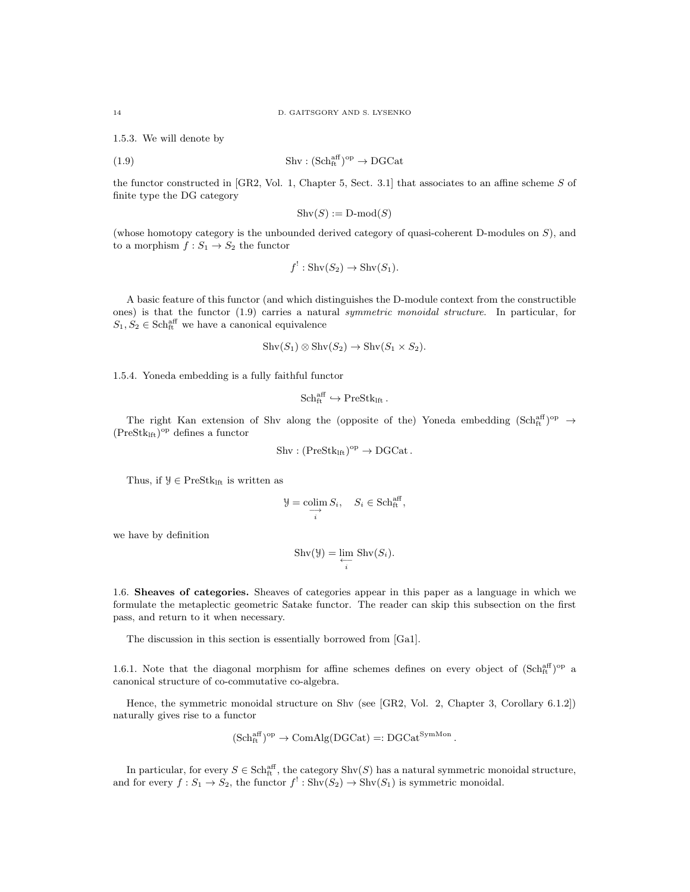1.5.3. We will denote by

(1.9) 
$$
\text{Shv}: (\text{Sch}^{\text{aff}}_{\text{ft}})^{\text{op}} \to \text{DGCat}
$$

the functor constructed in [GR2, Vol. 1, Chapter 5, Sect. 3.1] that associates to an affine scheme S of finite type the DG category

$$
Shv(S) := D\text{-mod}(S)
$$

(whose homotopy category is the unbounded derived category of quasi-coherent D-modules on S), and to a morphism  $f: S_1 \to S_2$  the functor

$$
f^!: \operatorname{Shv}(S_2) \to \operatorname{Shv}(S_1).
$$

A basic feature of this functor (and which distinguishes the D-module context from the constructible ones) is that the functor (1.9) carries a natural symmetric monoidal structure. In particular, for  $S_1, S_2 \in \text{Sch}^{\text{aff}}_{\text{ft}}$  we have a canonical equivalence

$$
Shv(S_1) \otimes Shv(S_2) \to Shv(S_1 \times S_2).
$$

1.5.4. Yoneda embedding is a fully faithful functor

$$
\mathrm{Sch}^{\mathrm{aff}}_{\mathrm{ft}}\hookrightarrow \mathrm{PreStk}_{\mathrm{lft}}\,.
$$

The right Kan extension of Shv along the (opposite of the) Yoneda embedding  $(Sch_{ft}^{aff})^{op} \rightarrow$  $(Prestk<sub>lft</sub>)<sup>op</sup>$  defines a functor

$$
Shv: (\mathrm{PreStk}_{\mathrm{lft}})^{\mathrm{op}} \to \mathrm{DGCat}.
$$

Thus, if  $\mathcal{Y} \in \mathrm{PreStk}_\mathrm{lft}$  is written as

$$
\mathcal{Y} = \mathop{\text{colim}}_{i} S_i, \quad S_i \in \mathop{\text{Sch}}_{\text{ft}}^{\text{aff}},
$$

we have by definition

$$
Shv(\mathcal{Y}) = \varprojlim_{i} Shv(S_{i}).
$$

1.6. Sheaves of categories. Sheaves of categories appear in this paper as a language in which we formulate the metaplectic geometric Satake functor. The reader can skip this subsection on the first pass, and return to it when necessary.

The discussion in this section is essentially borrowed from [Ga1].

1.6.1. Note that the diagonal morphism for affine schemes defines on every object of  $(Sch<sub>ft</sub><sup>aff</sup>)<sup>op</sup>$  a canonical structure of co-commutative co-algebra.

Hence, the symmetric monoidal structure on Shv (see [GR2, Vol. 2, Chapter 3, Corollary 6.1.2]) naturally gives rise to a functor

$$
(\mathrm{Sch}^{\mathrm{aff}}_{\mathrm{ft}})^{\mathrm{op}} \to \mathrm{ComAlg}(\mathrm{DGCat}) =: \mathrm{DGCat}^{\mathrm{SymMon}}.
$$

In particular, for every  $S \in \text{Sch}_{\text{ft}}^{\text{aff}}$ , the category  $\text{Shv}(S)$  has a natural symmetric monoidal structure, and for every  $f: S_1 \to S_2$ , the functor  $f' : \text{Shv}(S_2) \to \text{Shv}(S_1)$  is symmetric monoidal.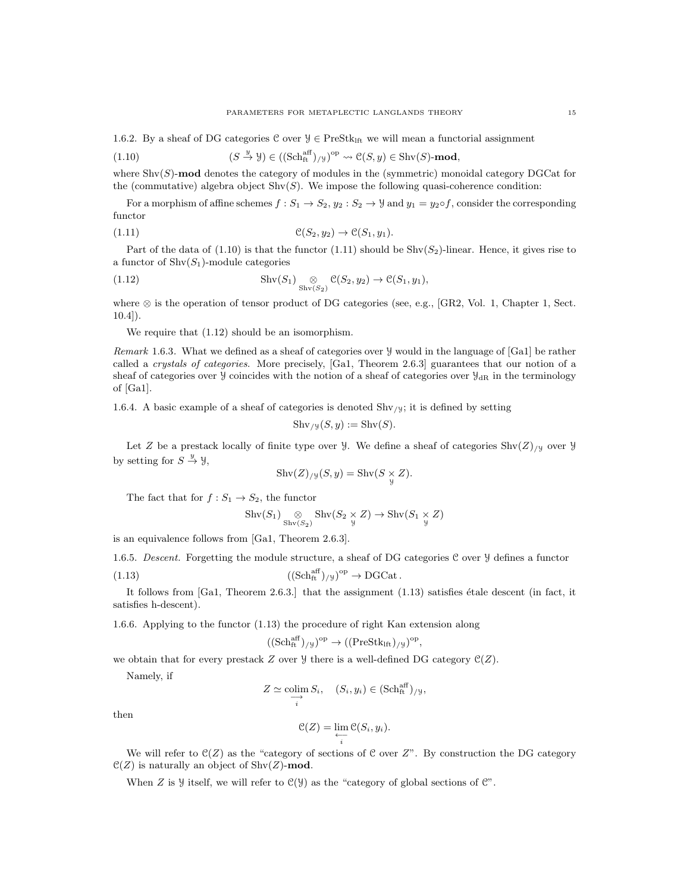1.6.2. By a sheaf of DG categories C over  $\mathcal{Y} \in \text{PreStk}_{\text{If}}$  we will mean a functorial assignment

(1.10) 
$$
(S \stackrel{y}{\to} \mathcal{Y}) \in ((\mathrm{Sch}^{\mathrm{aff}}_{\mathrm{ft}})_{/\mathcal{Y}})^{\mathrm{op}} \rightsquigarrow \mathcal{C}(S, y) \in \mathrm{Shv}(S)\text{-mod},
$$

where  $\text{Shv}(S)$ -mod denotes the category of modules in the (symmetric) monoidal category DGCat for the (commutative) algebra object  $\text{Shv}(S)$ . We impose the following quasi-coherence condition:

For a morphism of affine schemes  $f: S_1 \to S_2$ ,  $y_2: S_2 \to \mathcal{Y}$  and  $y_1 = y_2 \circ f$ , consider the corresponding functor

$$
(1.11) \qquad \qquad \mathcal{C}(S_2, y_2) \to \mathcal{C}(S_1, y_1).
$$

Part of the data of  $(1.10)$  is that the functor  $(1.11)$  should be Shv $(S_2)$ -linear. Hence, it gives rise to a functor of  $\text{Shv}(S_1)$ -module categories

(1.12) 
$$
\operatorname{Shv}(S_1) \underset{\operatorname{Shv}(S_2)}{\otimes} \mathcal{C}(S_2, y_2) \to \mathcal{C}(S_1, y_1),
$$

where ⊗ is the operation of tensor product of DG categories (see, e.g., [GR2, Vol. 1, Chapter 1, Sect. 10.4]).

We require that (1.12) should be an isomorphism.

Remark 1.6.3. What we defined as a sheaf of categories over Y would in the language of [Ga1] be rather called a crystals of categories. More precisely, [Ga1, Theorem 2.6.3] guarantees that our notion of a sheaf of categories over  $\mathcal{Y}$  coincides with the notion of a sheaf of categories over  $\mathcal{Y}_{dR}$  in the terminology of [Ga1].

1.6.4. A basic example of a sheaf of categories is denoted  $\text{Shv}_y$ ; it is defined by setting

$$
Shv_{y}(S, y) := Shv(S).
$$

Let Z be a prestack locally of finite type over *Y*. We define a sheaf of categories  $\text{Shv}(Z)_{/y}$  over *Y* by setting for  $S \stackrel{y}{\rightarrow} \mathcal{Y}$ ,

$$
Shv(Z)_{/y}(S, y) = Shv(S \underset{y}{\times} Z).
$$

The fact that for  $f : S_1 \to S_2$ , the functor

$$
\mathrm{Shv}(S_1) \underset{\mathrm{Shv}(S_2)}{\otimes} \mathrm{Shv}(S_2 \underset{\mathcal{Y}}{\times} Z) \to \mathrm{Shv}(S_1 \underset{\mathcal{Y}}{\times} Z)
$$

is an equivalence follows from [Ga1, Theorem 2.6.3].

1.6.5. Descent. Forgetting the module structure, a sheaf of DG categories C over Y defines a functor (1.13)  $((\text{Sch}^{\text{aff}}_{\text{ft}})_{/\text{Y}})^{\text{op}} \to \text{DGCat}.$ 

It follows from  $[Ga1, Theorem 2.6.3.]$  that the assignment  $(1.13)$  satisfies étale descent (in fact, it satisfies h-descent).

1.6.6. Applying to the functor (1.13) the procedure of right Kan extension along

i

$$
((\mathrm{Sch}^{\mathrm{aff}}_{\mathrm{ft}})_{/\mathcal{Y}})^{\mathrm{op}} \rightarrow ((\mathrm{PreStk}_{\mathrm{lft}})_{/\mathcal{Y}})^{\mathrm{op}},
$$

we obtain that for every prestack Z over  $\frac{1}{2}$  there is a well-defined DG category  $\mathcal{C}(Z)$ .

Namely, if

$$
Z \simeq \mathop{\text{colim}}\limits_{\longrightarrow} S_i, \quad (S_i, y_i) \in (\mathop{\text{Sch}}\nolimits_{\text{ft}}^{\text{aff}})_{/\mathcal{Y}},
$$

then

$$
\mathcal{C}(Z) = \varprojlim_{i} \mathcal{C}(S_i, y_i).
$$

We will refer to  $\mathfrak{C}(Z)$  as the "category of sections of C over  $Z$ ". By construction the DG category  $\mathcal{C}(Z)$  is naturally an object of Shv $(Z)$ -mod.

When Z is y itself, we will refer to  $C(y)$  as the "category of global sections of  $C$ ".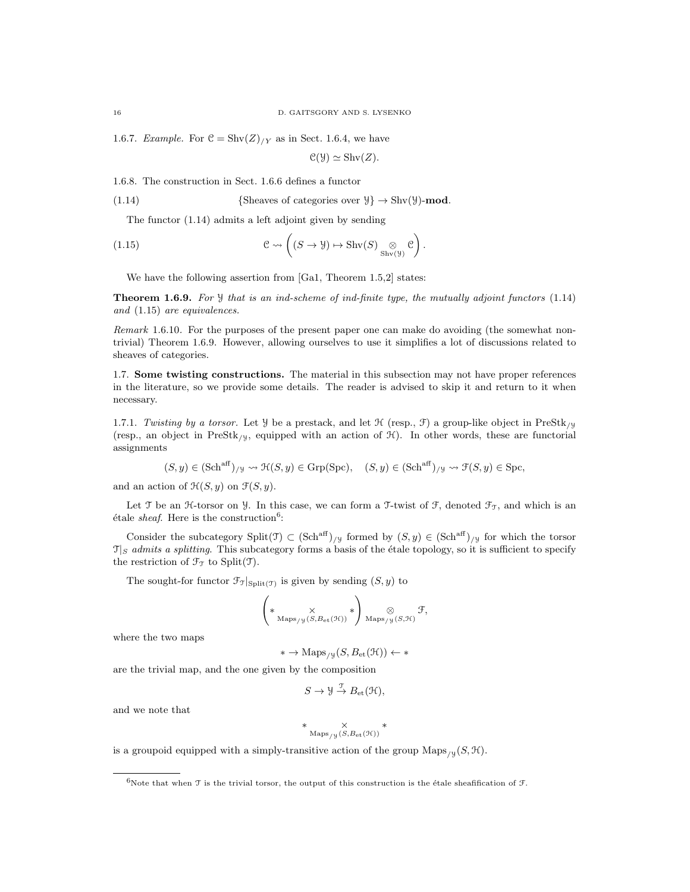1.6.7. Example. For  $C = Shv(Z)/Y$  as in Sect. 1.6.4, we have

$$
\mathcal{C}(\mathcal{Y}) \simeq \operatorname{Shv}(Z).
$$

1.6.8. The construction in Sect. 1.6.6 defines a functor

(1.14) {
$$
Sheaves of categories over \mathcal{Y} \rightarrow Shv(\mathcal{Y})\text{-mod.}
$$

The functor (1.14) admits a left adjoint given by sending

(1.15) 
$$
\mathcal{C} \rightsquigarrow \left( (S \rightarrow \mathcal{Y}) \mapsto \operatorname{Shv}(S) \underset{\operatorname{Shv}(\mathcal{Y})}{\otimes} \mathcal{C} \right).
$$

We have the following assertion from [Ga1, Theorem 1.5,2] states:

**Theorem 1.6.9.** For  $\mathcal{Y}$  that is an ind-scheme of ind-finite type, the mutually adjoint functors  $(1.14)$ and (1.15) are equivalences.

Remark 1.6.10. For the purposes of the present paper one can make do avoiding (the somewhat nontrivial) Theorem 1.6.9. However, allowing ourselves to use it simplifies a lot of discussions related to sheaves of categories.

1.7. Some twisting constructions. The material in this subsection may not have proper references in the literature, so we provide some details. The reader is advised to skip it and return to it when necessary.

1.7.1. Twisting by a torsor. Let Y be a prestack, and let  $\mathcal{H}$  (resp.,  $\mathcal{F}$ ) a group-like object in PreStk<sub>/Y</sub> (resp., an object in PreStk<sub>/Y</sub>, equipped with an action of  $\mathcal{H}$ ). In other words, these are functorial assignments

$$
(S, y) \in (\text{Sch}^{\text{aff}})_{/\mathcal{Y}} \rightsquigarrow \mathfrak{H}(S, y) \in \text{Grp}(Spec), \quad (S, y) \in (\text{Sch}^{\text{aff}})_{/\mathcal{Y}} \rightsquigarrow \mathfrak{F}(S, y) \in \text{Spc},
$$

and an action of  $\mathcal{H}(S, y)$  on  $\mathcal{F}(S, y)$ .

Let T be an H-torsor on Y. In this case, we can form a T-twist of F, denoted  $\mathcal{F}_{\mathcal{T}}$ , and which is an étale sheaf. Here is the construction<sup>6</sup>:

Consider the subcategory Split(T)  $\subset (\text{Sch}^{\text{aff}})_{/\mathcal{Y}}$  formed by  $(S, y) \in (\text{Sch}^{\text{aff}})_{/\mathcal{Y}}$  for which the torsor  $\mathcal{T}|_S$  admits a splitting. This subcategory forms a basis of the étale topology, so it is sufficient to specify the restriction of  $\mathcal{F}_{\mathcal{T}}$  to Split(T).

The sought-for functor  $\mathcal{F}_{\mathcal{T}}|_{\text{Split}(\mathcal{T})}$  is given by sending  $(S, y)$  to

$$
\left(*\underset{\mathrm{Maps}_{/\mathcal{Y}}(S,B_{\mathrm{et}}(\mathcal{H}))}{\times}*\right)_{\mathrm{Maps}_{/\mathcal{Y}}(S,\mathcal{H})}\mathcal{F},
$$

where the two maps

$$
* \to \mathrm{Maps}_{/\mathcal{Y}}(S, B_{\mathrm{et}}(\mathcal{H})) \gets *
$$

are the trivial map, and the one given by the composition

$$
S \to \mathcal{Y} \stackrel{\mathcal{T}}{\to} B_{\mathrm{et}}(\mathcal{H}),
$$

and we note that

$$
* \underset{\mathrm{Maps}_{/\,\mathcal{Y}}\, (S,B_{\mathrm{et}}(\mathcal{H}))}{\times} *
$$

is a groupoid equipped with a simply-transitive action of the group  $\text{Maps}_{/y}(S, \mathcal{H})$ .

<sup>&</sup>lt;sup>6</sup>Note that when T is the trivial torsor, the output of this construction is the étale sheafification of T.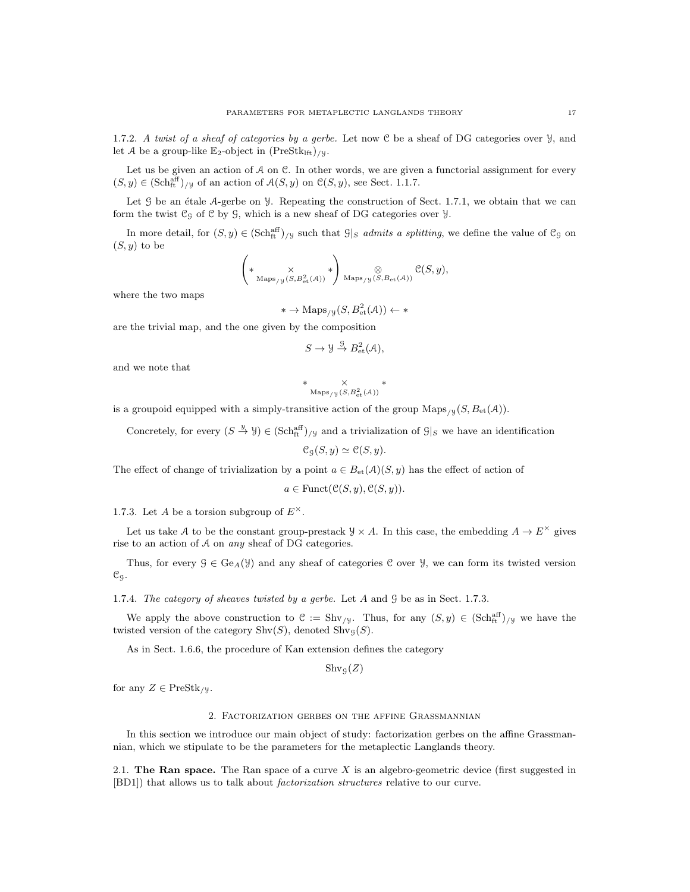1.7.2. A twist of a sheaf of categories by a gerbe. Let now C be a sheaf of DG categories over  $\mathcal{Y}$ , and let A be a group-like  $\mathbb{E}_2$ -object in  $(PreStk<sub>lft</sub>)_{/y}$ .

Let us be given an action of  $A$  on  $C$ . In other words, we are given a functorial assignment for every  $(S, y) \in (\text{Sch}^{\text{aff}}_{\text{ft}})_{y}$  of an action of  $\mathcal{A}(S, y)$  on  $\mathcal{C}(S, y)$ , see Sect. 1.1.7.

Let  $\mathcal G$  be an étale  $\mathcal A$ -gerbe on  $\mathcal Y$ . Repeating the construction of Sect. 1.7.1, we obtain that we can form the twist  $\mathfrak{C}_9$  of  $\mathfrak C$  by  $\mathfrak G$ , which is a new sheaf of DG categories over  $\mathcal Y$ .

In more detail, for  $(S, y) \in (\text{Sch}^{\text{aff}}_{\text{ft}})_{y}$  such that  $\mathcal{G}|_S$  admits a splitting, we define the value of  $\mathcal{C}_S$  on  $(S, y)$  to be

$$
\left(*\underset{\mathrm{Maps}_{/y}(S,B_{\mathrm{et}}^2(\mathcal{A}))}{\times}*\right)_{\mathrm{Maps}_{/y}(S,B_{\mathrm{et}}(\mathcal{A}))}\mathcal{C}(S,y),
$$

where the two maps

$$
* \to \mathrm{Maps}_{/\mathcal{Y}}(S, B_{\mathrm{et}}^2(\mathcal{A})) \leftarrow *
$$

are the trivial map, and the one given by the composition

$$
S \to \mathcal{Y} \stackrel{\mathcal{G}}{\to} B^2_{\text{et}}(\mathcal{A}),
$$

and we note that

$$
* \underset{\text{Maps}_{/y}(S, B_{\text{et}}^2(\mathcal{A}))}{\times} *
$$

is a groupoid equipped with a simply-transitive action of the group  $\text{Maps}_{/y}(S, B_{\text{et}}(\mathcal{A}))$ .

Concretely, for every  $(S \stackrel{y}{\to} Y) \in (\text{Sch}^{\text{aff}}_{tt})_{/Y}$  and a trivialization of  $\mathcal{G}|_S$  we have an identification

$$
\mathcal{C}_{\mathcal{G}}(S, y) \simeq \mathcal{C}(S, y).
$$

The effect of change of trivialization by a point  $a \in B_{\text{et}}(\mathcal{A})(S, y)$  has the effect of action of

 $a \in \text{Funct}(\mathcal{C}(S, y), \mathcal{C}(S, y)).$ 

1.7.3. Let A be a torsion subgroup of  $E^{\times}$ .

Let us take A to be the constant group-prestack  $\mathcal{Y} \times A$ . In this case, the embedding  $A \to E^{\times}$  gives rise to an action of A on any sheaf of DG categories.

Thus, for every  $\mathcal{G} \in \text{Ge}_{A}(\mathcal{Y})$  and any sheaf of categories C over  $\mathcal{Y}$ , we can form its twisted version CG.

1.7.4. The category of sheaves twisted by a gerbe. Let A and G be as in Sect. 1.7.3.

We apply the above construction to  $\mathcal{C} := \text{Shv}_{y}$ . Thus, for any  $(S, y) \in (\text{Sch}^{\text{aff}}_{\text{ft}})_{y}$  we have the twisted version of the category  $\text{Shv}(S)$ , denoted  $\text{Shv}_S(S)$ .

As in Sect. 1.6.6, the procedure of Kan extension defines the category

 $\operatorname{Shv}_{\mathcal{G}}(Z)$ 

for any  $Z \in \text{PreStk}_{/y}$ .

### 2. Factorization gerbes on the affine Grassmannian

In this section we introduce our main object of study: factorization gerbes on the affine Grassmannian, which we stipulate to be the parameters for the metaplectic Langlands theory.

2.1. The Ran space. The Ran space of a curve  $X$  is an algebro-geometric device (first suggested in [BD1]) that allows us to talk about factorization structures relative to our curve.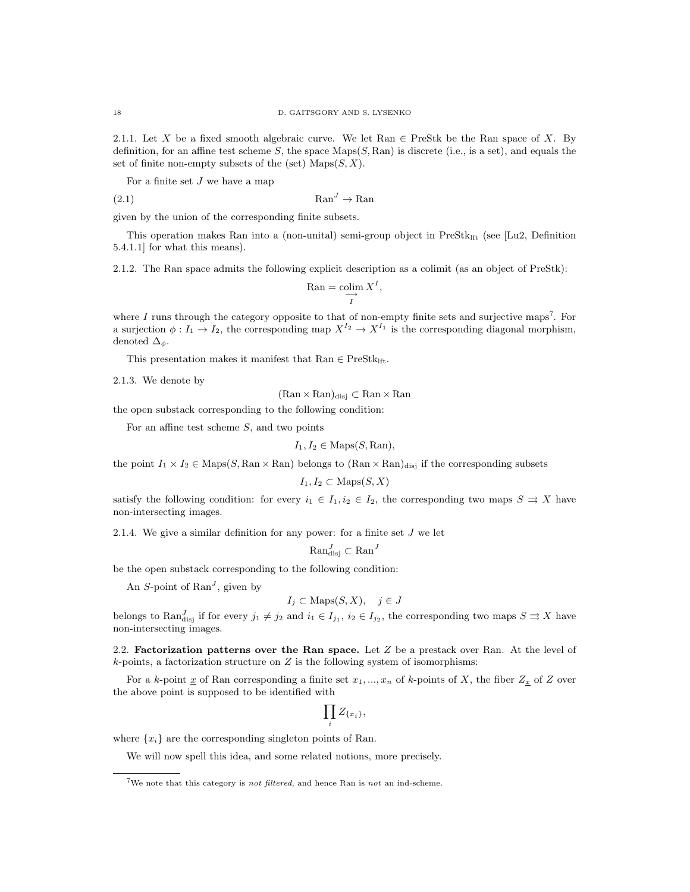2.1.1. Let X be a fixed smooth algebraic curve. We let Ran  $\in$  PreStk be the Ran space of X. By definition, for an affine test scheme S, the space  $Maps(S, Ran)$  is discrete (i.e., is a set), and equals the set of finite non-empty subsets of the (set)  $\text{Maps}(S, X)$ .

For a finite set  $J$  we have a map

$$
(2.1)\quad \mathbf{Ran}^J \to \mathbf{Ran}
$$

given by the union of the corresponding finite subsets.

This operation makes Ran into a (non-unital) semi-group object in PreStk<sub>lft</sub> (see [Lu2, Definition 5.4.1.1] for what this means).

2.1.2. The Ran space admits the following explicit description as a colimit (as an object of PreStk):

$$
\text{Ran} = \underset{I}{\text{colim}} X^I,
$$

where  $I$  runs through the category opposite to that of non-empty finite sets and surjective maps<sup>7</sup>. For a surjection  $\phi: I_1 \to I_2$ , the corresponding map  $X^{I_2} \to X^{I_1}$  is the corresponding diagonal morphism, denoted  $\Delta_{\phi}$ .

This presentation makes it manifest that  $\text{Ran} \in \text{PreStk}_{\text{lft}}$ .

2.1.3. We denote by

$$
(\text{Ran} \times \text{Ran})_{\text{disj}} \subset \text{Ran} \times \text{Ran}
$$

the open substack corresponding to the following condition:

For an affine test scheme  $S$ , and two points

$$
I_1, I_2 \in \text{Maps}(S, \text{Ran}),
$$

the point  $I_1 \times I_2 \in \text{Maps}(S, \text{Ran} \times \text{Ran})$  belongs to  $(\text{Ran} \times \text{Ran})_{\text{disj}}$  if the corresponding subsets

$$
I_1, I_2 \subset \text{Maps}(S, X)
$$

satisfy the following condition: for every  $i_1 \in I_1, i_2 \in I_2$ , the corresponding two maps  $S \rightrightarrows X$  have non-intersecting images.

2.1.4. We give a similar definition for any power: for a finite set  $J$  we let

$$
\mathrm{Ran}_{\mathrm{disj}}^J \subset \mathrm{Ran}^J
$$

be the open substack corresponding to the following condition:

An S-point of  $\text{Ran}^J$ , given by

$$
I_j \subset \text{Maps}(S, X), \quad j \in J
$$

belongs to  $\text{Ran}_{disj}^J$  if for every  $j_1 \neq j_2$  and  $i_1 \in I_{j_1}, i_2 \in I_{j_2}$ , the corresponding two maps  $S \rightrightarrows X$  have non-intersecting images.

2.2. Factorization patterns over the Ran space. Let  $Z$  be a prestack over Ran. At the level of  $k$ -points, a factorization structure on  $Z$  is the following system of isomorphisms:

For a k-point  $\underline{x}$  of Ran corresponding a finite set  $x_1, ..., x_n$  of k-points of X, the fiber  $Z_{\underline{x}}$  of Z over the above point is supposed to be identified with

$$
\prod_i Z_{\{x_i\}},
$$

where  $\{x_i\}$  are the corresponding singleton points of Ran.

We will now spell this idea, and some related notions, more precisely.

<sup>&</sup>lt;sup>7</sup>We note that this category is *not filtered*, and hence Ran is *not* an ind-scheme.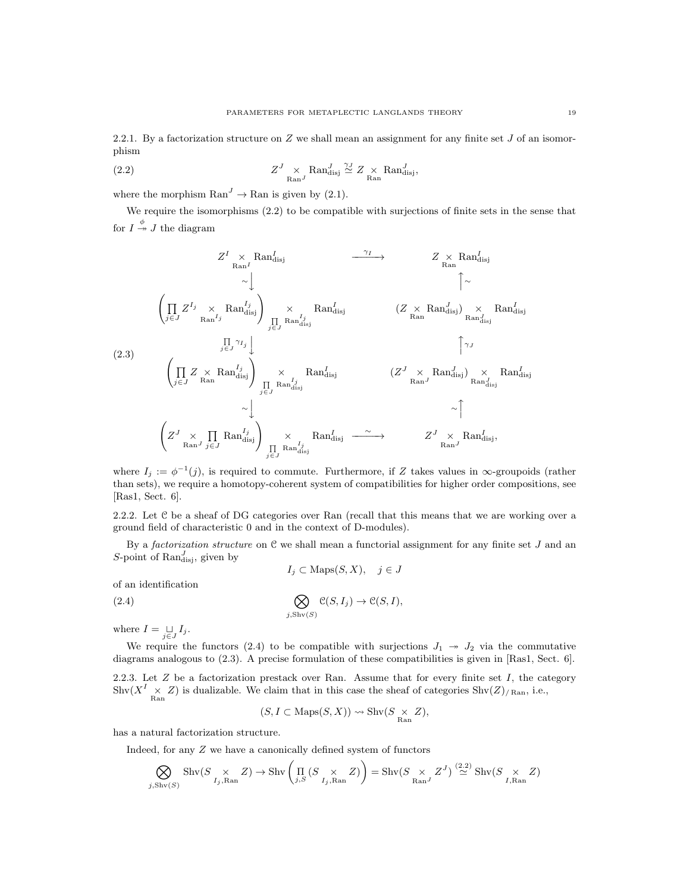2.2.1. By a factorization structure on  $Z$  we shall mean an assignment for any finite set  $J$  of an isomorphism

(2.2) 
$$
Z^J \underset{\text{Ran}^J}{\times} \text{Ran}_{\text{disj}}^J \stackrel{\gamma_J}{\simeq} Z \underset{\text{Ran}}{\times} \text{Ran}_{\text{disj}}^J,
$$

where the morphism  $\text{Ran}^J \to \text{Ran}$  is given by (2.1).

We require the isomorphisms (2.2) to be compatible with surjections of finite sets in the sense that for  $I \stackrel{\phi}{\twoheadrightarrow} J$  the diagram

$$
Z^{I} \times \text{Ran}_{\text{Ran}}^{I} \longrightarrow Z \times \text{Ran}_{\text{disj}}^{I}
$$
\n
$$
\sim \downarrow \qquad \qquad \uparrow \sim
$$
\n
$$
\left(\prod_{j\in J} Z^{I_{j}} \times \text{Ran}_{\text{disj}}^{I_{j}}\right) \times \text{Ran}_{\text{disj}}^{I_{j}} \qquad (Z \times \text{Ran}_{\text{disj}}^{J}) \times \text{Ran}_{\text{disj}}^{I_{j}}
$$
\n
$$
\left(\prod_{j\in J} Z \times \text{Ran}_{\text{disj}}^{I_{j}}\right) \times \text{Ran}_{\text{disj}}^{I_{j}} \qquad \qquad \uparrow \sim
$$
\n
$$
\left(\prod_{j\in J} Z \times \text{Ran}_{\text{disj}}^{I_{j}}\right) \times \text{Ran}_{\text{disj}}^{I_{j}} \qquad (Z^{J} \times \text{Ran}_{\text{disj}}^{J}) \times \text{Ran}_{\text{disj}}^{I_{j}}
$$
\n
$$
\left(Z^{J} \times \text{Ran}_{\text{disj}}^{J} \right) \times \text{Ran}_{\text{disj}}^{I_{j}} \qquad (Z^{J} \times \text{Ran}_{\text{disj}}^{J}) \times \text{Ran}_{\text{disj}}^{I_{j}}
$$
\n
$$
\left(Z^{J} \times \prod_{\text{Ran}} \text{Ran}_{\text{disj}}^{I_{j}}\right) \times \text{Ran}_{\text{disj}}^{I_{j}} \qquad \qquad \uparrow \qquad \qquad \uparrow
$$
\n
$$
\left(Z^{J} \times \prod_{\text{Ran}} \text{Ran}_{\text{disj}}^{I_{j}}\right) \times \text{Ran}_{\text{disj}}^{I_{j}} \qquad \qquad \uparrow \qquad \qquad \uparrow
$$
\n
$$
\left(Z^{J} \times \text{Ran}_{\text{disj}}^{I_{j}}\right) \times \text{Ran}_{\text{disj}}^{I_{j}} \qquad \qquad \uparrow \qquad \qquad \uparrow
$$
\n
$$
\left(Z^{J} \times \text{Ran}_{\text{disj}}^{I_{j}}\right) \times \text{Ran}_{\text{disj}}^{I_{j}} \qquad \qquad \uparrow \qquad \qquad \uparrow
$$

where  $I_j := \phi^{-1}(j)$ , is required to commute. Furthermore, if Z takes values in  $\infty$ -groupoids (rather than sets), we require a homotopy-coherent system of compatibilities for higher order compositions, see [Ras1, Sect. 6].

2.2.2. Let C be a sheaf of DG categories over Ran (recall that this means that we are working over a ground field of characteristic 0 and in the context of D-modules).

By a *factorization structure* on  $C$  we shall mean a functorial assignment for any finite set  $J$  and an S-point of  $\text{Ran}_{disj}^J$ , given by

$$
I_j \subset \text{Maps}(S, X), \quad j \in J
$$

of an identification

(2.4) 
$$
\bigotimes_{j,\text{Shv}(S)} \mathcal{C}(S,I_j) \to \mathcal{C}(S,I),
$$

where  $I = \bigcup_{j \in J} I_j$ .

We require the functors (2.4) to be compatible with surjections  $J_1 \rightarrow J_2$  via the commutative diagrams analogous to (2.3). A precise formulation of these compatibilities is given in [Ras1, Sect. 6].

2.2.3. Let  $Z$  be a factorization prestack over Ran. Assume that for every finite set  $I$ , the category  $\text{Shv}(X^I \times Z)$  is dualizable. We claim that in this case the sheaf of categories  $\text{Shv}(Z)_{/\text{Ran}}$ , i.e.,

$$
(S, I \subset \text{Maps}(S, X)) \rightsquigarrow \text{Shv}(S \underset{\text{Ran}}{\times} Z),
$$

has a natural factorization structure.

Indeed, for any Z we have a canonically defined system of functors

$$
\bigotimes_{j,\operatorname{Shv}(S)} \operatorname{Shv}(S \underset{I_j,\operatorname{Ran}}{\times} Z) \to \operatorname{Shv}\left(\prod_{j,S} \left(S \underset{I_j,\operatorname{Ran}}{\times} Z\right)\right) = \operatorname{Shv}(S \underset{\operatorname{Ran}^J}{\times} Z^J) \stackrel{(2.2)}{\simeq} \operatorname{Shv}(S \underset{I,\operatorname{Ran}}{\times} Z)
$$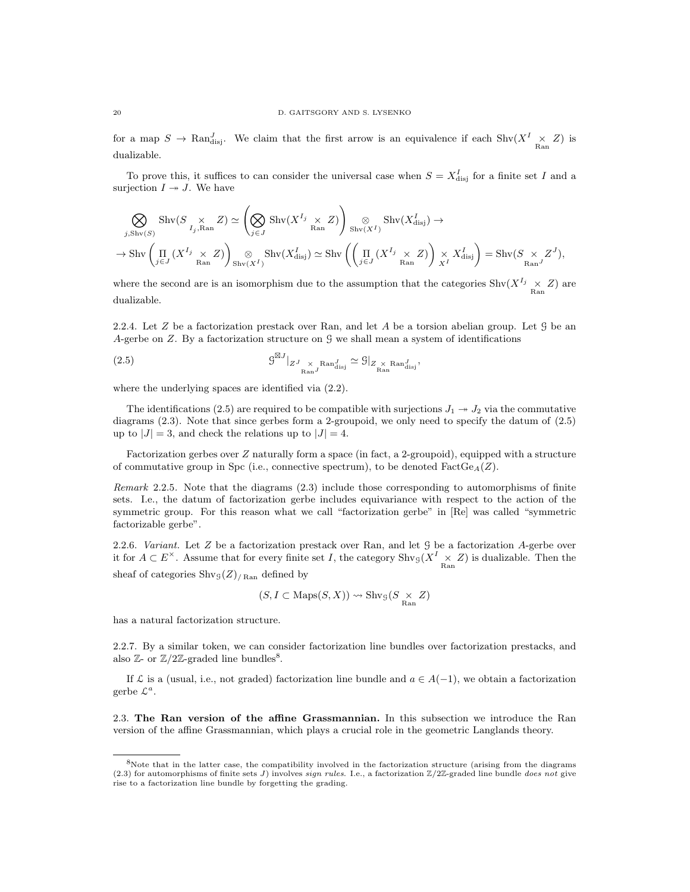for a map  $S \to \text{Ran}_{\text{disj}}^J$ . We claim that the first arrow is an equivalence if each  $\text{Shv}(X^I \times Z)$  is dualizable.

To prove this, it suffices to can consider the universal case when  $S = X_{\text{disj}}^I$  for a finite set I and a surjection  $I \rightarrow J$ . We have

$$
\bigotimes_{j,\mathrm{Shv}(S)} \mathrm{Shv}(S \underset{I_j,\mathrm{Ran}}{\times} Z) \simeq \left( \bigotimes_{j \in J} \mathrm{Shv}(X^{I_j} \underset{\mathrm{Ran}}{\times} Z) \right) \underset{\mathrm{Shv}(X^I)}{\otimes} \mathrm{Shv}(X^I_{\mathrm{disj}}) \to
$$
  

$$
\to \mathrm{Shv}\left( \underset{j \in J}{\Pi} (X^{I_j} \underset{\mathrm{Ran}}{\times} Z) \right) \underset{\mathrm{Shv}(X^I)}{\otimes} \mathrm{Shv}(X^I_{\mathrm{disj}}) \simeq \mathrm{Shv}\left( \left( \underset{j \in J}{\Pi} (X^{I_j} \underset{\mathrm{Ran}}{\times} Z) \right) \underset{X^I}{\times} X^I_{\mathrm{disj}} \right) = \mathrm{Shv}(S \underset{\mathrm{Ran}}{\times} Z^J),
$$

where the second are is an isomorphism due to the assumption that the categories  $\text{Shv}(X^{I_j} \times Z)$  are dualizable.

2.2.4. Let Z be a factorization prestack over Ran, and let A be a torsion abelian group. Let  $\mathcal G$  be an A-gerbe on Z. By a factorization structure on  $\mathcal G$  we shall mean a system of identifications

(2.5) 
$$
\mathcal{G}^{\boxtimes J}|_{Z^J \underset{\text{Ran}^J}{\times} \text{Ran}^J_{\text{disj}}} \simeq \mathcal{G}|_{Z^{\underset{\text{Ran}}{\times} \text{Ran}^J_{\text{disj}}}},
$$

where the underlying spaces are identified via (2.2).

The identifications (2.5) are required to be compatible with surjections  $J_1 \rightarrow J_2$  via the commutative diagrams (2.3). Note that since gerbes form a 2-groupoid, we only need to specify the datum of (2.5) up to  $|J| = 3$ , and check the relations up to  $|J| = 4$ .

Factorization gerbes over Z naturally form a space (in fact, a 2-groupoid), equipped with a structure of commutative group in Spc (i.e., connective spectrum), to be denoted  $FactGe<sub>A</sub>(Z)$ .

Remark 2.2.5. Note that the diagrams (2.3) include those corresponding to automorphisms of finite sets. I.e., the datum of factorization gerbe includes equivariance with respect to the action of the symmetric group. For this reason what we call "factorization gerbe" in [Re] was called "symmetric factorizable gerbe".

2.2.6. Variant. Let  $Z$  be a factorization prestack over Ran, and let  $\mathcal G$  be a factorization  $A$ -gerbe over it for  $A \subset E^{\times}$ . Assume that for every finite set I, the category  $\text{Shv}_\mathcal{G}(X^I \times Z)$  is dualizable. Then the sheaf of categories  $\text{Shv}_\mathcal{G}(Z)_{/\text{Ran}}$  defined by

$$
(S, I \subset \text{Maps}(S, X)) \leadsto \text{Shv}_{\mathcal{G}}(S \underset{\text{Ran}}{\times} Z)
$$

has a natural factorization structure.

2.2.7. By a similar token, we can consider factorization line bundles over factorization prestacks, and also  $\mathbb{Z}$ - or  $\mathbb{Z}/2\mathbb{Z}$ -graded line bundles<sup>8</sup>.

If  $\mathcal L$  is a (usual, i.e., not graded) factorization line bundle and  $a \in A(-1)$ , we obtain a factorization gerbe  $\mathcal{L}^a$ .

2.3. The Ran version of the affine Grassmannian. In this subsection we introduce the Ran version of the affine Grassmannian, which plays a crucial role in the geometric Langlands theory.

<sup>8</sup>Note that in the latter case, the compatibility involved in the factorization structure (arising from the diagrams (2.3) for automorphisms of finite sets J) involves sign rules. I.e., a factorization  $\mathbb{Z}/2\mathbb{Z}$ -graded line bundle does not give rise to a factorization line bundle by forgetting the grading.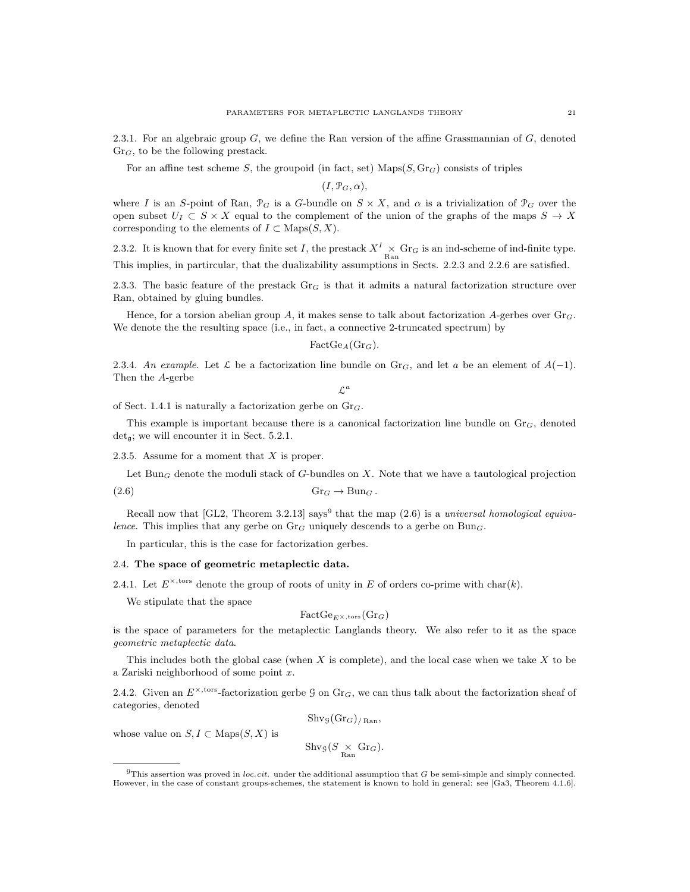2.3.1. For an algebraic group  $G$ , we define the Ran version of the affine Grassmannian of  $G$ , denoted  $Gr_G$ , to be the following prestack.

For an affine test scheme S, the groupoid (in fact, set)  $\text{Maps}(S, \text{Gr}_G)$  consists of triples

 $(I, \mathcal{P}_G, \alpha),$ 

where I is an S-point of Ran,  $\mathcal{P}_G$  is a G-bundle on  $S \times X$ , and  $\alpha$  is a trivialization of  $\mathcal{P}_G$  over the open subset  $U_I \subset S \times X$  equal to the complement of the union of the graphs of the maps  $S \to X$ corresponding to the elements of  $I \subset \text{Maps}(S, X)$ .

2.3.2. It is known that for every finite set I, the prestack  $X^I \times \text{Gr}_G$  is an ind-scheme of ind-finite type. This implies, in partircular, that the dualizability assumptions in Sects. 2.2.3 and 2.2.6 are satisfied.

2.3.3. The basic feature of the prestack  $Gr_G$  is that it admits a natural factorization structure over Ran, obtained by gluing bundles.

Hence, for a torsion abelian group A, it makes sense to talk about factorization A-gerbes over  $\text{Gr}_G$ . We denote the the resulting space (i.e., in fact, a connective 2-truncated spectrum) by

$$
FactGe_A(\mathrm{Gr}_G).
$$

2.3.4. An example. Let  $\mathcal L$  be a factorization line bundle on Gr<sub>G</sub>, and let a be an element of  $A(-1)$ . Then the A-gerbe

 $\mathcal{L}^a$ 

of Sect. 1.4.1 is naturally a factorization gerbe on  $\text{Gr}_G$ .

This example is important because there is a canonical factorization line bundle on  $\mathrm{Gr}_G$ , denoted  $det_{\mathfrak{a}}$ ; we will encounter it in Sect. 5.2.1.

2.3.5. Assume for a moment that  $X$  is proper.

Let Bun<sub>G</sub> denote the moduli stack of G-bundles on  $X$ . Note that we have a tautological projection

$$
(2.6) \t\t\t Gr_G \to Bun_G.
$$

Recall now that [GL2, Theorem 3.2.13] says<sup>9</sup> that the map  $(2.6)$  is a universal homological equivalence. This implies that any gerbe on  $\text{Gr}_G$  uniquely descends to a gerbe on  $\text{Bun}_G$ .

In particular, this is the case for factorization gerbes.

### 2.4. The space of geometric metaplectic data.

2.4.1. Let  $E^{\times, \text{tors}}$  denote the group of roots of unity in E of orders co-prime with char(k).

We stipulate that the space

$$
\text{FactGe}_{E^{\times}, \text{tors}}(\text{Gr}_G)
$$

is the space of parameters for the metaplectic Langlands theory. We also refer to it as the space geometric metaplectic data.

This includes both the global case (when X is complete), and the local case when we take X to be a Zariski neighborhood of some point x.

2.4.2. Given an  $E^{\times, \text{tors}}$ -factorization gerbe G on Gr<sub>G</sub>, we can thus talk about the factorization sheaf of categories, denoted

$$
\mathrm{Shv}_\mathcal{G}(\mathrm{Gr}_G)_{/\mathrm{Ran}},
$$

whose value on  $S, I \subset \text{Maps}(S, X)$  is

$$
\mathrm{Shv}_{\mathcal{G}}(S \underset{\mathrm{Ran}}{\times} \mathrm{Gr}_G).
$$

 $9$ This assertion was proved in loc.cit. under the additional assumption that G be semi-simple and simply connected. However, in the case of constant groups-schemes, the statement is known to hold in general: see [Ga3, Theorem 4.1.6].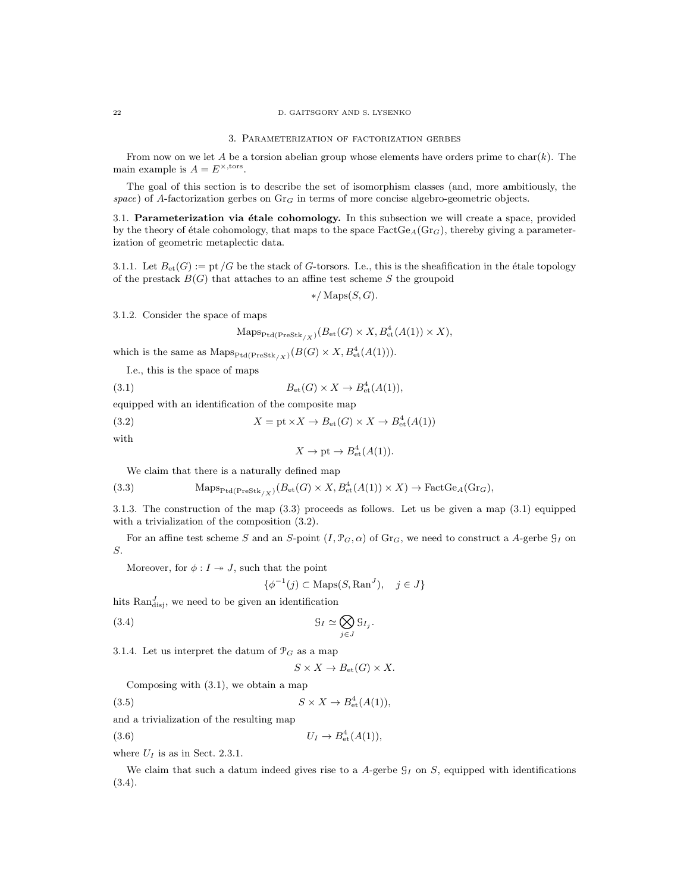#### 3. Parameterization of factorization gerbes

From now on we let A be a torsion abelian group whose elements have orders prime to char(k). The main example is  $A = E^{\times, \text{tors}}$ .

The goal of this section is to describe the set of isomorphism classes (and, more ambitiously, the space) of A-factorization gerbes on  $\text{Gr}_G$  in terms of more concise algebro-geometric objects.

3.1. Parameterization via étale cohomology. In this subsection we will create a space, provided by the theory of étale cohomology, that maps to the space  $\text{FactGe}_{A}(\text{Gr}_{G})$ , thereby giving a parameterization of geometric metaplectic data.

3.1.1. Let  $B_{\text{et}}(G) := \text{pt } /G$  be the stack of G-torsors. I.e., this is the sheafification in the étale topology of the prestack  $B(G)$  that attaches to an affine test scheme S the groupoid

$$
*/\operatorname{Maps}(S,G).
$$

3.1.2. Consider the space of maps

$$
\operatorname{Maps}_{\operatorname{Ptd}(\operatorname{PreStk}_{/X})}(B_{\operatorname{et}}(G) \times X, B^4_{\operatorname{et}}(A(1)) \times X),
$$

which is the same as  $\text{Maps}_{\text{Ptd}(\text{PreStk}_{/X})}(B(G) \times X, B^4_{\text{et}}(A(1))).$ 

I.e., this is the space of maps

(3.1) 
$$
B_{\mathrm{et}}(G) \times X \to B_{\mathrm{et}}^4(A(1)),
$$

equipped with an identification of the composite map

(3.2)  $X = \text{pt} \times X \to B_{\text{et}}(G) \times X \to B_{\text{et}}^4(A(1))$ 

with

$$
X \to \text{pt} \to B^4_{\text{et}}(A(1)).
$$

We claim that there is a naturally defined map

(3.3) 
$$
\text{Maps}_{\text{Ptd}(\text{PreStk}_{/X})}(B_{\text{et}}(G) \times X, B_{\text{et}}^4(A(1)) \times X) \to \text{FactGe}_A(\text{Gr}_G),
$$

3.1.3. The construction of the map (3.3) proceeds as follows. Let us be given a map (3.1) equipped with a trivialization of the composition (3.2).

For an affine test scheme S and an S-point  $(I, \mathcal{P}_G, \alpha)$  of  $\text{Gr}_G$ , we need to construct a A-gerbe  $\mathcal{G}_I$  on S.

Moreover, for  $\phi: I \rightarrow J$ , such that the point

$$
\{\phi^{-1}(j) \subset \text{Maps}(S, \text{Ran}^J), \quad j \in J\}
$$

hits  $\text{Ran}_{disj}^J$ , we need to be given an identification

(3.4) G<sup>I</sup> ' O j∈J G<sup>I</sup><sup>j</sup>

3.1.4. Let us interpret the datum of  $\mathcal{P}_G$  as a map

$$
S \times X \to B_{\text{et}}(G) \times X.
$$

.

Composing with (3.1), we obtain a map

$$
(3.5) \t\t S \times X \to B^4_{\text{et}}(A(1)),
$$

and a trivialization of the resulting map

(3.6)  $U_I \to B_{\text{et}}^4(A(1)),$ 

where  $U_I$  is as in Sect. 2.3.1.

We claim that such a datum indeed gives rise to a A-gerbe  $\mathcal{G}_I$  on S, equipped with identifications (3.4).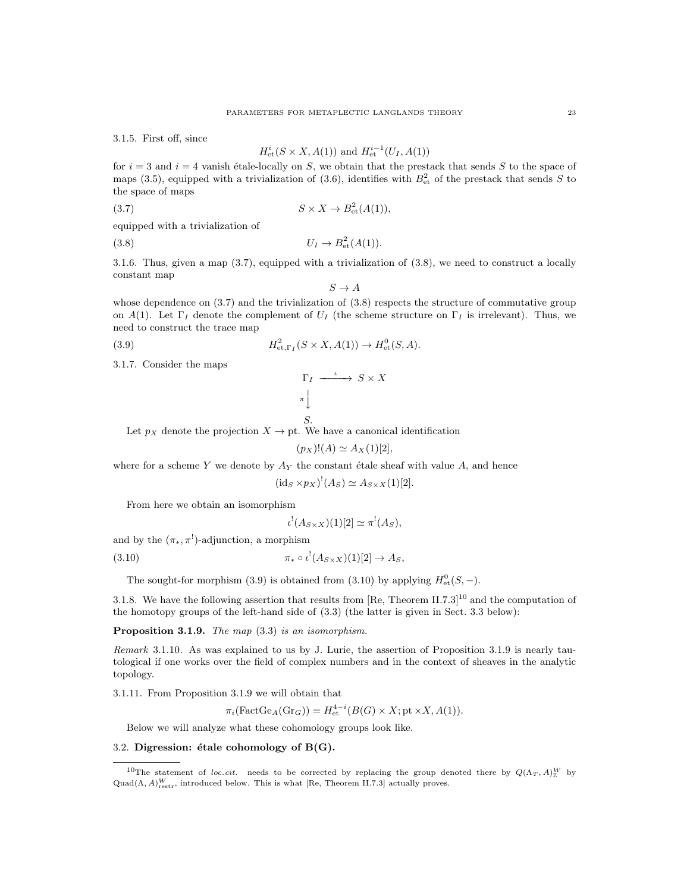3.1.5. First off, since

$$
H_{\text{et}}^{i}(S \times X, A(1))
$$
 and  $H_{\text{et}}^{i-1}(U_{I}, A(1))$ 

for  $i = 3$  and  $i = 4$  vanish étale-locally on S, we obtain that the prestack that sends S to the space of maps (3.5), equipped with a trivialization of (3.6), identifies with  $B_{\text{et}}^2$  of the prestack that sends S to the space of maps

$$
(3.7) \t\t S \times X \to B_{\text{et}}^2(A(1)),
$$

equipped with a trivialization of

(3.8)  $U_I \to B_{\text{et}}^2(A(1)).$ 

3.1.6. Thus, given a map (3.7), equipped with a trivialization of (3.8), we need to construct a locally constant map

 $S \to A$ 

whose dependence on  $(3.7)$  and the trivialization of  $(3.8)$  respects the structure of commutative group on A(1). Let  $\Gamma_I$  denote the complement of  $U_I$  (the scheme structure on  $\Gamma_I$  is irrelevant). Thus, we need to construct the trace map

(3.9) 
$$
H^2_{\text{et},\Gamma_I}(S \times X, A(1)) \to H^0_{\text{et}}(S, A).
$$

3.1.7. Consider the maps

$$
\begin{array}{ccc}\n\Gamma_I & \xrightarrow{\iota} & S \times X \\
\pi & & \\
\downarrow & & \\
S.\n\end{array}
$$

Let  $p_X$  denote the projection  $X \to pt$ . We have a canonical identification

$$
(p_X)!(A) \simeq A_X(1)[2],
$$

where for a scheme Y we denote by  $A_Y$  the constant étale sheaf with value  $A$ , and hence

$$
(\mathrm{id}_S \times p_X)^!(A_S) \simeq A_{S \times X}(1)[2].
$$

From here we obtain an isomorphism

$$
\iota^!(A_{S\times X})(1)[2] \simeq \pi^!(A_S),
$$

and by the  $(\pi_*, \pi^!)$ -adjunction, a morphism

$$
\pi_* \circ \iota^!(A_{S \times X})(1)[2] \to A_S,
$$

The sought-for morphism (3.9) is obtained from (3.10) by applying  $H_{\text{et}}^{0}(S, -)$ .

3.1.8. We have the following assertion that results from [Re, Theorem II.7.3]<sup>10</sup> and the computation of the homotopy groups of the left-hand side of (3.3) (the latter is given in Sect. 3.3 below):

Proposition 3.1.9. The map  $(3.3)$  is an isomorphism.

Remark 3.1.10. As was explained to us by J. Lurie, the assertion of Proposition 3.1.9 is nearly tautological if one works over the field of complex numbers and in the context of sheaves in the analytic topology.

3.1.11. From Proposition 3.1.9 we will obtain that

 $\pi_i(\text{FactGe}_A(\text{Gr}_G)) = H_{\text{et}}^{4-i}(B(G) \times X; \text{pt} \times X, A(1)).$ 

Below we will analyze what these cohomology groups look like.

### 3.2. Digression: étale cohomology of  $B(G)$ .

<sup>&</sup>lt;sup>10</sup>The statement of loc.cit. needs to be corrected by replacing the group denoted there by  $Q(\Lambda_T, A)_Z^W$  by  $\text{Quad}(\Lambda, A)_{\text{restr}}^W$ , introduced below. This is what [Re, Theorem II.7.3] actually proves.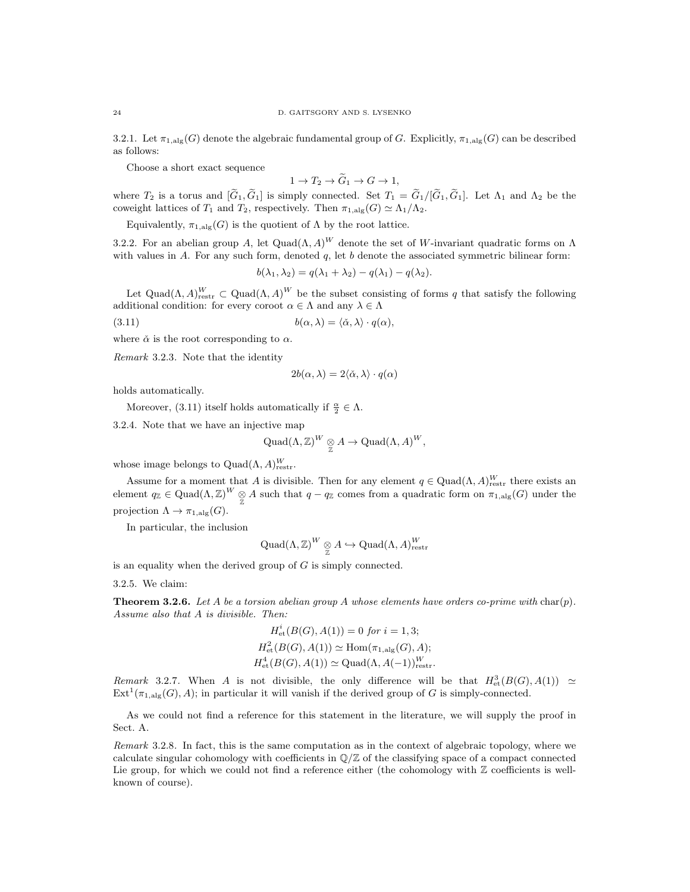3.2.1. Let  $\pi_{1,\mathrm{alg}}(G)$  denote the algebraic fundamental group of G. Explicitly,  $\pi_{1,\mathrm{alg}}(G)$  can be described as follows:

Choose a short exact sequence

 $1 \to T_2 \to \widetilde{G}_1 \to G \to 1$ ,

where  $T_2$  is a torus and  $[G_1, G_1]$  is simply connected. Set  $T_1 = G_1/[G_1, G_1]$ . Let  $\Lambda_1$  and  $\Lambda_2$  be the coweight lattices of  $T_1$  and  $T_2$ , respectively. Then  $\pi_{1, \text{alg}}(G) \simeq \Lambda_1/\Lambda_2$ .

Equivalently,  $\pi_{1,\mathrm{alg}}(G)$  is the quotient of  $\Lambda$  by the root lattice.

3.2.2. For an abelian group A, let  $\text{Quad}(\Lambda, A)^W$  denote the set of W-invariant quadratic forms on  $\Lambda$ with values in  $A$ . For any such form, denoted  $q$ , let  $b$  denote the associated symmetric bilinear form:

$$
b(\lambda_1, \lambda_2) = q(\lambda_1 + \lambda_2) - q(\lambda_1) - q(\lambda_2).
$$

Let Quad( $\Lambda$ ,  $A$ )<sup>W</sup> cannot  $(A, A)^W$  be the subset consisting of forms q that satisfy the following additional condition: for every coroot  $\alpha \in \Lambda$  and any  $\lambda \in \Lambda$ 

(3.11) 
$$
b(\alpha, \lambda) = \langle \check{\alpha}, \lambda \rangle \cdot q(\alpha),
$$

where  $\check{\alpha}$  is the root corresponding to  $\alpha$ .

Remark 3.2.3. Note that the identity

$$
2b(\alpha, \lambda) = 2\langle \check{\alpha}, \lambda \rangle \cdot q(\alpha)
$$

holds automatically.

Moreover, (3.11) itself holds automatically if  $\frac{\alpha}{2} \in \Lambda$ .

3.2.4. Note that we have an injective map

$$
\mathrm{Quad}(\Lambda,{\mathbb Z})^W \underset{\mathbb Z}{\otimes} A \to \mathrm{Quad}(\Lambda,A)^W,
$$

whose image belongs to  $\text{Quad}(\Lambda, A)_{\text{restr}}^W$ .

Assume for a moment that A is divisible. Then for any element  $q \in \text{Quad}(\Lambda, A)_{\text{restr}}^W$  there exists an element  $q_{\mathbb{Z}} \in \text{Quad}(\Lambda, \mathbb{Z})^W \underset{\mathbb{Z}}{\otimes} A$  such that  $q - q_{\mathbb{Z}}$  comes from a quadratic form on  $\pi_{1, \text{alg}}(G)$  under the projection  $\Lambda \to \pi_{1,\text{alg}}(G)$ .

In particular, the inclusion

$$
\mathrm{Quad}(\Lambda,{\mathbb Z})^W \underset{{\mathbb Z}}{\otimes} A \hookrightarrow \mathrm{Quad}(\Lambda,A)^W_{\mathrm{restr}}
$$

is an equality when the derived group of  $G$  is simply connected.

3.2.5. We claim:

**Theorem 3.2.6.** Let A be a torsion abelian group A whose elements have orders co-prime with char(p). Assume also that A is divisible. Then:

$$
H_{\text{et}}^{i}(B(G), A(1)) = 0 \text{ for } i = 1, 3;
$$
  

$$
H_{\text{et}}^{2}(B(G), A(1)) \simeq \text{Hom}(\pi_{1, \text{alg}}(G), A);
$$
  

$$
H_{\text{et}}^{4}(B(G), A(1)) \simeq \text{Quad}(\Lambda, A(-1))_{\text{restr}}^{W}.
$$

Remark 3.2.7. When A is not divisible, the only difference will be that  $H^3_{\text{\rm et}}(B(G),A(1)) \simeq$  $\text{Ext}^1(\pi_{1,\text{alg}}(G), A);$  in particular it will vanish if the derived group of G is simply-connected.

As we could not find a reference for this statement in the literature, we will supply the proof in Sect. A.

Remark 3.2.8. In fact, this is the same computation as in the context of algebraic topology, where we calculate singular cohomology with coefficients in  $\mathbb{O}/\mathbb{Z}$  of the classifying space of a compact connected Lie group, for which we could not find a reference either (the cohomology with  $\mathbb Z$  coefficients is wellknown of course).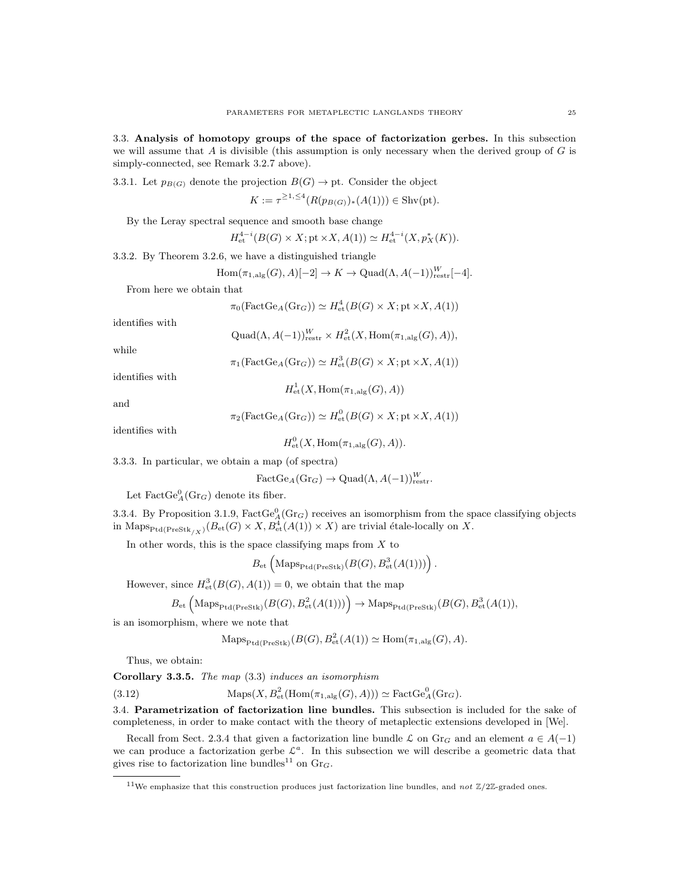3.3. Analysis of homotopy groups of the space of factorization gerbes. In this subsection we will assume that A is divisible (this assumption is only necessary when the derived group of  $G$  is simply-connected, see Remark 3.2.7 above).

3.3.1. Let  $p_{B(G)}$  denote the projection  $B(G) \to \text{pt}$ . Consider the object

$$
K := \tau^{\ge 1, \le 4}(R(p_{B(G)})_*(A(1))) \in \text{Shv(pt)}.
$$

By the Leray spectral sequence and smooth base change

$$
H_{\text{et}}^{4-i}(B(G) \times X; \text{pt} \times X, A(1)) \simeq H_{\text{et}}^{4-i}(X, p_X^*(K)).
$$

3.3.2. By Theorem 3.2.6, we have a distinguished triangle

$$
Hom(\pi_{1,\mathrm{alg}}(G), A)[-2] \to K \to \mathrm{Quad}(\Lambda, A(-1))_{\mathrm{restr}}^W[-4].
$$

From here we obtain that

$$
\pi_0(\text{FactGe}_A(\text{Gr}_G)) \simeq H^4_{\text{et}}(B(G) \times X; \text{pt} \times X, A(1))
$$

identifies with

$$
\text{Quad}(\Lambda, A(-1))_{\text{restr}}^W \times H^2_{\text{et}}(X, \text{Hom}(\pi_{1, \text{alg}}(G), A)),
$$

while

$$
\pi_1(\text{FactGe}_A(\text{Gr}_G)) \simeq H^3_{\text{et}}(B(G) \times X; \text{pt} \times X, A(1))
$$

identifies with

and

$$
H_{\text{et}}^1(X, \text{Hom}(\pi_{1,\text{alg}}(G), A))
$$
  

$$
\pi_2(\text{FactGe}_A(\text{Gr}_G)) \simeq H_{\text{et}}^0(B(G) \times X; \text{pt} \times X, A(1))
$$

identifies with

$$
H^0_{\text{et}}(X, \text{Hom}(\pi_{1,\text{alg}}(G), A)).
$$

3.3.3. In particular, we obtain a map (of spectra)

$$
\text{FactGe}_{A}(\text{Gr}_G) \to \text{Quad}(\Lambda, A(-1))_{\text{restr}}^W.
$$

Let  $\text{FactGe}_{A}^0(\text{Gr}_G)$  denote its fiber.

3.3.4. By Proposition 3.1.9,  $FactGe_A^0(Gr_G)$  receives an isomorphism from the space classifying objects in Maps $_{\text{Ptd}(\text{PreStk}_{/X})}(B_{\text{et}}(G) \times X, B_{\text{et}}^4(A(1)) \times X)$  are trivial étale-locally on X.

In other words, this is the space classifying maps from  $X$  to

$$
B_{\mathrm{et}}\left(\mathrm{Maps}_{\mathrm{Ptd}(\mathrm{PreStk})}(B(G), B^3_{\mathrm{et}}(A(1)))\right).
$$

However, since  $H^3_{\text{\rm et}}(B(G), A(1)) = 0$ , we obtain that the map

$$
B_{\mathrm{et}}\left(\mathrm{Maps}_{\mathrm{PteStk}}(B(G), B^2_{\mathrm{et}}(A(1)))\right) \to \mathrm{Maps}_{\mathrm{Ptd}(\mathrm{PreStk})}(B(G), B^3_{\mathrm{et}}(A(1)),
$$

is an isomorphism, where we note that

$$
\operatorname{Maps}_{\operatorname{Ptd}(\operatorname{PreStk})}(B(G), B^2_{\text{et}}(A(1)) \simeq \operatorname{Hom}(\pi_{1,\operatorname{alg}}(G), A).
$$

Thus, we obtain:

Corollary 3.3.5. The map (3.3) induces an isomorphism

(3.12) 
$$
\text{Maps}(X, B^2_{\text{et}}(\text{Hom}(\pi_{1,\text{alg}}(G), A))) \simeq \text{FactGe}_A^0(\text{Gr}_G).
$$

3.4. Parametrization of factorization line bundles. This subsection is included for the sake of completeness, in order to make contact with the theory of metaplectic extensions developed in [We].

Recall from Sect. 2.3.4 that given a factorization line bundle  $\mathcal L$  on  $Gr_G$  and an element  $a \in A(-1)$ we can produce a factorization gerbe  $\mathcal{L}^a$ . In this subsection we will describe a geometric data that gives rise to factorization line bundles<sup>11</sup> on  $\text{Gr}_G$ .

<sup>&</sup>lt;sup>11</sup>We emphasize that this construction produces just factorization line bundles, and not  $\mathbb{Z}/2\mathbb{Z}$ -graded ones.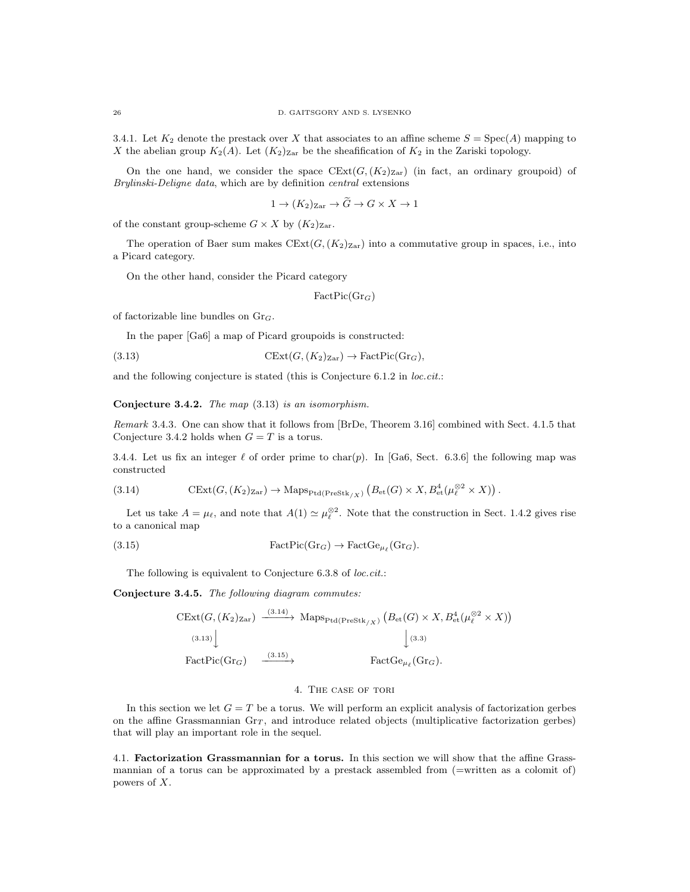3.4.1. Let  $K_2$  denote the prestack over X that associates to an affine scheme  $S = Spec(A)$  mapping to X the abelian group  $K_2(A)$ . Let  $(K_2)_{\text{Zar}}$  be the sheafification of  $K_2$  in the Zariski topology.

On the one hand, we consider the space  $CExt(G,(K_2)_{Zar})$  (in fact, an ordinary groupoid) of Brylinski-Deligne data, which are by definition central extensions

$$
1 \to (K_2)_{\text{Zar}} \to \widetilde{G} \to G \times X \to 1
$$

of the constant group-scheme  $G \times X$  by  $(K_2)_{\text{Zar}}$ .

The operation of Baer sum makes  $CExt(G,(K_2)_{\text{Zar}})$  into a commutative group in spaces, i.e., into a Picard category.

On the other hand, consider the Picard category

 $FactPic(Gr_G)$ 

of factorizable line bundles on  $\text{Gr}_G$ .

In the paper [Ga6] a map of Picard groupoids is constructed:

(3.13) 
$$
CExt(G, (K_2)_{\text{Zar}}) \to \text{FactPic}(Gr_G),
$$

and the following conjecture is stated (this is Conjecture 6.1.2 in loc.cit.:

Conjecture 3.4.2. The map (3.13) is an isomorphism.

Remark 3.4.3. One can show that it follows from [BrDe, Theorem 3.16] combined with Sect. 4.1.5 that Conjecture 3.4.2 holds when  $G = T$  is a torus.

3.4.4. Let us fix an integer  $\ell$  of order prime to char(p). In [Ga6, Sect. 6.3.6] the following map was constructed

(3.14) 
$$
CExt(G,(K_2)_{\text{Zar}}) \to \text{Maps}_{\text{Ptd}(\text{PreStk}_{/X})}(B_{\text{et}}(G) \times X, B_{\text{et}}^4(\mu_{\ell}^{\otimes 2} \times X)).
$$

Let us take  $A = \mu_{\ell}$ , and note that  $A(1) \simeq \mu_{\ell}^{\otimes 2}$ . Note that the construction in Sect. 1.4.2 gives rise to a canonical map

(3.15) 
$$
FactPic(Gr_G) \to FactGe_{\mu_{\ell}}(Gr_G).
$$

The following is equivalent to Conjecture 6.3.8 of *loc.cit.*:

Conjecture 3.4.5. The following diagram commutes:

$$
\begin{aligned}\n\text{CExt}(G, (K_2)_{\text{Zar}}) &\xrightarrow{(3.14)} \text{Maps}_{\text{Ptd}(\text{PreStk}_{/X})} \left( B_{\text{et}}(G) \times X, B_{\text{et}}^4(\mu_{\ell}^{\otimes 2} \times X) \right) \\
&\xrightarrow{(3.13)} \downarrow \qquad \qquad \downarrow (3.3) \\
\text{FactPic}(Gr_G) &\xrightarrow{(3.15)} \text{FactGe}_{\mu_{\ell}}(Gr_G).\n\end{aligned}
$$

### 4. The case of tori

In this section we let  $G = T$  be a torus. We will perform an explicit analysis of factorization gerbes on the affine Grassmannian  $\text{Gr}_T$ , and introduce related objects (multiplicative factorization gerbes) that will play an important role in the sequel.

4.1. Factorization Grassmannian for a torus. In this section we will show that the affine Grassmannian of a torus can be approximated by a prestack assembled from (=written as a colomit of) powers of X.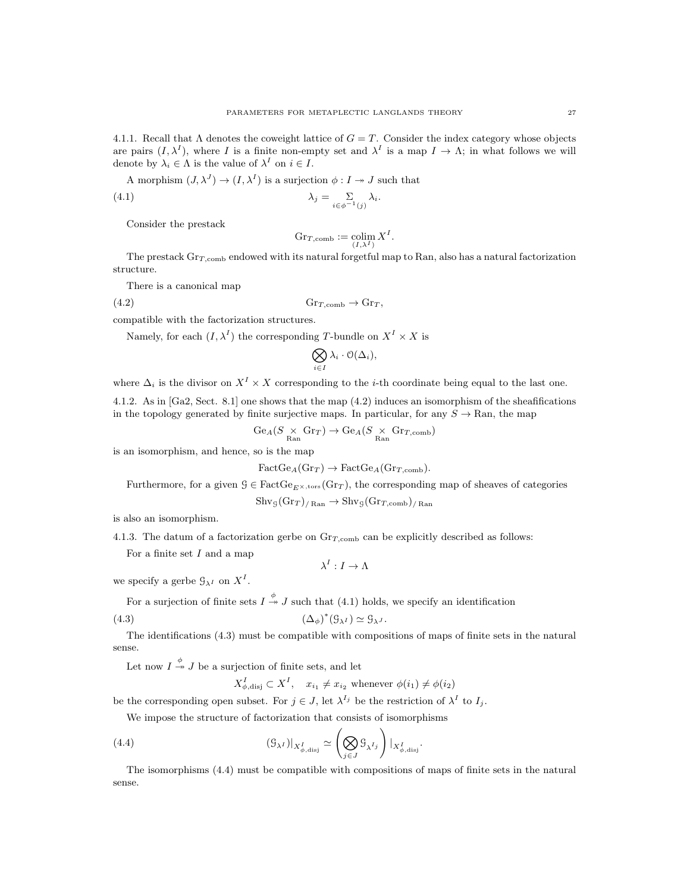4.1.1. Recall that  $\Lambda$  denotes the coweight lattice of  $G = T$ . Consider the index category whose objects are pairs  $(I, \lambda^I)$ , where I is a finite non-empty set and  $\lambda^I$  is a map  $I \to \Lambda$ ; in what follows we will denote by  $\lambda_i \in \Lambda$  is the value of  $\lambda^I$  on  $i \in I$ .

A morphism 
$$
(J, \lambda^J) \to (I, \lambda^I)
$$
 is a surjection  $\phi : I \to J$  such that

(4.1) 
$$
\lambda_j = \sum_{i \in \phi^{-1}(j)} \lambda_i.
$$

Consider the prestack

$$
\mathrm{Gr}_{T,\mathrm{comb}} := \underset{(I,\lambda^I)}{\mathrm{colim}} X^I.
$$

The prestack  $\text{Gr}_{T,\text{comb}}$  endowed with its natural forgetful map to Ran, also has a natural factorization structure.

There is a canonical map

(4.2) GrT ,comb → Gr<sup>T</sup> ,

compatible with the factorization structures.

Namely, for each  $(I, \lambda^I)$  the corresponding T-bundle on  $X^I \times X$  is

$$
\bigotimes_{i\in I} \lambda_i \cdot \mathcal{O}(\Delta_i),
$$

where  $\Delta_i$  is the divisor on  $X^I \times X$  corresponding to the *i*-th coordinate being equal to the last one.

4.1.2. As in [Ga2, Sect. 8.1] one shows that the map (4.2) induces an isomorphism of the sheafifications in the topology generated by finite surjective maps. In particular, for any  $S \to \text{Ran}$ , the map

$$
\text{Ge}_{A}(S \underset{\text{Ran}}{\times} \text{Gr}_{T}) \to \text{Ge}_{A}(S \underset{\text{Ran}}{\times} \text{Gr}_{T,\text{comb}})
$$

is an isomorphism, and hence, so is the map

$$
FactGe_A(\text{Gr}_T) \to FactGe_A(\text{Gr}_{T,\text{comb}}).
$$

Furthermore, for a given  $G \in \text{FactGe}_{E \times \text{tors}}(\text{Gr}_T)$ , the corresponding map of sheaves of categories

$$
Shv_{\mathcal{G}}(Gr_T)_{/ \mathrm{Ran}} \to Shv_{\mathcal{G}}(Gr_{T,\mathrm{comb}})_{/ \mathrm{Ran}}
$$

is also an isomorphism.

4.1.3. The datum of a factorization gerbe on  $\text{Gr}_{T,\text{comb}}$  can be explicitly described as follows:

For a finite set  $I$  and a map

 $\lambda^I: I \to \Lambda$ 

we specify a gerbe  $\mathcal{G}_{\lambda^I}$  on  $X^I$ .

For a surjection of finite sets  $I \stackrel{\phi}{\rightarrow} J$  such that (4.1) holds, we specify an identification

$$
(4.3) \t\t\t (\Delta_{\phi})^*(\mathcal{G}_{\lambda^I}) \simeq \mathcal{G}_{\lambda^J}.
$$

The identifications (4.3) must be compatible with compositions of maps of finite sets in the natural sense.

Let now  $I \stackrel{\phi}{\twoheadrightarrow} J$  be a surjection of finite sets, and let

$$
X_{\phi,\text{disj}}^I \subset X^I, \quad x_{i_1} \neq x_{i_2} \text{ whenever } \phi(i_1) \neq \phi(i_2)
$$

be the corresponding open subset. For  $j \in J$ , let  $\lambda^{I_j}$  be the restriction of  $\lambda^I$  to  $I_j$ .

We impose the structure of factorization that consists of isomorphisms

(4.4) 
$$
(\mathcal{G}_{\lambda^{I}})|_{X_{\phi,\text{disj}}^{I}} \simeq \left(\bigotimes_{j\in J} \mathcal{G}_{\lambda^{I_{j}}}\right)|_{X_{\phi,\text{disj}}^{I}}.
$$

The isomorphisms (4.4) must be compatible with compositions of maps of finite sets in the natural sense.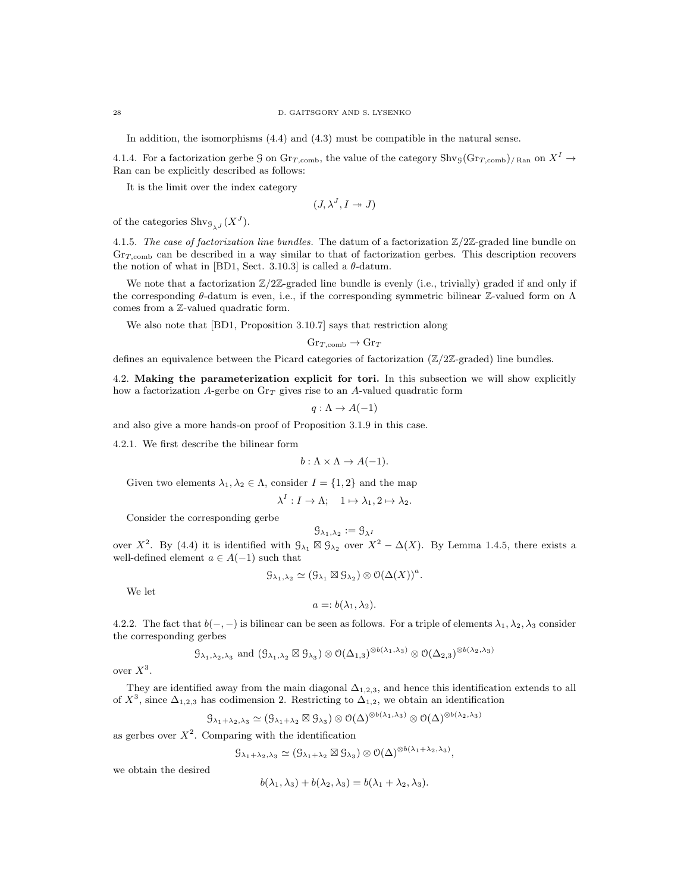In addition, the isomorphisms (4.4) and (4.3) must be compatible in the natural sense.

4.1.4. For a factorization gerbe G on  $\text{Gr}_{T,\text{comb}}$ , the value of the category  $\text{Shv}_{\mathcal{G}}(\text{Gr}_{T,\text{comb}})$ <sub>/Ran</sub> on  $X^I \to$ Ran can be explicitly described as follows:

It is the limit over the index category

$$
(J,\lambda^J,I \twoheadrightarrow J)
$$

of the categories  $\text{Shv}_{\mathcal{G}_{\lambda}J}(X^J)$ .

4.1.5. The case of factorization line bundles. The datum of a factorization  $\mathbb{Z}/2\mathbb{Z}$ -graded line bundle on  $Gr_{T, comb}$  can be described in a way similar to that of factorization gerbes. This description recovers the notion of what in [BD1, Sect. 3.10.3] is called a  $\theta$ -datum.

We note that a factorization  $\mathbb{Z}/2\mathbb{Z}$ -graded line bundle is evenly (i.e., trivially) graded if and only if the corresponding  $\theta$ -datum is even, i.e., if the corresponding symmetric bilinear Z-valued form on  $\Lambda$ comes from a Z-valued quadratic form.

We also note that [BD1, Proposition 3.10.7] says that restriction along

$$
\text{Gr}_{T,\text{comb}} \to \text{Gr}_T
$$

defines an equivalence between the Picard categories of factorization  $(\mathbb{Z}/2\mathbb{Z}-graded)$  line bundles.

4.2. Making the parameterization explicit for tori. In this subsection we will show explicitly how a factorization A-gerbe on  $\text{Gr}_T$  gives rise to an A-valued quadratic form

$$
q: \Lambda \to A(-1)
$$

and also give a more hands-on proof of Proposition 3.1.9 in this case.

4.2.1. We first describe the bilinear form

$$
b: \Lambda \times \Lambda \to A(-1).
$$

Given two elements  $\lambda_1, \lambda_2 \in \Lambda$ , consider  $I = \{1, 2\}$  and the map

$$
\lambda^I: I \to \Lambda; \quad 1 \mapsto \lambda_1, 2 \mapsto \lambda_2.
$$

Consider the corresponding gerbe

$$
\mathcal{G}_{\lambda_1,\lambda_2} := \mathcal{G}_{\lambda^I}
$$

over  $X^2$ . By (4.4) it is identified with  $\mathcal{G}_{\lambda_1} \boxtimes \mathcal{G}_{\lambda_2}$  over  $X^2 - \Delta(X)$ . By Lemma 1.4.5, there exists a well-defined element  $a \in A(-1)$  such that

$$
\mathcal{G}_{\lambda_1,\lambda_2} \simeq (\mathcal{G}_{\lambda_1} \boxtimes \mathcal{G}_{\lambda_2}) \otimes \mathcal{O}(\Delta(X))^a.
$$

We let

$$
a=:b(\lambda_1,\lambda_2).
$$

4.2.2. The fact that  $b(-, -)$  is bilinear can be seen as follows. For a triple of elements  $\lambda_1, \lambda_2, \lambda_3$  consider the corresponding gerbes

$$
\mathcal{G}_{\lambda_1,\lambda_2,\lambda_3}
$$
 and  $(\mathcal{G}_{\lambda_1,\lambda_2} \boxtimes \mathcal{G}_{\lambda_3}) \otimes \mathcal{O}(\Delta_{1,3})^{\otimes b(\lambda_1,\lambda_3)} \otimes \mathcal{O}(\Delta_{2,3})^{\otimes b(\lambda_2,\lambda_3)}$ 

over  $X^3$ .

They are identified away from the main diagonal  $\Delta_{1,2,3}$ , and hence this identification extends to all of  $X^3$ , since  $\Delta_{1,2,3}$  has codimension 2. Restricting to  $\Delta_{1,2}$ , we obtain an identification

$$
\mathcal{G}_{\lambda_1+\lambda_2,\lambda_3} \simeq (\mathcal{G}_{\lambda_1+\lambda_2} \boxtimes \mathcal{G}_{\lambda_3}) \otimes \mathcal{O}(\Delta)^{\otimes b(\lambda_1,\lambda_3)} \otimes \mathcal{O}(\Delta)^{\otimes b(\lambda_2,\lambda_3)}
$$

as gerbes over  $X^2$ . Comparing with the identification

$$
\mathcal{G}_{\lambda_1+\lambda_2,\lambda_3} \simeq (\mathcal{G}_{\lambda_1+\lambda_2} \boxtimes \mathcal{G}_{\lambda_3}) \otimes \mathcal{O}(\Delta)^{\otimes b(\lambda_1+\lambda_2,\lambda_3)},
$$

we obtain the desired

$$
b(\lambda_1, \lambda_3) + b(\lambda_2, \lambda_3) = b(\lambda_1 + \lambda_2, \lambda_3).
$$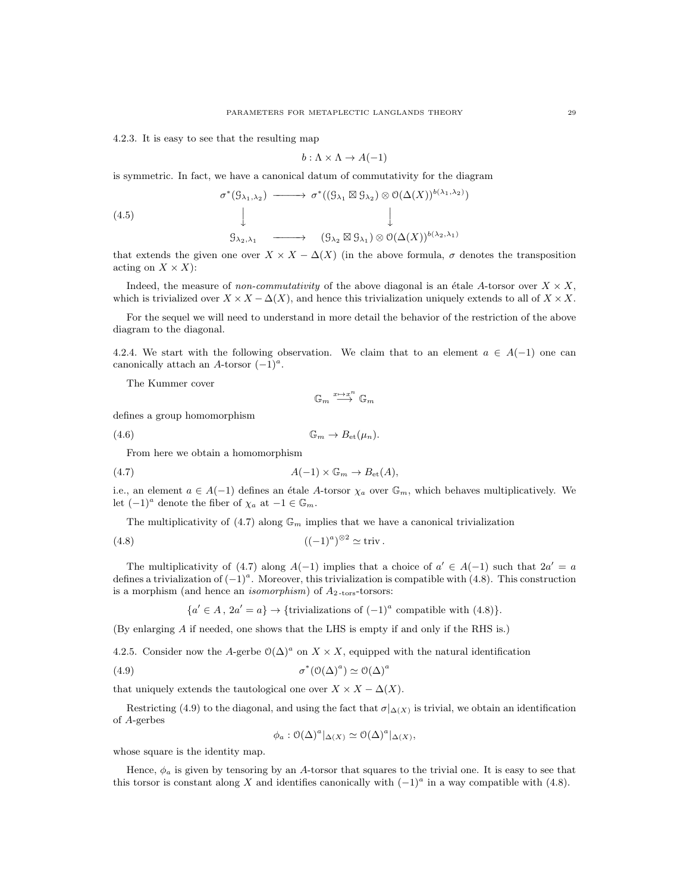4.2.3. It is easy to see that the resulting map

$$
b: \Lambda \times \Lambda \to A(-1)
$$

is symmetric. In fact, we have a canonical datum of commutativity for the diagram

(4.5)  
\n
$$
\sigma^*(\mathcal{G}_{\lambda_1,\lambda_2}) \longrightarrow \sigma^*((\mathcal{G}_{\lambda_1} \boxtimes \mathcal{G}_{\lambda_2}) \otimes \mathcal{O}(\Delta(X))^{b(\lambda_1,\lambda_2)})
$$
\n
$$
\downarrow \qquad \qquad \downarrow
$$
\n
$$
\mathcal{G}_{\lambda_2,\lambda_1} \longrightarrow (\mathcal{G}_{\lambda_2} \boxtimes \mathcal{G}_{\lambda_1}) \otimes \mathcal{O}(\Delta(X))^{b(\lambda_2,\lambda_1)}
$$

that extends the given one over  $X \times X - \Delta(X)$  (in the above formula,  $\sigma$  denotes the transposition acting on  $X \times X$ :

Indeed, the measure of non-commutativity of the above diagonal is an étale A-torsor over  $X \times X$ , which is trivialized over  $X \times X - \Delta(X)$ , and hence this trivialization uniquely extends to all of  $X \times X$ .

For the sequel we will need to understand in more detail the behavior of the restriction of the above diagram to the diagonal.

4.2.4. We start with the following observation. We claim that to an element  $a \in A(-1)$  one can canonically attach an A-torsor  $(-1)^a$ .

The Kummer cover

$$
\mathbb{G}_m \stackrel{x \mapsto x^n}{\longrightarrow} \mathbb{G}_m
$$

defines a group homomorphism

(4.6) G<sup>m</sup> → Bet(µn).

From here we obtain a homomorphism

$$
(4.7) \t\t A(-1) \times \mathbb{G}_m \to B_{\rm et}(A),
$$

i.e., an element  $a \in A(-1)$  defines an étale A-torsor  $\chi_a$  over  $\mathbb{G}_m$ , which behaves multiplicatively. We let  $(-1)^a$  denote the fiber of  $\chi_a$  at  $-1 \in \mathbb{G}_m$ .

The multiplicativity of  $(4.7)$  along  $\mathbb{G}_m$  implies that we have a canonical trivialization

$$
(4.8) \qquad \qquad ((-1)^a)^{\otimes 2} \simeq \text{triv} \, .
$$

The multiplicativity of (4.7) along  $A(-1)$  implies that a choice of  $a' \in A(-1)$  such that  $2a' = a$ defines a trivialization of  $(-1)^a$ . Moreover, this trivialization is compatible with (4.8). This construction is a morphism (and hence an *isomorphism*) of  $A_{2-tors}$ -torsors:

 ${a' \in A, 2a' = a} \rightarrow {trivializations of (-1)<sup>a</sup> compatible with (4.8)}.$ 

(By enlarging A if needed, one shows that the LHS is empty if and only if the RHS is.)

4.2.5. Consider now the A-gerbe  $\mathcal{O}(\Delta)^a$  on  $X \times X$ , equipped with the natural identification

(4.9) 
$$
\sigma^*(\mathcal{O}(\Delta)^a) \simeq \mathcal{O}(\Delta)^a
$$

that uniquely extends the tautological one over  $X \times X - \Delta(X)$ .

Restricting (4.9) to the diagonal, and using the fact that  $\sigma|_{\Delta(X)}$  is trivial, we obtain an identification of A-gerbes

$$
\phi_a: \mathcal{O}(\Delta)^a|_{\Delta(X)} \simeq \mathcal{O}(\Delta)^a|_{\Delta(X)},
$$

whose square is the identity map.

Hence,  $\phi_a$  is given by tensoring by an A-torsor that squares to the trivial one. It is easy to see that this torsor is constant along X and identifies canonically with  $(-1)^a$  in a way compatible with  $(4.8)$ .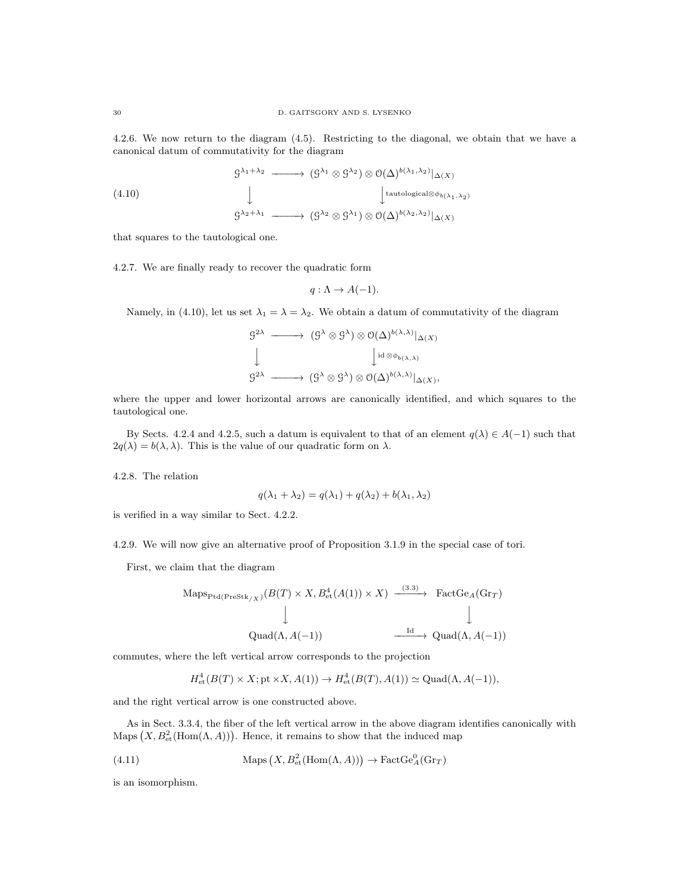4.2.6. We now return to the diagram (4.5). Restricting to the diagonal, we obtain that we have a canonical datum of commutativity for the diagram

(4.10)  
\n
$$
\begin{array}{ccc}\n g^{\lambda_1 + \lambda_2} & \longrightarrow & (g^{\lambda_1} \otimes g^{\lambda_2}) \otimes \mathcal{O}(\Delta)^{b(\lambda_1, \lambda_2)} |_{\Delta(X)} \\
 & \downarrow & \downarrow & \downarrow & \downarrow & \downarrow & \downarrow & \downarrow & \downarrow & \downarrow & \downarrow & \downarrow & \downarrow & \downarrow & \downarrow & \downarrow & \downarrow & \downarrow & \downarrow & \downarrow & \downarrow & \downarrow & \downarrow & \downarrow & \downarrow & \downarrow & \downarrow & \downarrow & \downarrow & \downarrow & \downarrow & \downarrow & \downarrow & \downarrow & \downarrow & \downarrow & \downarrow & \downarrow & \downarrow & \downarrow & \downarrow & \downarrow & \downarrow & \downarrow & \downarrow & \downarrow & \downarrow & \downarrow & \downarrow & \downarrow & \downarrow & \downarrow & \downarrow & \downarrow & \downarrow & \downarrow & \downarrow & \downarrow & \downarrow & \downarrow & \downarrow & \downarrow & \downarrow & \downarrow & \downarrow & \downarrow & \downarrow & \downarrow & \downarrow & \downarrow & \downarrow & \downarrow & \downarrow & \downarrow & \downarrow & \downarrow & \downarrow & \downarrow & \downarrow & \downarrow & \downarrow & \downarrow & \downarrow & \downarrow & \downarrow & \downarrow & \downarrow & \downarrow & \downarrow & \downarrow & \downarrow & \downarrow & \downarrow & \downarrow & \downarrow & \downarrow & \downarrow & \downarrow & \downarrow & \downarrow & \downarrow & \downarrow & \downarrow & \downarrow & \downarrow & \downarrow & \downarrow & \downarrow & \downarrow & \downarrow & \downarrow & \downarrow & \downarrow &
$$

that squares to the tautological one.

4.2.7. We are finally ready to recover the quadratic form

$$
q: \Lambda \to A(-1).
$$

Namely, in (4.10), let us set  $\lambda_1 = \lambda = \lambda_2$ . We obtain a datum of commutativity of the diagram

$$
g^{2\lambda} \longrightarrow (g^{\lambda} \otimes g^{\lambda}) \otimes O(\Delta)^{b(\lambda,\lambda)}|_{\Delta(X)}
$$
  

$$
\downarrow \qquad \qquad \downarrow id \otimes \phi_{b(\lambda,\lambda)}
$$
  

$$
g^{2\lambda} \longrightarrow (g^{\lambda} \otimes g^{\lambda}) \otimes O(\Delta)^{b(\lambda,\lambda)}|_{\Delta(X)},
$$

where the upper and lower horizontal arrows are canonically identified, and which squares to the tautological one.

By Sects. 4.2.4 and 4.2.5, such a datum is equivalent to that of an element  $q(\lambda) \in A(-1)$  such that  $2q(\lambda) = b(\lambda, \lambda)$ . This is the value of our quadratic form on  $\lambda$ .

4.2.8. The relation

$$
q(\lambda_1 + \lambda_2) = q(\lambda_1) + q(\lambda_2) + b(\lambda_1, \lambda_2)
$$

is verified in a way similar to Sect. 4.2.2.

4.2.9. We will now give an alternative proof of Proposition 3.1.9 in the special case of tori.

First, we claim that the diagram

$$
\text{Maps}_{\text{Ptd}(\text{PreStk}_{/X})}(B(T) \times X, B_{\text{et}}^4(A(1)) \times X) \xrightarrow{\phantom{a}(3 \cdot 3)} \text{FactGe}_{A}(\text{Gr}_{T})
$$
\n
$$
\downarrow \qquad \qquad \downarrow
$$
\n
$$
\text{Quad}(\Lambda, A(-1)) \xrightarrow{\phantom{a} \text{Id}} \text{Quad}(\Lambda, A(-1))
$$

 $(3.3)$ 

commutes, where the left vertical arrow corresponds to the projection

$$
H^4_{\text{et}}(B(T) \times X; \text{pt} \times X, A(1)) \to H^4_{\text{et}}(B(T), A(1)) \simeq \text{Quad}(\Lambda, A(-1)),
$$

and the right vertical arrow is one constructed above.

As in Sect. 3.3.4, the fiber of the left vertical arrow in the above diagram identifies canonically with Maps  $(X, B^2_{\text{et}}(\text{Hom}(\Lambda, A)))$ . Hence, it remains to show that the induced map

(4.11) 
$$
\text{Maps}\left(X, B_{\text{et}}^2(\text{Hom}(\Lambda, A))\right) \to \text{FactGe}_A^0(\text{Gr}_T)
$$

is an isomorphism.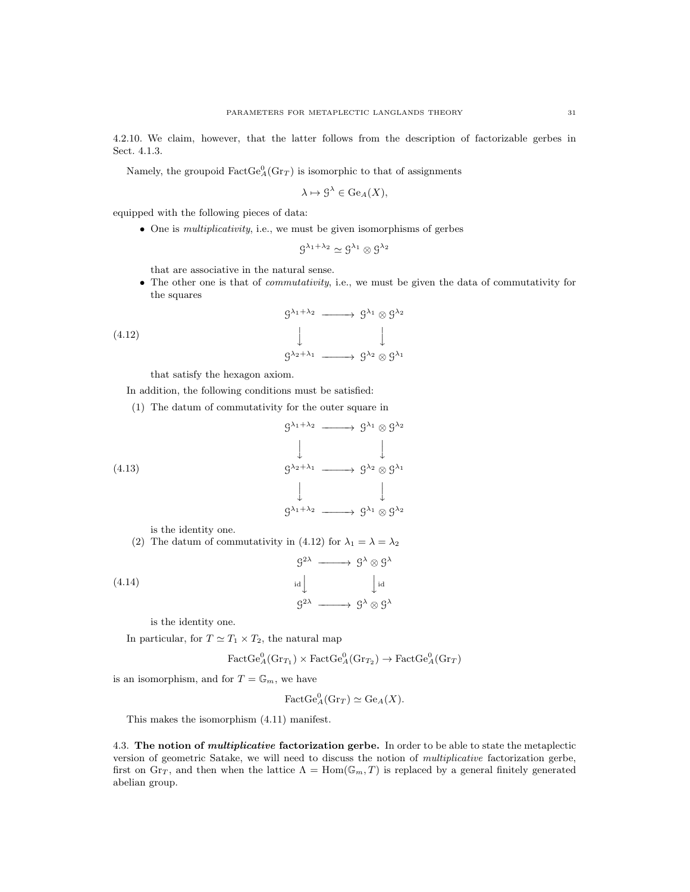4.2.10. We claim, however, that the latter follows from the description of factorizable gerbes in Sect. 4.1.3.

Namely, the groupoid  $\text{FactGe}_{A}^{0}(\text{Gr}_{T})$  is isomorphic to that of assignments

$$
\lambda \mapsto \mathcal{G}^{\lambda} \in \text{Ge}_{A}(X),
$$

equipped with the following pieces of data:

• One is *multiplicativity*, i.e., we must be given isomorphisms of gerbes

$$
\mathcal{G}^{\lambda_1+\lambda_2}\simeq \mathcal{G}^{\lambda_1}\otimes \mathcal{G}^{\lambda_2}
$$

that are associative in the natural sense.

• The other one is that of *commutativity*, i.e., we must be given the data of commutativity for the squares

$$
g^{\lambda_1 + \lambda_2} \longrightarrow g^{\lambda_1} \otimes g^{\lambda_2}
$$
  

$$
\downarrow \qquad \qquad \downarrow
$$
  

$$
g^{\lambda_2 + \lambda_1} \longrightarrow g^{\lambda_2} \otimes g^{\lambda_1}
$$

that satisfy the hexagon axiom.

(4.12)

In addition, the following conditions must be satisfied:

(1) The datum of commutativity for the outer square in

$$
\begin{array}{ccc}\n\mathcal{G}^{\lambda_1+\lambda_2} & \longrightarrow & \mathcal{G}^{\lambda_1} \otimes \mathcal{G}^{\lambda_2} \\
\downarrow & & \downarrow \\
\mathcal{G}^{\lambda_2+\lambda_1} & \longrightarrow & \mathcal{G}^{\lambda_2} \otimes \mathcal{G}^{\lambda_1} \\
\downarrow & & \downarrow \\
\mathcal{G}^{\lambda_1+\lambda_2} & \longrightarrow & \mathcal{G}^{\lambda_1} \otimes \mathcal{G}^{\lambda_2}\n\end{array}
$$

is the identity one.

(2) The datum of commutativity in (4.12) for  $\lambda_1 = \lambda = \lambda_2$ 

(4.14)  
\n
$$
g^{2\lambda} \longrightarrow g^{\lambda} \otimes g^{\lambda}
$$
\n
$$
\downarrow id \qquad \qquad \downarrow id
$$
\n
$$
g^{2\lambda} \longrightarrow g^{\lambda} \otimes g^{\lambda}
$$

is the identity one.

In particular, for  $T \simeq T_1 \times T_2$ , the natural map

$$
\text{FactGe}_{A}^{0}(\text{Gr}_{T_1}) \times \text{FactGe}_{A}^{0}(\text{Gr}_{T_2}) \rightarrow \text{FactGe}_{A}^{0}(\text{Gr}_{T})
$$

is an isomorphism, and for  $T = \mathbb{G}_m$ , we have

 $\operatorname{FactGe}_A^0(\operatorname{Gr}_T) \simeq \operatorname{Ge}_A(X).$ 

This makes the isomorphism (4.11) manifest.

4.3. The notion of *multiplicative* factorization gerbe. In order to be able to state the metaplectic version of geometric Satake, we will need to discuss the notion of multiplicative factorization gerbe, first on Gr<sub>T</sub>, and then when the lattice  $\Lambda = \text{Hom}(\mathbb{G}_m, T)$  is replaced by a general finitely generated abelian group.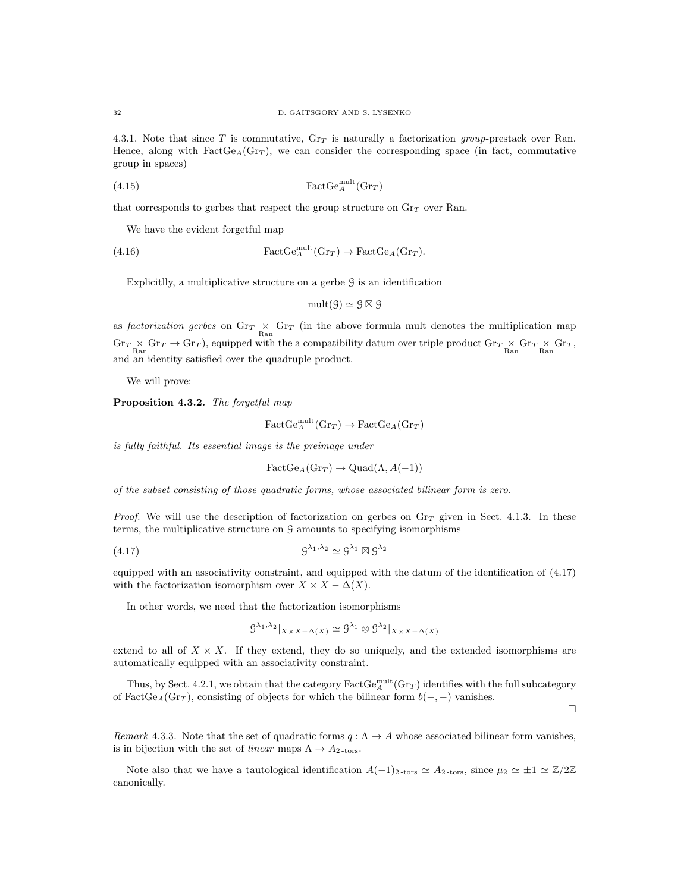4.3.1. Note that since T is commutative,  $\text{Gr}_{T}$  is naturally a factorization group-prestack over Ran. Hence, along with  $FactGe_A(Gr_T)$ , we can consider the corresponding space (in fact, commutative group in spaces)

$$
(4.15)\qquad \qquad \text{FactGe}_{A}^{\text{mult}}(\text{Gr}_{T})
$$

that corresponds to gerbes that respect the group structure on  $\text{Gr}_T$  over Ran.

We have the evident forgetful map

(4.16) 
$$
\operatorname{FactGe}_A^{\operatorname{mult}}(\operatorname{Gr}_T) \to \operatorname{FactGe}_A(\operatorname{Gr}_T).
$$

Explicitlly, a multiplicative structure on a gerbe  $\mathcal G$  is an identification

$$
\mathrm{mult}(\mathcal{G}) \simeq \mathcal{G} \boxtimes \mathcal{G}
$$

as factorization gerbes on  $\text{Gr}_{T} \times \text{Gr}_{T}$  (in the above formula mult denotes the multiplication map  $\text{Gr}_{T} \times \text{Gr}_{T} \to \text{Gr}_{T}$ ), equipped with the a compatibility datum over triple product  $\text{Gr}_{T} \times \text{Gr}_{T} \times \text{Gr}_{T}$ ,  $\text{Ran}$ and an identity satisfied over the quadruple product.

We will prove:

Proposition 4.3.2. The forgetful map

$$
\text{FactGe}_{A}^{\text{mult}}(\text{Gr}_{T}) \to \text{FactGe}_{A}(\text{Gr}_{T})
$$

is fully faithful. Its essential image is the preimage under

$$
FactGe_A(Gr_T) \to Quad(\Lambda, A(-1))
$$

of the subset consisting of those quadratic forms, whose associated bilinear form is zero.

*Proof.* We will use the description of factorization on gerbes on  $\text{Gr}_{T}$  given in Sect. 4.1.3. In these terms, the multiplicative structure on G amounts to specifying isomorphisms

(4.17) G <sup>λ</sup>1,λ<sup>2</sup> ' G <sup>λ</sup><sup>1</sup> - G λ2

equipped with an associativity constraint, and equipped with the datum of the identification of (4.17) with the factorization isomorphism over  $X \times X - \Delta(X)$ .

In other words, we need that the factorization isomorphisms

$$
\mathcal{G}^{\lambda_1, \lambda_2}|_{X \times X - \Delta(X)} \simeq \mathcal{G}^{\lambda_1} \otimes \mathcal{G}^{\lambda_2}|_{X \times X - \Delta(X)}
$$

extend to all of  $X \times X$ . If they extend, they do so uniquely, and the extended isomorphisms are automatically equipped with an associativity constraint.

Thus, by Sect. 4.2.1, we obtain that the category  $\text{FactGe}_{A}^{\text{mult}}(\text{Gr}_{T})$  identifies with the full subcategory of FactGe<sub>A</sub>(Gr<sub>T</sub>), consisting of objects for which the bilinear form  $b(-, -)$  vanishes.

П

Remark 4.3.3. Note that the set of quadratic forms  $q : \Lambda \to A$  whose associated bilinear form vanishes, is in bijection with the set of *linear* maps  $\Lambda \to A_{2\text{-tors}}$ .

Note also that we have a tautological identification  $A(-1)<sub>2</sub>$ -tors  $\approx A<sub>2</sub>$ -tors, since  $\mu_2 \approx \pm 1 \approx \mathbb{Z}/2\mathbb{Z}$ canonically.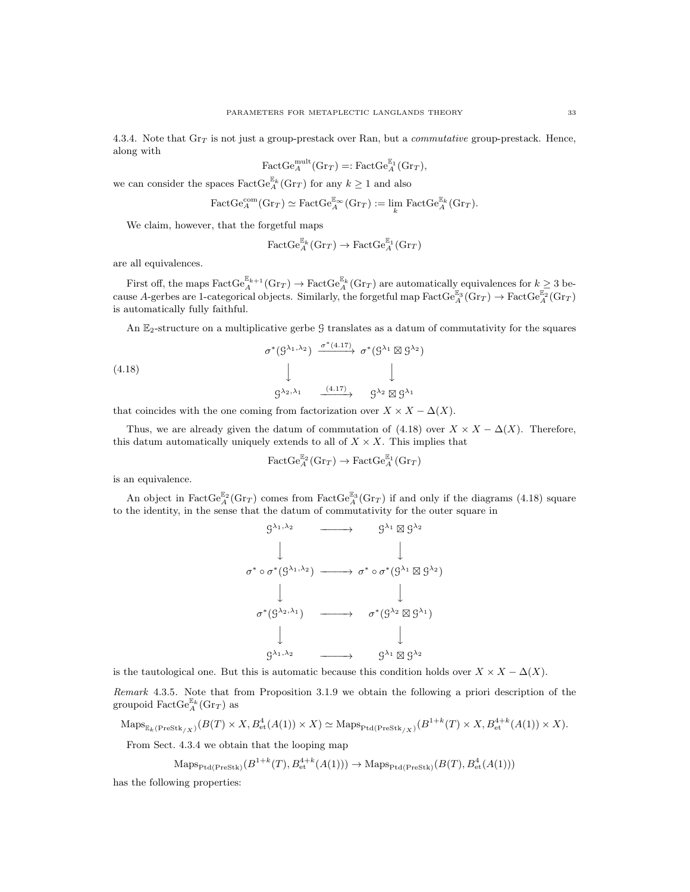4.3.4. Note that  $\text{Gr}_T$  is not just a group-prestack over Ran, but a *commutative* group-prestack. Hence, along with

$$
\text{FactGe}_{A}^{\text{mult}}(\text{Gr}_{T}) =: \text{FactGe}_{A}^{\mathbb{E}_{1}}(\text{Gr}_{T}),
$$

we can consider the spaces  $\text{FactGe}_{A}^{\mathbb{E}_{k}}(\text{Gr}_{T})$  for any  $k\geq 1$  and also

$$
\text{FactGe}_{A}^{\text{com}}(\text{Gr}_{T}) \simeq \text{FactGe}_{A}^{\mathbb{E}_{\infty}}(\text{Gr}_{T}) := \lim_{k} \text{FactGe}_{A}^{\mathbb{E}_{k}}(\text{Gr}_{T}).
$$

We claim, however, that the forgetful maps

$$
\operatorname{\mathrm{FactGe}}^{\mathbb{E}_k}_A(\mathrm{Gr}_T) \to \operatorname{\mathrm{FactGe}}_A^{\mathbb{E}_1}(\mathrm{Gr}_T)
$$

are all equivalences.

First off, the maps  $\text{FactGe}_{A}^{\mathbb{E}_{k+1}}(\text{Gr}_{T}) \to \text{FactGe}_{A}^{\mathbb{E}_{k}}(\text{Gr}_{T})$  are automatically equivalences for  $k \geq 3$  because A-gerbes are 1-categorical objects. Similarly, the forgetful map  $\text{FactGe}_{A}^{\mathbb{E}_3}(\text{Gr}_T) \to \text{FactGe}_{A}^{\mathbb{E}_2}(\text{Gr}_T)$ is automatically fully faithful.

An E2-structure on a multiplicative gerbe G translates as a datum of commutativity for the squares

(4.18)  
\n
$$
\sigma^*(\mathcal{G}^{\lambda_1, \lambda_2}) \xrightarrow{\sigma^*(4.17)} \sigma^*(\mathcal{G}^{\lambda_1} \boxtimes \mathcal{G}^{\lambda_2})
$$
\n
$$
\downarrow \qquad \qquad \downarrow
$$
\n
$$
\mathcal{G}^{\lambda_2, \lambda_1} \xrightarrow{\qquad (4.17)} \qquad \mathcal{G}^{\lambda_2} \boxtimes \mathcal{G}^{\lambda_1}
$$

that coincides with the one coming from factorization over  $X \times X - \Delta(X)$ .

Thus, we are already given the datum of commutation of (4.18) over  $X \times X - \Delta(X)$ . Therefore, this datum automatically uniquely extends to all of  $X \times X$ . This implies that

$$
\operatorname{\mathrm{FactGe}}_A^{\mathbb{E}_2}(\mathrm{Gr}_T) \to \operatorname{\mathrm{FactGe}}_A^{\mathbb{E}_1}(\mathrm{Gr}_T)
$$

is an equivalence.

An object in FactGe<sup> $\mathbb{E}_A^2$ </sup> (Gr<sub>T</sub>) comes from FactGe<sub>A</sub><sup>E<sub>3</sub></sup> (Gr<sub>T</sub>) if and only if the diagrams (4.18) square to the identity, in the sense that the datum of commutativity for the outer square in



is the tautological one. But this is automatic because this condition holds over  $X \times X - \Delta(X)$ .

Remark 4.3.5. Note that from Proposition 3.1.9 we obtain the following a priori description of the groupoid  $\text{FactGe}_{A}^{\mathbb{E}_{k}}(\text{Gr}_{T})$  as

$$
\mathrm{Maps}_{\mathbb{E}_k(\mathrm{PreStk}_{/X})}(B(T) \times X, B^4_{\mathrm{et}}(A(1)) \times X) \simeq \mathrm{Maps}_{\mathrm{Ptd}(\mathrm{PreStk}_{/X})}(B^{1+k}(T) \times X, B^{4+k}_{\mathrm{et}}(A(1)) \times X).
$$

From Sect. 4.3.4 we obtain that the looping map

$$
\mathrm{Maps}_{\mathrm{Ptd}(\mathrm{PreStk})}(B^{1+k}(T), B^{4+k}_{\mathrm{et}}(A(1))) \to \mathrm{Maps}_{\mathrm{Ptd}(\mathrm{PreStk})}(B(T), B^{4}_{\mathrm{et}}(A(1)))
$$

has the following properties: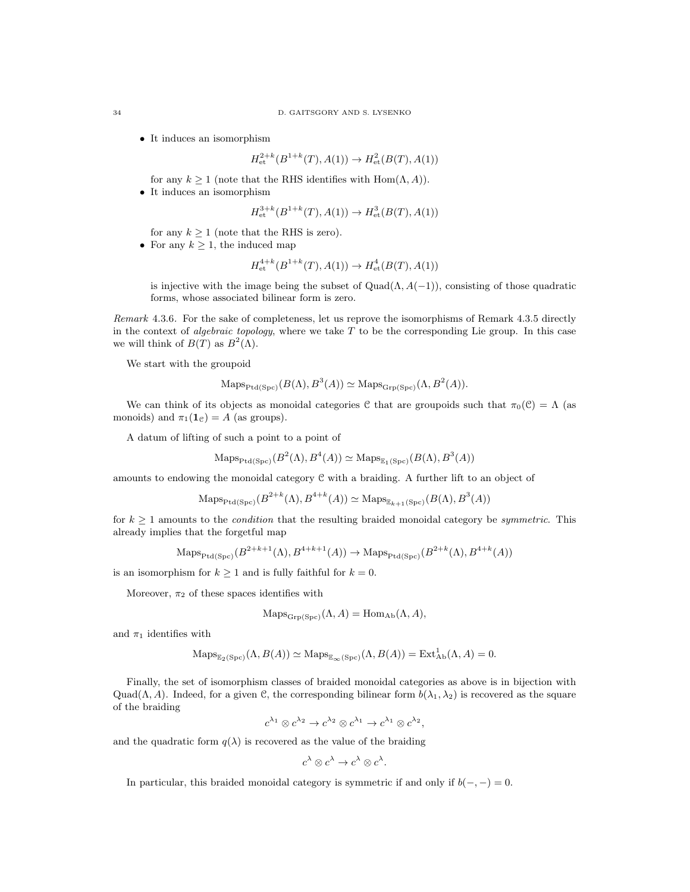• It induces an isomorphism

$$
Het2+k(B1+k(T), A(1)) \to Het2(B(T), A(1))
$$

for any  $k \ge 1$  (note that the RHS identifies with Hom $(\Lambda, A)$ ).

• It induces an isomorphism

$$
H^{3+k}_{\text{et}}(B^{1+k}(T), A(1)) \to H^3_{\text{et}}(B(T), A(1))
$$

for any  $k \geq 1$  (note that the RHS is zero).

• For any  $k \geq 1$ , the induced map

$$
H^{4+k}_{\text{et}}(B^{1+k}(T), A(1)) \to H^4_{\text{et}}(B(T), A(1))
$$

is injective with the image being the subset of  $Quad(\Lambda, A(-1))$ , consisting of those quadratic forms, whose associated bilinear form is zero.

Remark 4.3.6. For the sake of completeness, let us reprove the isomorphisms of Remark 4.3.5 directly in the context of *algebraic topology*, where we take  $T$  to be the corresponding Lie group. In this case we will think of  $B(T)$  as  $B^2(\Lambda)$ .

We start with the groupoid

$$
\text{Maps}_{\text{Ptd}(\text{Spc})}(B(\Lambda), B^3(A)) \simeq \text{Maps}_{\text{Grp}(\text{Spc})}(\Lambda, B^2(A)).
$$

We can think of its objects as monoidal categories C that are groupoids such that  $\pi_0(\mathcal{C}) = \Lambda$  (as monoids) and  $\pi_1(\mathbf{1}_\mathcal{C}) = A$  (as groups).

A datum of lifting of such a point to a point of

$$
\mathrm{Maps}_{\mathrm{Ptd}(\mathrm{Spc})}(B^2(\Lambda), B^4(A)) \simeq \mathrm{Maps}_{\mathbb{E}_1(\mathrm{Spc})}(B(\Lambda), B^3(A))
$$

amounts to endowing the monoidal category C with a braiding. A further lift to an object of

$$
\mathrm{Maps}_{\mathrm{Ptd}(\mathrm{Spc})}(B^{2+k}(\Lambda), B^{4+k}(A)) \simeq \mathrm{Maps}_{\mathbb{E}_{k+1}(\mathrm{Spc})}(B(\Lambda), B^3(A))
$$

for  $k \geq 1$  amounts to the *condition* that the resulting braided monoidal category be *symmetric*. This already implies that the forgetful map

$$
\mathrm{Maps}_{\mathrm{Ptd}(\mathrm{Spc})}(B^{2+k+1}(\Lambda),B^{4+k+1}(A))\rightarrow \mathrm{Maps}_{\mathrm{Ptd}(\mathrm{Spc})}(B^{2+k}(\Lambda),B^{4+k}(A))
$$

is an isomorphism for  $k \geq 1$  and is fully faithful for  $k = 0$ .

Moreover,  $\pi_2$  of these spaces identifies with

$$
Maps_{\mathrm{Grp}(Spc)}(\Lambda, A) = \mathrm{Hom}_{\mathrm{Ab}}(\Lambda, A),
$$

and  $\pi_1$  identifies with

$$
\mathrm{Maps}_{\mathbb{E}_2(\mathrm{Spc})}(\Lambda, B(A)) \simeq \mathrm{Maps}_{\mathbb{E}_{\infty}(\mathrm{Spc})}(\Lambda, B(A)) = \mathrm{Ext}^1_{\mathrm{Ab}}(\Lambda, A) = 0.
$$

Finally, the set of isomorphism classes of braided monoidal categories as above is in bijection with Quad( $\Lambda$ , A). Indeed, for a given C, the corresponding bilinear form  $b(\lambda_1, \lambda_2)$  is recovered as the square of the braiding

$$
c^{\lambda_1} \otimes c^{\lambda_2} \to c^{\lambda_2} \otimes c^{\lambda_1} \to c^{\lambda_1} \otimes c^{\lambda_2}
$$

,

and the quadratic form  $q(\lambda)$  is recovered as the value of the braiding

$$
c^{\lambda} \otimes c^{\lambda} \to c^{\lambda} \otimes c^{\lambda}.
$$

In particular, this braided monoidal category is symmetric if and only if  $b(-, -) = 0$ .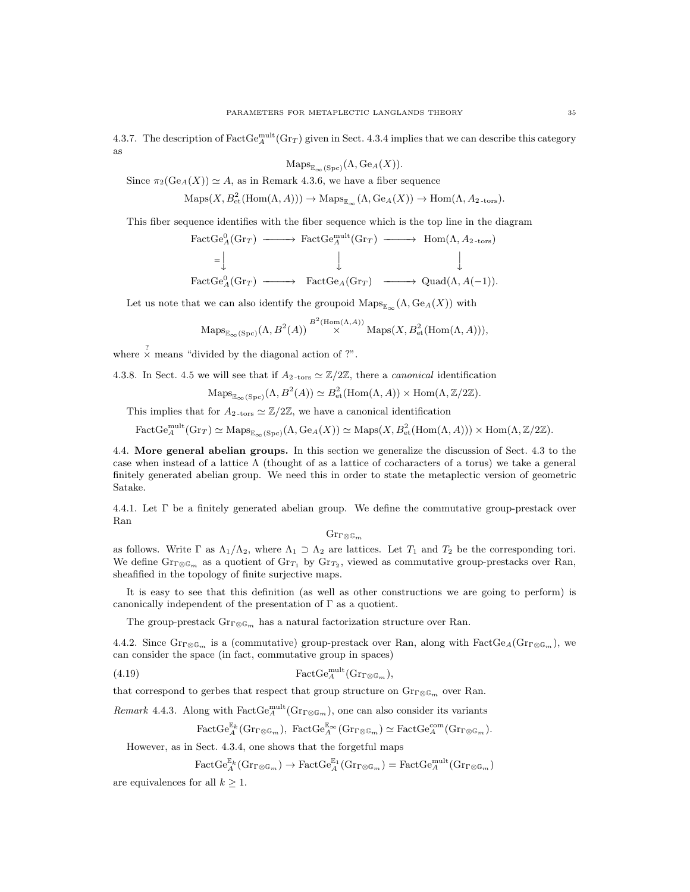4.3.7. The description of  $\text{FactGg}^{\text{mult}}_{A}(\text{Gr}_{T})$  given in Sect. 4.3.4 implies that we can describe this category as

$$
ext{Maps}_{\mathbb{E}_{\infty}(\text{Spc})}(\Lambda, \text{Ge}_{A}(X)).
$$

Since  $\pi_2(\text{Ge}_A(X)) \simeq A$ , as in Remark 4.3.6, we have a fiber sequence

 $\operatorname{Maps}(X, B^2_{\text{et}}(\operatorname{Hom}(\Lambda, A))) \to \operatorname{Maps}_{\mathbb{E}_{\infty}}(\Lambda, \operatorname{Ge}_A(X)) \to \operatorname{Hom}(\Lambda, A_{2\text{-tors}}).$ 

This fiber sequence identifies with the fiber sequence which is the top line in the diagram

$$
\begin{array}{ccc}\n\text{FactGe}_{A}^{0}(\text{Gr}_{T}) & \longrightarrow & \text{FactGe}_{A}^{\text{mult}}(\text{Gr}_{T}) & \longrightarrow & \text{Hom}(\Lambda, A_{2\text{-tors}}) \\
= & \downarrow & \downarrow & \downarrow \\
\text{FactGe}_{A}^{0}(\text{Gr}_{T}) & \longrightarrow & \text{FactGe}_{A}(\text{Gr}_{T}) & \longrightarrow & \text{Quad}(\Lambda, A(-1)).\n\end{array}
$$

Let us note that we can also identify the groupoid  $\mathrm{Maps}_{\mathbb{E}_{\infty}}(\Lambda, \mathrm{Ge}_{A}(X))$  with

$$
\mathrm{Maps}_{\mathbb{E}_{\infty}(\mathrm{Spc})}(\Lambda, B^2(A)) \stackrel{B^2(\mathrm{Hom}(\Lambda, A))}{\times} \mathrm{Maps}(X, B^2_{\mathrm{et}}(\mathrm{Hom}(\Lambda, A))),
$$

where  $\frac{?}{\times}$  means "divided by the diagonal action of ?".

4.3.8. In Sect. 4.5 we will see that if  $A_2$ -tors  $\simeq \mathbb{Z}/2\mathbb{Z}$ , there a *canonical* identification

$$
\mathrm{Maps}_{\mathbb{E}_{\infty}(\mathrm{Spc})}(\Lambda, B^2(A)) \simeq B^2_{\mathrm{et}}(\mathrm{Hom}(\Lambda, A)) \times \mathrm{Hom}(\Lambda, \mathbb{Z}/2\mathbb{Z}).
$$

This implies that for  $A_{2\text{-tors}} \simeq \mathbb{Z}/2\mathbb{Z}$ , we have a canonical identification

 $\text{FactGe}_{A}^{\text{mult}}(\text{Gr}_{T}) \simeq \text{Maps}_{\mathbb{E}_{\infty}(\text{Spc})}(\Lambda, \text{Ge}_{A}(X)) \simeq \text{Maps}(X, B_{\text{et}}^{2}(\text{Hom}(\Lambda, A))) \times \text{Hom}(\Lambda, \mathbb{Z}/2\mathbb{Z}).$ 

4.4. More general abelian groups. In this section we generalize the discussion of Sect. 4.3 to the case when instead of a lattice  $\Lambda$  (thought of as a lattice of cocharacters of a torus) we take a general finitely generated abelian group. We need this in order to state the metaplectic version of geometric Satake.

4.4.1. Let Γ be a finitely generated abelian group. We define the commutative group-prestack over Ran

### $\mathrm{Gr}_{\Gamma\otimes\mathbb{G}_m}$

as follows. Write  $\Gamma$  as  $\Lambda_1/\Lambda_2$ , where  $\Lambda_1 \supset \Lambda_2$  are lattices. Let  $T_1$  and  $T_2$  be the corresponding tori. We define  $\text{Gr}_{\Gamma\otimes\mathbb{G}_m}$  as a quotient of  $\text{Gr}_{T_1}$  by  $\text{Gr}_{T_2}$ , viewed as commutative group-prestacks over Ran, sheafified in the topology of finite surjective maps.

It is easy to see that this definition (as well as other constructions we are going to perform) is canonically independent of the presentation of  $\Gamma$  as a quotient.

The group-prestack  $\text{Gr}_{\Gamma\otimes\mathbb{G}_m}$  has a natural factorization structure over Ran.

4.4.2. Since  $\text{Gr}_{\mathbb{C}\mathbb{G}_m}$  is a (commutative) group-prestack over Ran, along with  $\text{FactGe}_{A}(\text{Gr}_{\mathbb{C}\mathbb{G}_m})$ , we can consider the space (in fact, commutative group in spaces)

(4.19) 
$$
\qquad \qquad \text{FactGe}_{A}^{\text{mult}}(\text{Gr}_{\Gamma\otimes\mathbb{G}_m}),
$$

that correspond to gerbes that respect that group structure on  $\mathrm{Gr}_{\Gamma\otimes\mathbb{G}_m}$  over Ran.

*Remark* 4.4.3. Along with  $\text{FactGe}_{A}^{\text{mult}}(\text{Gr}_{\Gamma\otimes\mathbb{G}_m})$ , one can also consider its variants

$$
\text{FactGe}_{A}^{\mathbb{E}_{k}}(\text{Gr}_{\Gamma\otimes\mathbb{G}_{m}}), \text{ FactGe}_{A}^{\mathbb{E}_{\infty}}(\text{Gr}_{\Gamma\otimes\mathbb{G}_{m}}) \simeq \text{FactGe}_{A}^{\text{com}}(\text{Gr}_{\Gamma\otimes\mathbb{G}_{m}}).
$$

However, as in Sect. 4.3.4, one shows that the forgetful maps

 $\text{FactGe}_{A}^{\mathbb{E}_{k}}(\text{Gr}_{\Gamma\otimes\mathbb{G}_{m}})\to\text{FactGe}_{A}^{\mathbb{E}_{1}}(\text{Gr}_{\Gamma\otimes\mathbb{G}_{m}})=\text{FactGe}_{A}^{\text{mult}}(\text{Gr}_{\Gamma\otimes\mathbb{G}_{m}})$ 

are equivalences for all  $k > 1$ .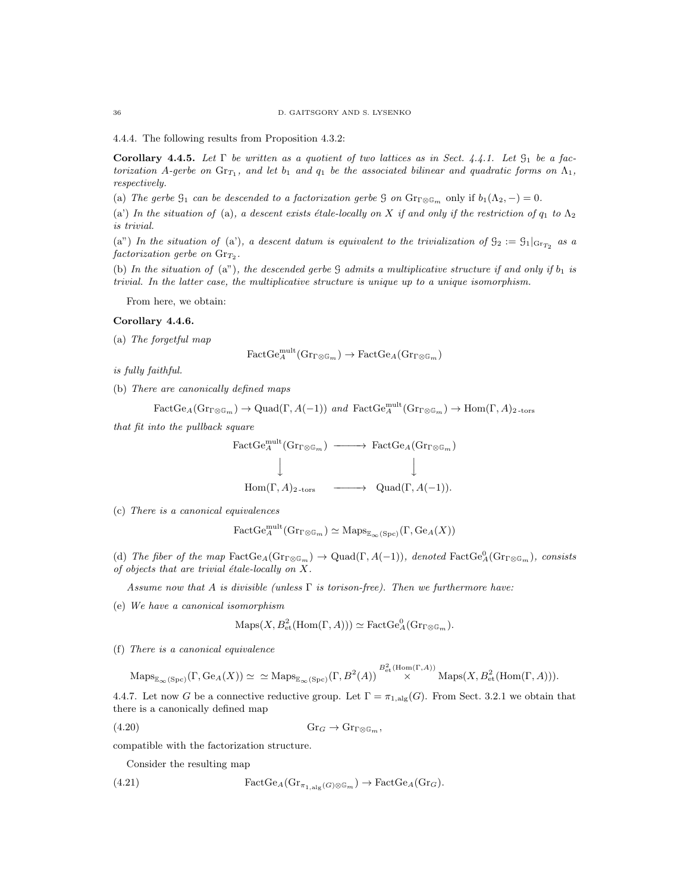4.4.4. The following results from Proposition 4.3.2:

Corollary 4.4.5. Let  $\Gamma$  be written as a quotient of two lattices as in Sect. 4.4.1. Let  $\mathcal{G}_1$  be a factorization A-gerbe on  $\text{Gr}_{T_1}$ , and let  $b_1$  and  $q_1$  be the associated bilinear and quadratic forms on  $\Lambda_1$ , respectively.

(a) The gerbe  $\mathcal{G}_1$  can be descended to a factorization gerbe  $\mathcal{G}$  on  $\text{Gr}_{\mathbb{Q} \mathbb{G}_m}$  only if  $b_1(\Lambda_2, -) = 0$ .

(a) In the situation of (a), a descent exists étale-locally on X if and only if the restriction of  $q_1$  to  $\Lambda_2$ is trivial.

(a") In the situation of (a'), a descent datum is equivalent to the trivialization of  $\mathfrak{G}_2 := \mathfrak{G}_1|_{\text{Gr}_{T_2}}$  as a  $factorization\,\,gerbe\,\,on\,\,Gr_{T_2}.$ 

(b) In the situation of (a"), the descended gerbe  $G$  admits a multiplicative structure if and only if  $b_1$  is trivial. In the latter case, the multiplicative structure is unique up to a unique isomorphism.

From here, we obtain:

## Corollary 4.4.6.

(a) The forgetful map

$$
\text{FactGe}_{A}^{\text{mult}}(\text{Gr}_{\Gamma\otimes\mathbb{G}_m}) \to \text{FactGe}_{A}(\text{Gr}_{\Gamma\otimes\mathbb{G}_m})
$$

is fully faithful.

(b) There are canonically defined maps

$$
\text{FactGe}_{A}(\text{Gr}_{\Gamma\otimes\mathbb{G}_m}) \to \text{Quad}(\Gamma, A(-1)) \text{ and } \text{FactGe}_{A}^{\text{mult}}(\text{Gr}_{\Gamma\otimes\mathbb{G}_m}) \to \text{Hom}(\Gamma, A)_{2\text{-tor}}
$$

that fit into the pullback square

$$
\begin{array}{ccc}\n\text{FactGe}_{A}^{\text{mult}}(\text{Gr}_{\Gamma\otimes\mathbb{G}_m}) & \longrightarrow & \text{FactGe}_{A}(\text{Gr}_{\Gamma\otimes\mathbb{G}_m}) \\
\downarrow & & \downarrow \\
\text{Hom}(\Gamma, A)_{2\text{-tors}} & \longrightarrow & \text{Quad}(\Gamma, A(-1)).\n\end{array}
$$

(c) There is a canonical equivalences

$$
\text{FactGe}_{A}^{\text{mult}}(\text{Gr}_{\Gamma\otimes\mathbb{G}_m})\simeq\text{Maps}_{\mathbb{E}_{\infty}(\text{Spc})}(\Gamma, \text{Ge}_{A}(X))
$$

(d) The fiber of the map  $\text{FactGe}_A(\text{Gr}_{\mathbb{F}\otimes\mathbb{G}_m}) \to \text{Quad}(\Gamma, A(-1)),$  denoted  $\text{FactGe}_A^0(\text{Gr}_{\mathbb{F}\otimes\mathbb{G}_m})$ , consists of objects that are trivial étale-locally on  $X$ .

Assume now that A is divisible (unless  $\Gamma$  is torison-free). Then we furthermore have:

(e) We have a canonical isomorphism

$$
Maps(X, B_{\text{et}}^2(\text{Hom}(\Gamma, A))) \simeq FactGe_A^0(\text{Gr}_{\Gamma\otimes \mathbb{G}_m}).
$$

(f) There is a canonical equivalence

 $\mathrm{Maps}_{\mathbb{E}_{\infty}(\mathrm{Spc})}(\Gamma, \mathrm{Ge}_{A}(X)) \simeq \simeq \mathrm{Maps}_{\mathbb{E}_{\infty}(\mathrm{Spc})}(\Gamma, B^2(A)) \overset{B^2_{\mathrm{et}}(\mathrm{Hom}(\Gamma, A))}{\times} \mathrm{Maps}(X, B^2_{\mathrm{et}}(\mathrm{Hom}(\Gamma, A))).$ 

4.4.7. Let now G be a connective reductive group. Let  $\Gamma = \pi_{1,\text{alg}}(G)$ . From Sect. 3.2.1 we obtain that there is a canonically defined map

$$
(4.20) \t\t \t\t Gr_G \to Gr_{\Gamma \otimes \mathbb{G}_m},
$$

compatible with the factorization structure.

Consider the resulting map

(4.21) 
$$
\operatorname{FactGe}_A(\operatorname{Gr}_{\pi_{1,\text{alg}}(G)\otimes \mathbb{G}_m}) \to \operatorname{FactGe}_A(\operatorname{Gr}_G).
$$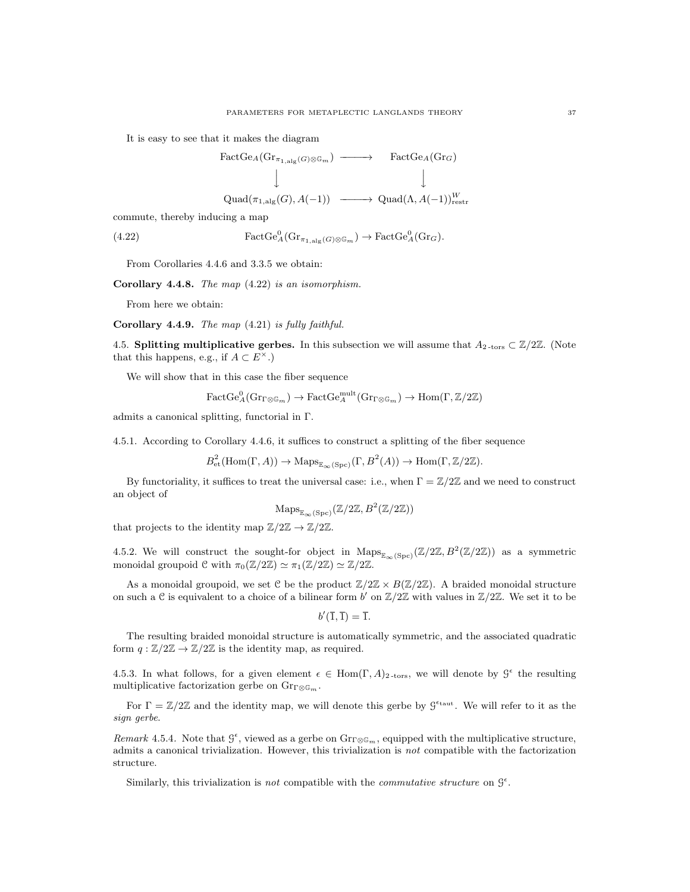It is easy to see that it makes the diagram

$$
\begin{array}{ccc}\n\text{FactGe}_{A}(\text{Gr}_{\pi_{1,\text{alg}}(G)\otimes \mathbb{G}_{m}}) & \longrightarrow & \text{FactGe}_{A}(\text{Gr}_{G}) \\
\downarrow & & \downarrow \\
\text{Quad}(\pi_{1,\text{alg}}(G), A(-1)) & \longrightarrow & \text{Quad}(\Lambda, A(-1))_{\text{restr}}^{W}\n\end{array}
$$

commute, thereby inducing a map

(4.22) 
$$
\operatorname{FactGe}_{A}^{0}(\mathrm{Gr}_{\pi_{1,\mathrm{alg}}(G)\otimes \mathbb{G}_{m}}) \to \operatorname{FactGe}_{A}^{0}(\mathrm{Gr}_{G}).
$$

From Corollaries 4.4.6 and 3.3.5 we obtain:

Corollary 4.4.8. The map (4.22) is an isomorphism.

From here we obtain:

Corollary 4.4.9. The map (4.21) is fully faithful.

4.5. Splitting multiplicative gerbes. In this subsection we will assume that  $A_2$ -tors  $\subset \mathbb{Z}/2\mathbb{Z}$ . (Note that this happens, e.g., if  $A \subset E^{\times}$ .)

We will show that in this case the fiber sequence

$$
\operatorname{FactGe}_A^0(\mathrm{Gr}_{\Gamma\otimes\mathbb{G}_m})\to\operatorname{FactGe}_A^{\operatorname{mult}}(\mathrm{Gr}_{\Gamma\otimes\mathbb{G}_m})\to\operatorname{Hom}(\Gamma,\mathbb{Z}/2\mathbb{Z})
$$

admits a canonical splitting, functorial in Γ.

4.5.1. According to Corollary 4.4.6, it suffices to construct a splitting of the fiber sequence

$$
B_{\text{et}}^2(\text{Hom}(\Gamma, A)) \to \text{Maps}_{\mathbb{E}_{\infty}(\text{Spec})}(\Gamma, B^2(A)) \to \text{Hom}(\Gamma, \mathbb{Z}/2\mathbb{Z}).
$$

By functoriality, it suffices to treat the universal case: i.e., when  $\Gamma = \mathbb{Z}/2\mathbb{Z}$  and we need to construct an object of

$$
\mathrm{Maps}_{\mathbb{E}_{\infty}(\mathrm{Spc})}(\mathbb{Z}/2\mathbb{Z}, B^2(\mathbb{Z}/2\mathbb{Z}))
$$

that projects to the identity map  $\mathbb{Z}/2\mathbb{Z} \to \mathbb{Z}/2\mathbb{Z}$ .

4.5.2. We will construct the sought-for object in  $\mathrm{Maps}_{\infty(\mathrm{Spc})}(\mathbb{Z}/2\mathbb{Z}, B^2(\mathbb{Z}/2\mathbb{Z}))$  as a symmetric monoidal groupoid  $\mathcal C$  with  $\pi_0(\mathbb{Z}/2\mathbb{Z}) \simeq \pi_1(\mathbb{Z}/2\mathbb{Z}) \simeq \mathbb{Z}/2\mathbb{Z}$ .

As a monoidal groupoid, we set C be the product  $\mathbb{Z}/2\mathbb{Z} \times B(\mathbb{Z}/2\mathbb{Z})$ . A braided monoidal structure on such a  $C$  is equivalent to a choice of a bilinear form b' on  $\mathbb{Z}/2\mathbb{Z}$  with values in  $\mathbb{Z}/2\mathbb{Z}$ . We set it to be

$$
b'(\overline{1},\overline{1})=\overline{1}.
$$

The resulting braided monoidal structure is automatically symmetric, and the associated quadratic form  $q : \mathbb{Z}/2\mathbb{Z} \to \mathbb{Z}/2\mathbb{Z}$  is the identity map, as required.

4.5.3. In what follows, for a given element  $\epsilon \in \text{Hom}(\Gamma, A)_{2\text{-tors}}$ , we will denote by  $\mathcal{G}^{\epsilon}$  the resulting multiplicative factorization gerbe on  $\mathrm{Gr}_{\Gamma\otimes\mathbb{G}_m}$ .

For  $\Gamma = \mathbb{Z}/2\mathbb{Z}$  and the identity map, we will denote this gerbe by  $\mathcal{G}^{\epsilon_{\text{taut}}}$ . We will refer to it as the sign gerbe.

Remark 4.5.4. Note that  $\mathcal{G}^{\epsilon}$ , viewed as a gerbe on  $\text{Gr}_{\Gamma\otimes\mathbb{G}_m}$ , equipped with the multiplicative structure, admits a canonical trivialization. However, this trivialization is not compatible with the factorization structure.

Similarly, this trivialization is not compatible with the *commutative structure* on  $\mathcal{G}^{\epsilon}$ .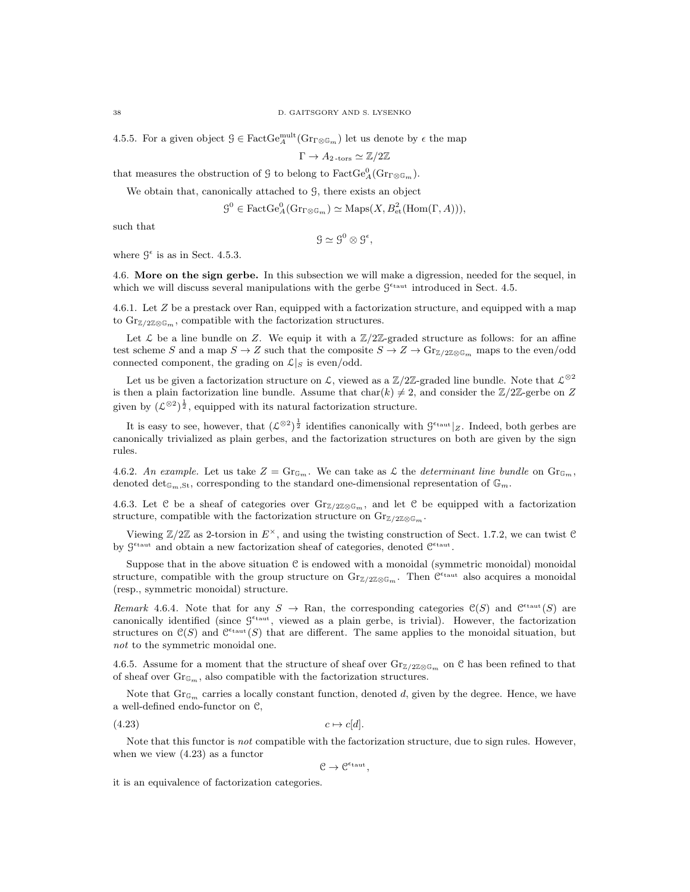4.5.5. For a given object  $\mathcal{G} \in \text{FactGe}_{A}^{\text{mult}}(\text{Gr}_{\mathcal{D}\otimes\mathbb{G}_m})$  let us denote by  $\epsilon$  the map

$$
\Gamma \to A_{2\text{-tors}} \simeq \mathbb{Z}/2\mathbb{Z}
$$

that measures the obstruction of  $\mathcal G$  to belong to  $\text{FactGe}_{A}^0(\text{Gr}_{\Gamma\otimes\mathbb G_m}).$ 

We obtain that, canonically attached to  $\mathcal{G}$ , there exists an object

$$
\mathcal{G}^0 \in \text{FactGe}_{A}^0(\text{Gr}_{\Gamma \otimes \mathbb{G}_m}) \simeq \text{Maps}(X, B^2_{\text{et}}(\text{Hom}(\Gamma, A))),
$$

such that

$$
\mathcal{G} \simeq \mathcal{G}^0 \otimes \mathcal{G}^{\epsilon},
$$

where  $\mathcal{G}^{\epsilon}$  is as in Sect. 4.5.3.

4.6. More on the sign gerbe. In this subsection we will make a digression, needed for the sequel, in which we will discuss several manipulations with the gerbe  $\mathcal{G}^{\epsilon_{\text{taut}}}$  introduced in Sect. 4.5.

4.6.1. Let Z be a prestack over Ran, equipped with a factorization structure, and equipped with a map to  $\text{Gr}_{\mathbb{Z}/2\mathbb{Z}\otimes\mathbb{G}_m}$ , compatible with the factorization structures.

Let  $\mathcal L$  be a line bundle on Z. We equip it with a  $\mathbb Z/2\mathbb Z$ -graded structure as follows: for an affine test scheme S and a map  $S \to Z$  such that the composite  $S \to Z \to \text{Gr}_{Z/2\mathbb{Z} \otimes \mathbb{G}_m}$  maps to the even/odd connected component, the grading on  $\mathcal{L}|_S$  is even/odd.

Let us be given a factorization structure on L, viewed as a  $\mathbb{Z}/2\mathbb{Z}$ -graded line bundle. Note that  $\mathcal{L}^{\otimes 2}$ is then a plain factorization line bundle. Assume that  $char(k) \neq 2$ , and consider the  $\mathbb{Z}/2\mathbb{Z}$ -gerbe on Z given by  $(\mathcal{L}^{\otimes 2})^{\frac{1}{2}}$ , equipped with its natural factorization structure.

It is easy to see, however, that  $(\mathcal{L}^{\otimes 2})^{\frac{1}{2}}$  identifies canonically with  $\mathcal{G}^{\epsilon_{\text{taut}}}|_Z$ . Indeed, both gerbes are canonically trivialized as plain gerbes, and the factorization structures on both are given by the sign rules.

4.6.2. An example. Let us take  $Z = \text{Gr}_{\mathbb{G}_m}$ . We can take as  $\mathcal{L}$  the determinant line bundle on  $\text{Gr}_{\mathbb{G}_m}$ , denoted det<sub> $\mathbb{G}_m$ , st, corresponding to the standard one-dimensional representation of  $\mathbb{G}_m$ .</sub>

4.6.3. Let C be a sheaf of categories over  $\text{Gr}_{\mathbb{Z}/2\mathbb{Z}\otimes\mathbb{G}_m}$ , and let C be equipped with a factorization structure, compatible with the factorization structure on  $\text{Gr}_{\mathbb{Z}/2\mathbb{Z}\otimes\mathbb{G}_m}$ .

Viewing  $\mathbb{Z}/2\mathbb{Z}$  as 2-torsion in  $E^{\times}$ , and using the twisting construction of Sect. 1.7.2, we can twist C by  $\mathcal{G}^{\epsilon_{\text{taut}}}$  and obtain a new factorization sheaf of categories, denoted  $\mathcal{C}^{\epsilon_{\text{taut}}}$ .

Suppose that in the above situation  $C$  is endowed with a monoidal (symmetric monoidal) monoidal structure, compatible with the group structure on  $\text{Gr}_{\mathbb{Z}/2\mathbb{Z}\otimes\mathbb{G}_m}$ . Then  $\mathcal{C}^{\epsilon_{\text{taut}}}$  also acquires a monoidal (resp., symmetric monoidal) structure.

Remark 4.6.4. Note that for any  $S \to \text{Ran}$ , the corresponding categories  $\mathfrak{C}(S)$  and  $\mathfrak{C}^{\text{taut}}(S)$  are canonically identified (since  $S^{\epsilon_{\text{taut}}}$ , viewed as a plain gerbe, is trivial). However, the factorization structures on  $\mathfrak{C}(S)$  and  $\mathfrak{C}^{\epsilon_{\mathrm{taut}}}(S)$  that are different. The same applies to the monoidal situation, but not to the symmetric monoidal one.

4.6.5. Assume for a moment that the structure of sheaf over  $\text{Gr}_{\mathbb{Z}/2\mathbb{Z}\otimes\mathbb{G}_m}$  on  $\mathbb C$  has been refined to that of sheaf over  $\text{Gr}_{\mathbb{G}_m}$ , also compatible with the factorization structures.

Note that  $\text{Gr}_{\mathbb{G}_m}$  carries a locally constant function, denoted d, given by the degree. Hence, we have a well-defined endo-functor on C,

$$
(4.23) \t\t c \mapsto c[d].
$$

Note that this functor is not compatible with the factorization structure, due to sign rules. However, when we view (4.23) as a functor

$$
\mathcal{C}\rightarrow \mathcal{C}^{\varepsilon_{\mathrm{taut}}},
$$

it is an equivalence of factorization categories.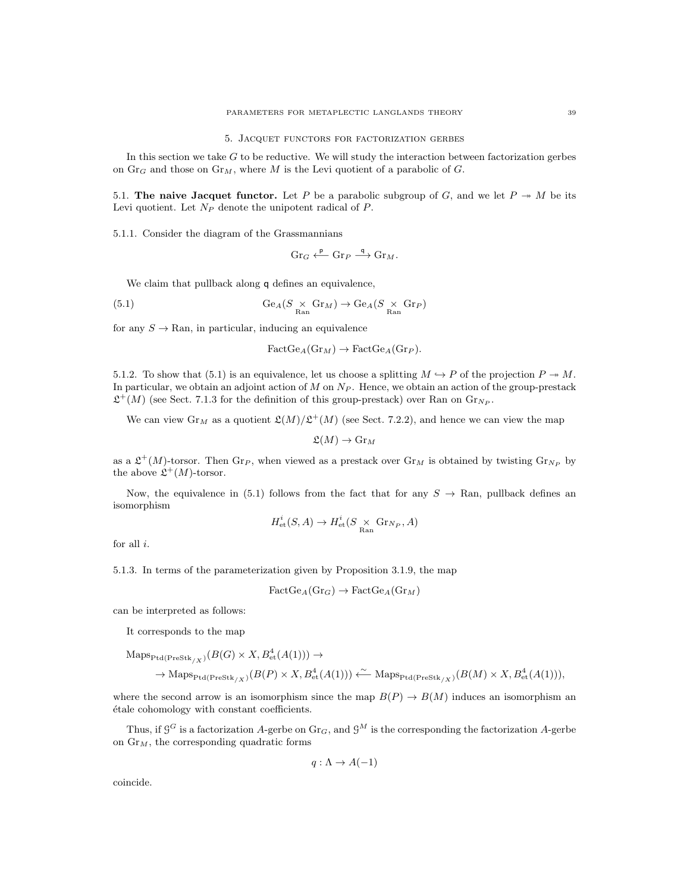5. Jacquet functors for factorization gerbes

In this section we take  $G$  to be reductive. We will study the interaction between factorization gerbes on  $\text{Gr}_G$  and those on  $\text{Gr}_M$ , where M is the Levi quotient of a parabolic of G.

5.1. The naive Jacquet functor. Let P be a parabolic subgroup of G, and we let  $P \rightarrow M$  be its Levi quotient. Let  $N_P$  denote the unipotent radical of  $P$ .

5.1.1. Consider the diagram of the Grassmannians

$$
\mathrm{Gr}_G \xleftarrow{\mathsf{p}} \mathrm{Gr}_P \xrightarrow{\mathsf{q}} \mathrm{Gr}_M.
$$

We claim that pullback along  $q$  defines an equivalence,

(5.1) 
$$
\text{Ge}_{A}(S \underset{\text{Ran}}{\times} \text{Gr}_{M}) \to \text{Ge}_{A}(S \underset{\text{Ran}}{\times} \text{Gr}_{P})
$$

for any  $S \to \text{Ran}$ , in particular, inducing an equivalence

$$
FactGe_A(\text{Gr}_M) \to FactGe_A(\text{Gr}_P).
$$

5.1.2. To show that (5.1) is an equivalence, let us choose a splitting  $M \hookrightarrow P$  of the projection  $P \to M$ . In particular, we obtain an adjoint action of  $M$  on  $N_P$ . Hence, we obtain an action of the group-prestack  $\mathfrak{L}^+(M)$  (see Sect. 7.1.3 for the definition of this group-prestack) over Ran on  $\text{Gr}_{N_P}$ .

We can view  $\text{Gr}_M$  as a quotient  $\mathfrak{L}(M)/\mathfrak{L}^+(M)$  (see Sect. 7.2.2), and hence we can view the map

$$
\mathfrak{L}(M) \to \mathrm{Gr}_M
$$

as a  $\mathfrak{L}^+(M)$ -torsor. Then  $\text{Gr}_P$ , when viewed as a prestack over  $\text{Gr}_M$  is obtained by twisting  $\text{Gr}_{N_P}$  by the above  $\mathfrak{L}^+(M)$ -torsor.

Now, the equivalence in (5.1) follows from the fact that for any  $S \to \text{Ran}$ , pullback defines an isomorphism

$$
H_{\mathrm{et}}^i(S, A) \to H_{\mathrm{et}}^i(S \underset{\mathrm{Ran}}{\times} \mathrm{Gr}_{N_P}, A)
$$

for all  $i$ .

5.1.3. In terms of the parameterization given by Proposition 3.1.9, the map

$$
FactGe_A(\mathrm{Gr}_G) \to \text{FactGe}_A(\mathrm{Gr}_M)
$$

can be interpreted as follows:

It corresponds to the map

$$
\mathrm{Maps}_{\mathrm{Ptd}(\mathrm{PreStk}_{/X})}(B(G) \times X, B^4_{\mathrm{et}}(A(1))) \to
$$
  

$$
\to \mathrm{Maps}_{\mathrm{Ptd}(\mathrm{PreStk}_{/X})}(B(P) \times X, B^4_{\mathrm{et}}(A(1))) \xleftarrow{\sim} \mathrm{Maps}_{\mathrm{Ptd}(\mathrm{PreStk}_{/X})}(B(M) \times X, B^4_{\mathrm{et}}(A(1))),
$$

where the second arrow is an isomorphism since the map  $B(P) \to B(M)$  induces an isomorphism an étale cohomology with constant coefficients.

Thus, if  $G^G$  is a factorization A-gerbe on  $\text{Gr}_G$ , and  $\mathcal{G}^M$  is the corresponding the factorization A-gerbe on  $\text{Gr}_M$ , the corresponding quadratic forms

$$
q: \Lambda \to A(-1)
$$

coincide.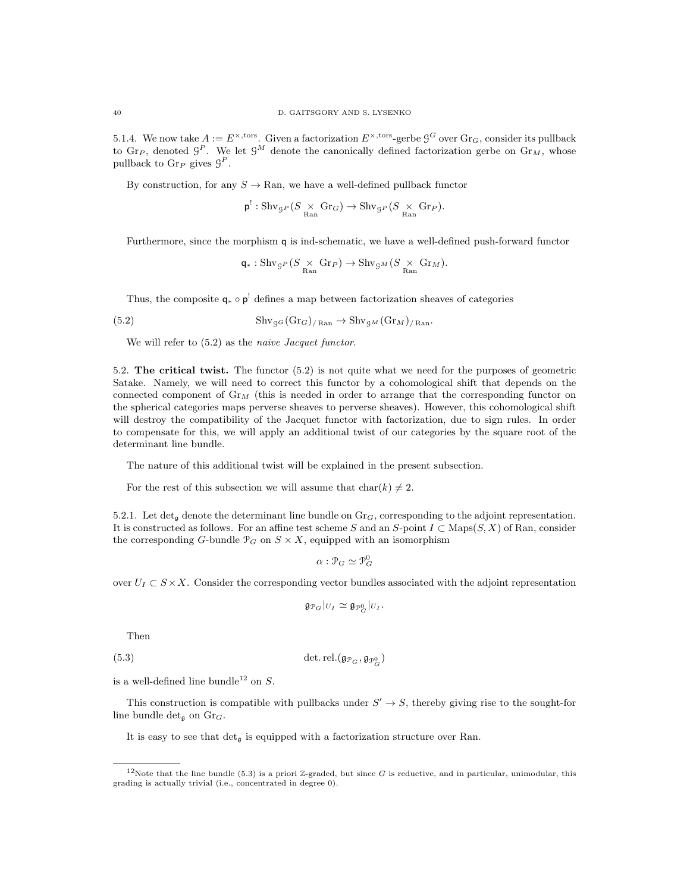5.1.4. We now take  $A := E^{\times, \text{tors}}$ . Given a factorization  $E^{\times, \text{tors}}$ -gerbe  $\mathcal{G}^G$  over  $\text{Gr}_G$ , consider its pullback to Gr<sub>P</sub>, denoted  $\mathcal{G}^P$ . We let  $\mathcal{G}^M$  denote the canonically defined factorization gerbe on Gr<sub>M</sub>, whose pullback to  $\mathrm{Gr}_P$  gives  $\mathcal{G}^P$ .

By construction, for any  $S \to \text{Ran}$ , we have a well-defined pullback functor

$$
p^!: \operatorname{Shv}_{\mathcal{G}^P}(S \underset{\text{Ran}}{\times} \operatorname{Gr}_G) \to \operatorname{Shv}_{\mathcal{G}^P}(S \underset{\text{Ran}}{\times} \operatorname{Gr}_P).
$$

Furthermore, since the morphism q is ind-schematic, we have a well-defined push-forward functor

$$
\mathsf{q}*: \mathrm{Shv}_{\mathcal{G}^P}(S \underset{\mathrm{Ran}}{\times} \mathrm{Gr}_P) \to \mathrm{Shv}_{\mathcal{G}^M}(S \underset{\mathrm{Ran}}{\times} \mathrm{Gr}_M).
$$

Thus, the composite  $q_* \circ p'$  defines a map between factorization sheaves of categories

(5.2) 
$$
\mathrm{Shv}_{\mathcal{G}G}(\mathrm{Gr}_G)_{/\mathrm{Ran}} \to \mathrm{Shv}_{\mathcal{G}M}(\mathrm{Gr}_M)_{/\mathrm{Ran}}.
$$

We will refer to  $(5.2)$  as the *naive Jacquet functor*.

5.2. The critical twist. The functor (5.2) is not quite what we need for the purposes of geometric Satake. Namely, we will need to correct this functor by a cohomological shift that depends on the connected component of  $\mathrm{Gr}_{M}$  (this is needed in order to arrange that the corresponding functor on the spherical categories maps perverse sheaves to perverse sheaves). However, this cohomological shift will destroy the compatibility of the Jacquet functor with factorization, due to sign rules. In order to compensate for this, we will apply an additional twist of our categories by the square root of the determinant line bundle.

The nature of this additional twist will be explained in the present subsection.

For the rest of this subsection we will assume that  $char(k) \neq 2$ .

5.2.1. Let det<sub>a</sub> denote the determinant line bundle on  $\text{Gr}_G$ , corresponding to the adjoint representation. It is constructed as follows. For an affine test scheme S and an S-point  $I \subset \text{Maps}(S, X)$  of Ran, consider the corresponding G-bundle  $\mathcal{P}_G$  on  $S \times X$ , equipped with an isomorphism

$$
\alpha: \mathcal{P}_G \simeq \mathcal{P}_G^0
$$

over  $U_I \subset S \times X$ . Consider the corresponding vector bundles associated with the adjoint representation

$$
\mathfrak{g}_{\mathcal{P}_G}|_{U_I} \simeq \mathfrak{g}_{\mathcal{P}_G^0}|_{U_I}.
$$

Then

(5.3) 
$$
\det \det (\mathfrak{g}_{\mathcal{P}_G}, \mathfrak{g}_{\mathcal{P}_G^0})
$$

is a well-defined line bundle<sup>12</sup> on  $S$ .

This construction is compatible with pullbacks under  $S' \rightarrow S$ , thereby giving rise to the sought-for line bundle det<sub>g</sub> on  $\mathrm{Gr}_G$ .

It is easy to see that  $\det_{\mathfrak{g}}$  is equipped with a factorization structure over Ran.

<sup>&</sup>lt;sup>12</sup>Note that the line bundle (5.3) is a priori Z-graded, but since G is reductive, and in particular, unimodular, this grading is actually trivial (i.e., concentrated in degree 0).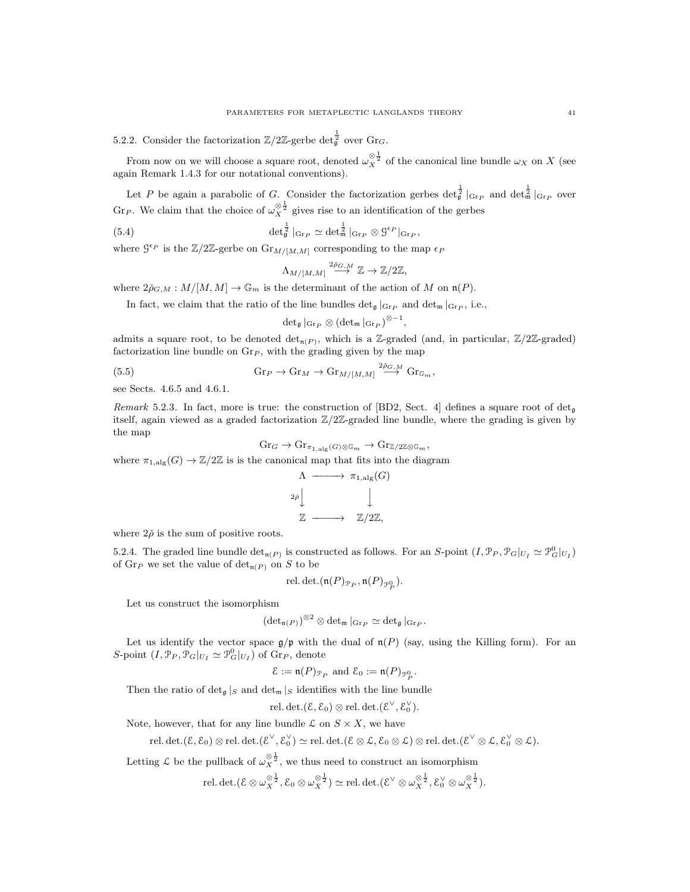5.2.2. Consider the factorization  $\mathbb{Z}/2\mathbb{Z}$ -gerbe det $\frac{1}{9}$  over Gr<sub>G</sub>.

From now on we will choose a square root, denoted  $\omega_X^{\otimes \frac{1}{2}}$  of the canonical line bundle  $\omega_X$  on X (see again Remark 1.4.3 for our notational conventions).

Let P be again a parabolic of G. Consider the factorization gerbes  $\det_{\mathfrak{g}}^{\frac{1}{2}}|_{\text{Gr}_{P}}$  and  $\det_{\mathfrak{m}}^{\frac{1}{2}}|_{\text{Gr}_{P}}$  over Gr<sub>P</sub>. We claim that the choice of  $\omega_X^{\otimes \frac{1}{2}}$  gives rise to an identification of the gerbes

(5.4) 
$$
\det_{\mathfrak{g}}^{\frac{1}{2}}|_{\text{Gr}_{P}} \simeq \det_{\mathfrak{m}}^{\frac{1}{2}}|_{\text{Gr}_{P}} \otimes \mathfrak{G}^{\epsilon_{P}}|_{\text{Gr}_{P}},
$$

where  $\mathcal{G}^{\epsilon_P}$  is the  $\mathbb{Z}/2\mathbb{Z}$ -gerbe on  $\text{Gr}_{M/[M,M]}$  corresponding to the map  $\epsilon_P$ 

$$
\Lambda_{M/[M,M]} \stackrel{2\check{\rho}_{G,M}}{\longrightarrow} \mathbb{Z} \to \mathbb{Z}/2\mathbb{Z},
$$

where  $2\tilde{\rho}_{G,M}: M/[M,M] \to \mathbb{G}_m$  is the determinant of the action of M on  $\mathfrak{n}(P)$ .

In fact, we claim that the ratio of the line bundles  $\det_{\mathfrak{g}}|_{\text{Gr}_P}$  and  $\det_{\mathfrak{m}}|_{\text{Gr}_P}$ , i.e.,

$$
\operatorname{det}_{\mathfrak{g}}|_{\operatorname{Gr}_P}\otimes(\operatorname{det}_{\mathfrak{m}}|_{\operatorname{Gr}_P})^{\otimes -1}
$$

,

admits a square root, to be denoted det<sub>n</sub>( $P$ ), which is a Z-graded (and, in particular,  $\mathbb{Z}/2\mathbb{Z}$ -graded) factorization line bundle on  $\text{Gr}_{P}$ , with the grading given by the map

(5.5) 
$$
\mathrm{Gr}_P \to \mathrm{Gr}_M \to \mathrm{Gr}_{M/[M,M]} \xrightarrow{2\tilde{\rho}_{G,M}} \mathrm{Gr}_{\mathbb{G}_m},
$$

see Sects. 4.6.5 and 4.6.1.

Remark 5.2.3. In fact, more is true: the construction of [BD2, Sect. 4] defines a square root of det<sub>a</sub> itself, again viewed as a graded factorization  $\mathbb{Z}/2\mathbb{Z}$ -graded line bundle, where the grading is given by the map

$$
\mathrm{Gr}_G \to \mathrm{Gr}_{\pi_{1,\mathrm{alg}}(G)\otimes \mathbb{G}_m} \to \mathrm{Gr}_{\mathbb{Z}/2\mathbb{Z}\otimes \mathbb{G}_m},
$$
\nwhere  $\pi_{1,\mathrm{alg}}(G) \to \mathbb{Z}/2\mathbb{Z}$  is is the canonical map that fits into the diagram\n
$$
\Lambda \xrightarrow{\qquad \qquad } \pi_{1,\mathrm{alg}}(G)
$$
\n
$$
_{2\tilde{\rho}} \downarrow \qquad \qquad \downarrow
$$

where  $2\check{\rho}$  is the sum of positive roots.

5.2.4. The graded line bundle  $\det_{\mathfrak{n}(P)}$  is constructed as follows. For an S-point  $(I, \mathcal{P}_P, \mathcal{P}_G|_{U_I} \simeq \mathcal{P}_G^0|_{U_I})$ of  $\operatorname{Gr}_P$  we set the value of  $\det_{\mathfrak{n}(P)}$  on S to be

 $\mathbb{Z}$  – $\longrightarrow$   $\mathbb{Z}/2\mathbb{Z}$ ,

rel. det.
$$
(\mathfrak{n}(P)_{\mathcal{P}_P}, \mathfrak{n}(P)_{\mathcal{P}_P^0}).
$$

Let us construct the isomorphism

$$
\left(\det\nolimits_{\mathfrak{n}(P)}\right)^{\otimes 2}\otimes \det\nolimits_{\mathfrak{m}}\vert_{\mathrm{Gr}_P}\simeq \det\nolimits_{\mathfrak{g}}\vert_{\mathrm{Gr}_P}.
$$

Let us identify the vector space  $\mathfrak{g}/\mathfrak{p}$  with the dual of  $\mathfrak{n}(P)$  (say, using the Killing form). For an S-point  $(I, \mathcal{P}_P, \mathcal{P}_G|_{U_I} \simeq \mathcal{P}_G^0|_{U_I})$  of  $\text{Gr}_P$ , denote

$$
\mathcal{E} := \mathfrak{n}(P)_{\mathcal{P}_P} \text{ and } \mathcal{E}_0 := \mathfrak{n}(P)_{\mathcal{P}_P^0}.
$$

Then the ratio of  $\det_{\mathfrak{g}} |S|$  and  $\det_{\mathfrak{m}} |S|$  identifies with the line bundle

$$
\operatorname{rel. det.}(\mathcal{E}, \mathcal{E}_0) \otimes \operatorname{rel. det.}(\mathcal{E}^{\vee}, \mathcal{E}_0^{\vee}).
$$

Note, however, that for any line bundle  $\mathcal L$  on  $S \times X$ , we have

 $\mathrm{rel. det.}(\mathcal{E}, \mathcal{E}_0) \otimes \mathrm{rel. det.}(\mathcal{E}^{\vee}, \mathcal{E}_0^{\vee}) \simeq \mathrm{rel. det.}(\mathcal{E} \otimes \mathcal{L}, \mathcal{E}_0 \otimes \mathcal{L}) \otimes \mathrm{rel. det.}(\mathcal{E}^{\vee} \otimes \mathcal{L}, \mathcal{E}_0^{\vee} \otimes \mathcal{L}).$ 

Letting  $\mathcal L$  be the pullback of  $\omega_X^{\otimes \frac{1}{2}}$ , we thus need to construct an isomorphism

$$
\text{rel. det.}(\mathcal{E}\otimes \omega_X^{\otimes \frac{1}{2}}, \mathcal{E}_0\otimes \omega_X^{\otimes \frac{1}{2}}) \simeq \text{rel. det.}(\mathcal{E}^\vee\otimes \omega_X^{\otimes \frac{1}{2}}, \mathcal{E}_0^\vee\otimes \omega_X^{\otimes \frac{1}{2}}).
$$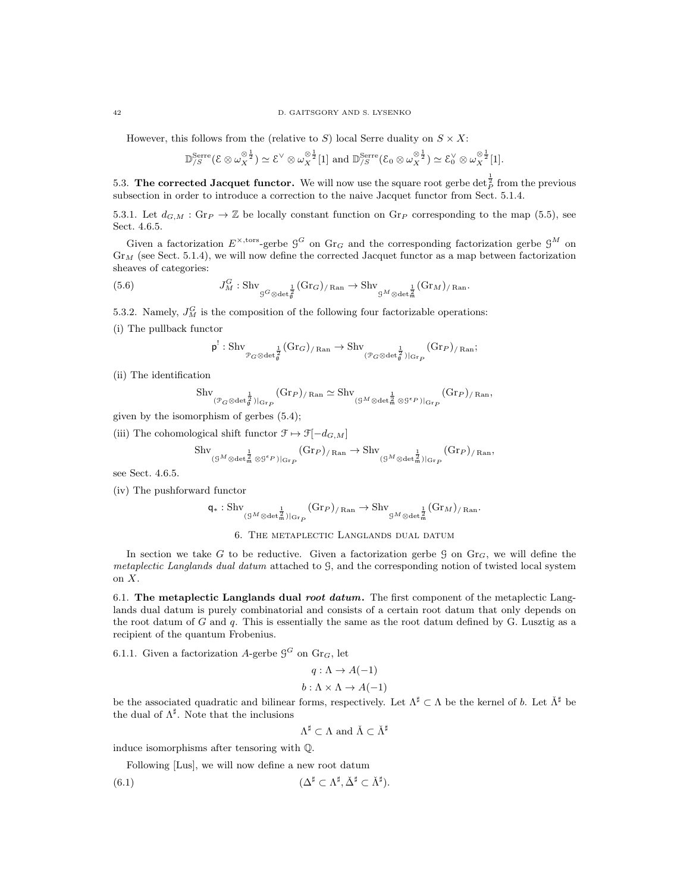#### 42 D. GAITSGORY AND S. LYSENKO

However, this follows from the (relative to S) local Serre duality on  $S \times X$ :

$$
\mathbb{D}_{\mathcal{S}}^{\text{Serre}}(\mathcal{E}\otimes \omega_X^{\otimes \frac{1}{2}}) \simeq \mathcal{E}^{\vee}\otimes \omega_X^{\otimes \frac{1}{2}}[1] \text{ and } \mathbb{D}_{\mathcal{S}}^{\text{Serre}}(\mathcal{E}_0\otimes \omega_X^{\otimes \frac{1}{2}}) \simeq \mathcal{E}_0^{\vee}\otimes \omega_X^{\otimes \frac{1}{2}}[1].
$$

5.3. The corrected Jacquet functor. We will now use the square root gerbe  $\det_{P}^{\frac{1}{2}}$  from the previous subsection in order to introduce a correction to the naive Jacquet functor from Sect. 5.1.4.

5.3.1. Let  $d_{G,M}$ : Gr $_P \to \mathbb{Z}$  be locally constant function on Gr<sub>P</sub> corresponding to the map (5.5), see Sect. 4.6.5.

Given a factorization  $E^{\times, \text{tors}}$ -gerbe  $\mathcal{G}^G$  on Gr<sub>G</sub> and the corresponding factorization gerbe  $\mathcal{G}^M$  on  $Gr_M$  (see Sect. 5.1.4), we will now define the corrected Jacquet functor as a map between factorization sheaves of categories:

(5.6) 
$$
J_M^G: \operatorname{Shv}_{\mathcal{G}^G \otimes \operatorname{det}_g^{\frac{1}{2}}}(\operatorname{Gr}_G)_{/\operatorname{Ran}} \to \operatorname{Shv}_{\mathcal{G}^M \otimes \operatorname{det}_m^{\frac{1}{2}}}(\operatorname{Gr}_M)_{/\operatorname{Ran}}.
$$

5.3.2. Namely,  $J_M^G$  is the composition of the following four factorizable operations:

(i) The pullback functor

$$
\mathsf{p}^!: \operatorname{Shv}_{\mathcal{P}_G \otimes \det_{\mathfrak{g}}^{\frac{1}{2}}}(\operatorname{Gr}_G)_{/\operatorname{Ran}} \to \operatorname{Shv}_{(\mathcal{P}_G \otimes \det_{\mathfrak{g}}^{\frac{1}{2}})|_{\operatorname{Gr}_P}}(\operatorname{Gr}_P)_{/\operatorname{Ran}};
$$

(ii) The identification

$$
\mathrm{Shv}_{(\mathcal{P}_G \otimes \det \mathop{\mathcal{G}}_g )|_{\mathrm{Gr}_P}} (\mathrm{Gr}_P)_{/\operatorname{Ran}} \simeq \mathrm{Shv}_{(\mathcal{G}^M \otimes \det \mathop{\mathcal{G}}_m \otimes \mathcal{G}^{\epsilon_P})|_{\mathrm{Gr}_P}} (\mathrm{Gr}_P)_{/\operatorname{Ran}},
$$

given by the isomorphism of gerbes (5.4);

(iii) The cohomological shift functor  $\mathcal{F} \mapsto \mathcal{F}[-d_{G,M}]$ 

$$
\mathrm{Shv}_{(\mathcal{G}^M \otimes \det^{\frac{1}{n}}_{\mathfrak{M}} \otimes \mathcal{G}^{\epsilon_P})|_{\mathrm{Gr}_P}}(\mathrm{Gr}_P)_{/\operatorname{Ran}} \to \mathrm{Shv}_{(\mathcal{G}^M \otimes \det^{\frac{1}{n}}_{\mathfrak{M}})|_{\mathrm{Gr}_P}}(\mathrm{Gr}_P)_{/\operatorname{Ran}},
$$

see Sect. 4.6.5.

(iv) The pushforward functor

$$
\mathsf{q}*: \mathrm{Shv}_{(\mathbb{S}^M \otimes \det_{\mathfrak{m}}^{\frac{1}{2}})|_{\mathrm{Gr}_P}}(\mathrm{Gr}_P)_{/\operatorname{Ran}} \rightarrow \mathrm{Shv}_{\mathbb{S}^M \otimes \det_{\mathfrak{m}}^{\frac{1}{2}}}(\mathrm{Gr}_M)_{/\operatorname{Ran}}.
$$

### 6. The metaplectic Langlands dual datum

In section we take G to be reductive. Given a factorization gerbe  $\mathcal G$  on  $\mathrm{Gr}_G$ , we will define the metaplectic Langlands dual datum attached to G, and the corresponding notion of twisted local system on X.

6.1. The metaplectic Langlands dual root datum. The first component of the metaplectic Langlands dual datum is purely combinatorial and consists of a certain root datum that only depends on the root datum of  $G$  and  $q$ . This is essentially the same as the root datum defined by  $G$ . Lusztig as a recipient of the quantum Frobenius.

6.1.1. Given a factorization A-gerbe  $\mathcal{G}^G$  on  $\mathrm{Gr}_G$ , let

$$
q: \Lambda \to A(-1)
$$

$$
b: \Lambda \times \Lambda \to A(-1)
$$

be the associated quadratic and bilinear forms, respectively. Let  $\Lambda^{\sharp} \subset \Lambda$  be the kernel of b. Let  $\Lambda^{\sharp}$  be the dual of  $\Lambda^{\sharp}$ . Note that the inclusions

$$
\Lambda^\sharp\subset\Lambda\text{ and }\check\Lambda\subset\check\Lambda^\sharp
$$

induce isomorphisms after tensoring with Q.

Following [Lus], we will now define a new root datum

(6.1) 
$$
(\Delta^{\sharp} \subset \Lambda^{\sharp}, \check{\Delta}^{\sharp} \subset \check{\Lambda}^{\sharp}).
$$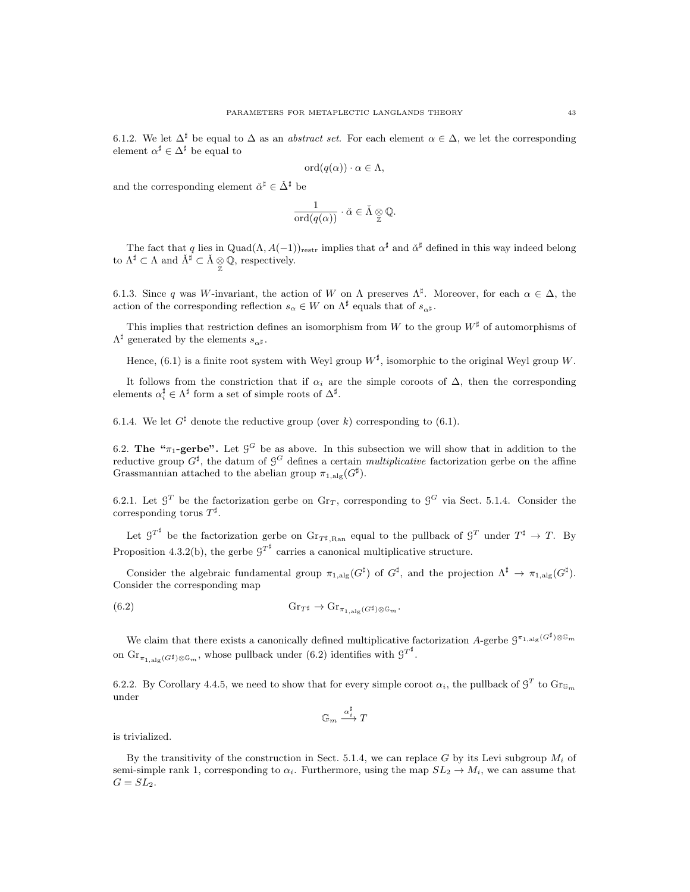6.1.2. We let  $\Delta^{\sharp}$  be equal to  $\Delta$  as an *abstract set*. For each element  $\alpha \in \Delta$ , we let the corresponding element  $\alpha^{\sharp} \in \Delta^{\sharp}$  be equal to

$$
\mathrm{ord}(q(\alpha)) \cdot \alpha \in \Lambda,
$$

and the corresponding element  $\check{\alpha}^{\sharp} \in \check{\Delta}^{\sharp}$  be

$$
\frac{1}{\text{ord}(q(\alpha))} \cdot \check{\alpha} \in \check{\Lambda} \underset{\mathbb{Z}}{\otimes} \mathbb{Q}.
$$

The fact that q lies in Quad $(\Lambda, A(-1))_{\text{restr}}$  implies that  $\alpha^{\sharp}$  and  $\check{\alpha}^{\sharp}$  defined in this way indeed belong to  $\Lambda^{\sharp} \subset \Lambda$  and  $\check{\Lambda}^{\sharp} \subset \check{\Lambda} \underset{\mathbb{Z}}{\otimes} \mathbb{Q}$ , respectively.

6.1.3. Since q was W-invariant, the action of W on  $\Lambda$  preserves  $\Lambda^{\sharp}$ . Moreover, for each  $\alpha \in \Delta$ , the action of the corresponding reflection  $s_{\alpha} \in W$  on  $\Lambda^{\sharp}$  equals that of  $s_{\alpha^{\sharp}}$ .

This implies that restriction defines an isomorphism from W to the group  $W^{\sharp}$  of automorphisms of  $\Lambda^{\sharp}$  generated by the elements  $s_{\alpha^{\sharp}}$ .

Hence, (6.1) is a finite root system with Weyl group  $W^{\sharp}$ , isomorphic to the original Weyl group W.

It follows from the constriction that if  $\alpha_i$  are the simple coroots of  $\Delta$ , then the corresponding elements  $\alpha_i^{\sharp} \in \Lambda^{\sharp}$  form a set of simple roots of  $\Delta^{\sharp}$ .

6.1.4. We let  $G^{\sharp}$  denote the reductive group (over k) corresponding to (6.1).

6.2. The " $\pi_1$ -gerbe". Let  $\mathcal{G}^G$  be as above. In this subsection we will show that in addition to the reductive group  $G^{\sharp}$ , the datum of  $\mathcal{G}^G$  defines a certain *multiplicative* factorization gerbe on the affine Grassmannian attached to the abelian group  $\pi_{1,\text{alg}}(G^{\sharp}).$ 

6.2.1. Let  $\mathcal{G}^T$  be the factorization gerbe on Gr<sub>T</sub>, corresponding to  $\mathcal{G}^G$  via Sect. 5.1.4. Consider the corresponding torus  $T^{\sharp}$ .

Let  $G^{T^{\sharp}}$  be the factorization gerbe on  $\text{Gr}_{T^{\sharp},\text{Ran}}$  equal to the pullback of  $G^{T}$  under  $T^{\sharp} \to T$ . By Proposition 4.3.2(b), the gerbe  $G^{T^{\sharp}}$  carries a canonical multiplicative structure.

Consider the algebraic fundamental group  $\pi_{1,\mathrm{alg}}(G^{\sharp})$  of  $G^{\sharp}$ , and the projection  $\Lambda^{\sharp} \to \pi_{1,\mathrm{alg}}(G^{\sharp})$ . Consider the corresponding map

(6.2) 
$$
\mathrm{Gr}_{T^{\sharp}} \to \mathrm{Gr}_{\pi_{1,\mathrm{alg}}(G^{\sharp})\otimes \mathbb{G}_m}.
$$

We claim that there exists a canonically defined multiplicative factorization A-gerbe  $\mathcal{G}^{\pi_{1,\text{alg}}(G^{\sharp})\otimes\mathbb{G}_m}$ on  $\text{Gr}_{\pi_{1,\text{alg}}(G^{\sharp})\otimes \mathbb{G}_m}$ , whose pullback under (6.2) identifies with  $g^{T^{\sharp}}$ .

6.2.2. By Corollary 4.4.5, we need to show that for every simple coroot  $\alpha_i$ , the pullback of  $\mathcal{G}^T$  to  $\text{Gr}_{\mathbb{G}_m}$ under

$$
\mathbb{G}_m \stackrel{\alpha_i^\sharp}{\longrightarrow} T
$$

is trivialized.

By the transitivity of the construction in Sect. 5.1.4, we can replace G by its Levi subgroup  $M_i$  of semi-simple rank 1, corresponding to  $\alpha_i$ . Furthermore, using the map  $SL_2 \to M_i$ , we can assume that  $G = SL_2$ .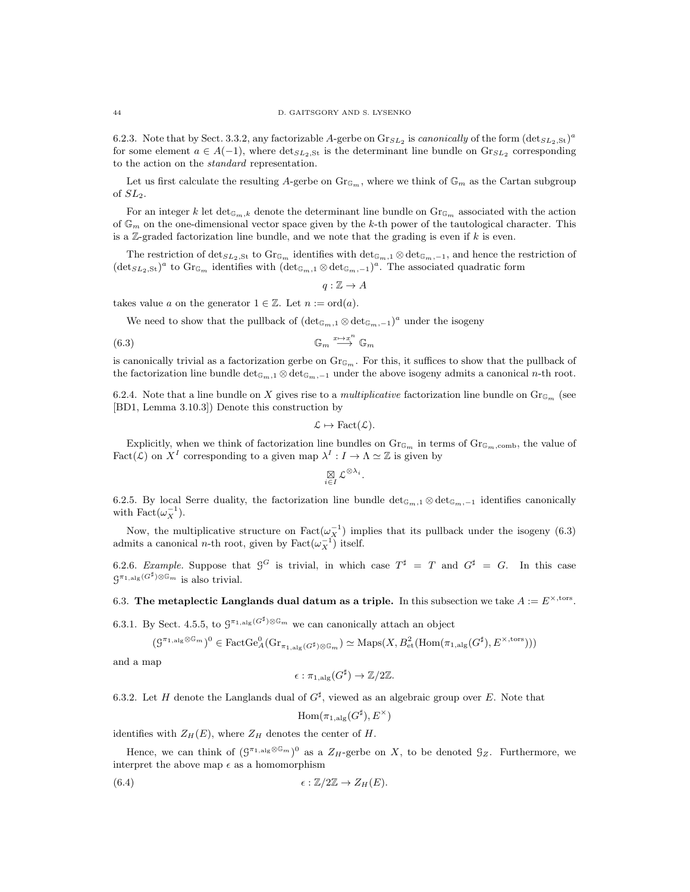6.2.3. Note that by Sect. 3.3.2, any factorizable A-gerbe on  $\text{Gr}_{SL_2}$  is *canonically* of the form  $(\text{det}_{SL_2,St})^a$ for some element  $a \in A(-1)$ , where  $\text{det}_{SL_2,St}$  is the determinant line bundle on  $\text{Gr}_{SL_2}$  corresponding to the action on the standard representation.

Let us first calculate the resulting A-gerbe on  $\text{Gr}_{\mathbb{G}_m}$ , where we think of  $\mathbb{G}_m$  as the Cartan subgroup of SL2.

For an integer k let  $\det_{\mathbb{G}_m,k}$  denote the determinant line bundle on  $\text{Gr}_{\mathbb{G}_m}$  associated with the action of  $\mathbb{G}_m$  on the one-dimensional vector space given by the k-th power of the tautological character. This is a Z-graded factorization line bundle, and we note that the grading is even if  $k$  is even.

The restriction of  $\det_{SL_2,St}$  to  $\text{Gr}_{\mathbb{G}_m}$  identifies with  $\det_{\mathbb{G}_m,1} \otimes \det_{\mathbb{G}_m,-1}$ , and hence the restriction of  $(\text{det}_{SL_2,St})^a$  to  $\text{Gr}_{\mathbb{G}_m}$  identifies with  $(\text{det}_{\mathbb{G}_m,1} \otimes \text{det}_{\mathbb{G}_m,-1})^a$ . The associated quadratic form

$$
q:\mathbb{Z}\to A
$$

takes value a on the generator  $1 \in \mathbb{Z}$ . Let  $n := \text{ord}(a)$ .

We need to show that the pullback of  $(\det_{\mathbb{G}_m,1} \otimes \det_{\mathbb{G}_m,-1})^a$  under the isogeny

(6.3) G<sup>m</sup> x7→x n −→ G<sup>m</sup>

is canonically trivial as a factorization gerbe on  $\text{Gr}_{\mathbb{G}_m}$ . For this, it suffices to show that the pullback of the factorization line bundle  $\det_{\mathbb{G}_m,1}\otimes \det_{\mathbb{G}_m,-1}$  under the above isogeny admits a canonical n-th root.

6.2.4. Note that a line bundle on X gives rise to a *multiplicative* factorization line bundle on  $\text{Gr}_{\mathbb{G}_m}$  (see [BD1, Lemma 3.10.3]) Denote this construction by

$$
\mathcal{L} \mapsto \text{Fact}(\mathcal{L}).
$$

Explicitly, when we think of factorization line bundles on  $\text{Gr}_{\mathbb{G}_m}$  in terms of  $\text{Gr}_{\mathbb{G}_m,\text{comb}}$ , the value of Fact(*L*) on  $X^I$  corresponding to a given map  $\lambda^I : I \to \Lambda \simeq \mathbb{Z}$  is given by

$$
\mathop{\boxtimes}_{i\in I}\mathcal L^{\otimes\lambda_i}
$$

.

6.2.5. By local Serre duality, the factorization line bundle  $\det_{\mathbb{G}_m,1} \otimes \det_{\mathbb{G}_m,-1}$  identifies canonically with  $\text{Fact}(\omega_X^{-1})$ .

Now, the multiplicative structure on  $Fact(\omega_X^{-1})$  implies that its pullback under the isogeny (6.3) admits a canonical *n*-th root, given by Fact $(\omega_X^{-1})$  itself.

6.2.6. Example. Suppose that  $G^G$  is trivial, in which case  $T^{\sharp} = T$  and  $G^{\sharp} = G$ . In this case  $\mathcal{G}^{\pi_{1,\text{alg}}(G^{\sharp})\otimes \mathbb{G}_m}$  is also trivial.

6.3. The metaplectic Langlands dual datum as a triple. In this subsection we take  $A := E^{\times, \text{tors}}$ .

6.3.1. By Sect. 4.5.5, to  $\mathcal{G}^{\pi_{1,\mathrm{alg}}(G^{\sharp})\otimes \mathbb{G}_m}$  we can canonically attach an object

$$
(\mathcal{G}^{\pi_{1,\mathrm{alg}} \otimes \mathbb{G}_m})^0 \in \mathrm{FactGe}_A^0(\mathrm{Gr}_{\pi_{1,\mathrm{alg}}(G^\sharp) \otimes \mathbb{G}_m}) \simeq \mathrm{Maps}(X, B^2_{\mathrm{et}}(\mathrm{Hom}(\pi_{1,\mathrm{alg}}(G^\sharp), E^{\times, \mathrm{tors}})))
$$

and a map

$$
\epsilon : \pi_{1,\mathrm{alg}}(G^{\sharp}) \to \mathbb{Z}/2\mathbb{Z}.
$$

6.3.2. Let H denote the Langlands dual of  $G^{\sharp}$ , viewed as an algebraic group over E. Note that

$$
\mathrm{Hom}(\pi_{1,\mathrm{alg}}(G^\sharp),E^\times)
$$

identifies with  $Z_H(E)$ , where  $Z_H$  denotes the center of  $H$ .

Hence, we can think of  $(\mathcal{G}^{\pi_{1,\text{alg}} \otimes \mathbb{G}_m})^0$  as a  $Z_H$ -gerbe on X, to be denoted  $\mathcal{G}_Z$ . Furthermore, we interpret the above map  $\epsilon$  as a homomorphism

(6.4) 
$$
\epsilon : \mathbb{Z}/2\mathbb{Z} \to Z_H(E).
$$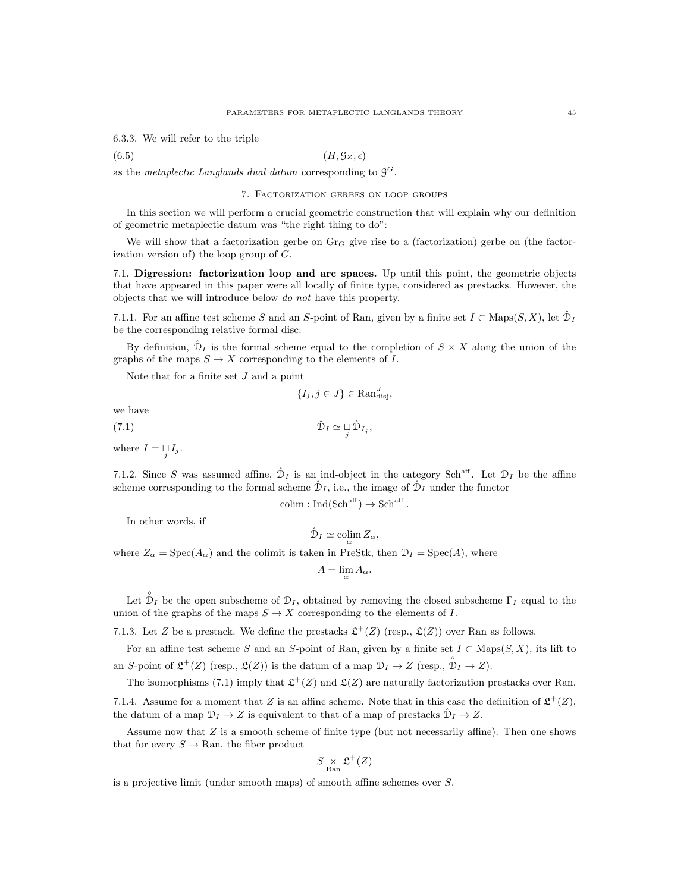6.3.3. We will refer to the triple

$$
(6.5) \t\t\t (H, \mathcal{G}_Z, \epsilon)
$$

as the metaplectic Langlands dual datum corresponding to  $\mathcal{G}^G$ .

## 7. Factorization gerbes on loop groups

In this section we will perform a crucial geometric construction that will explain why our definition of geometric metaplectic datum was "the right thing to do":

We will show that a factorization gerbe on  $Gr_G$  give rise to a (factorization) gerbe on (the factorization version of) the loop group of  $G$ .

7.1. Digression: factorization loop and arc spaces. Up until this point, the geometric objects that have appeared in this paper were all locally of finite type, considered as prestacks. However, the objects that we will introduce below do not have this property.

7.1.1. For an affine test scheme S and an S-point of Ran, given by a finite set  $I \subset \text{Maps}(S, X)$ , let  $\hat{\mathcal{D}}_I$ be the corresponding relative formal disc:

By definition,  $\hat{\mathcal{D}}_I$  is the formal scheme equal to the completion of  $S \times X$  along the union of the graphs of the maps  $S \to X$  corresponding to the elements of I.

Note that for a finite set  $J$  and a point

 $\{I_j, j \in J\} \in \text{Ran}_{\text{disj}}^J,$ 

we have

$$
\hat{\mathcal{D}}_I \simeq \bigsqcup_j \hat{\mathcal{D}}_{I_j},
$$

where  $I = \bigcup_{j} I_j$ .

7.1.2. Since S was assumed affine,  $\hat{\mathcal{D}}_I$  is an ind-object in the category Sch<sup>aff</sup>. Let  $\mathcal{D}_I$  be the affine scheme corresponding to the formal scheme  $\hat{\mathcal{D}}_I$ , i.e., the image of  $\hat{\mathcal{D}}_I$  under the functor

$$
colim: Ind(Sch^{aff}) \to Sch^{aff}
$$

.

In other words, if

$$
\hat{\mathcal{D}}_I \simeq \operatorname{colim}_{\alpha} Z_{\alpha},
$$

where  $Z_{\alpha} = \text{Spec}(A_{\alpha})$  and the colimit is taken in PreStk, then  $\mathcal{D}_{I} = \text{Spec}(A)$ , where

$$
A = \lim_{\alpha} A_{\alpha}.
$$

Let  $\hat{\mathcal{D}}_I$  be the open subscheme of  $\mathcal{D}_I$ , obtained by removing the closed subscheme  $\Gamma_I$  equal to the union of the graphs of the maps  $S \to X$  corresponding to the elements of I.

7.1.3. Let Z be a prestack. We define the prestacks  $\mathfrak{L}^+(Z)$  (resp.,  $\mathfrak{L}(Z)$ ) over Ran as follows.

For an affine test scheme S and an S-point of Ran, given by a finite set  $I \subset \text{Maps}(S, X)$ , its lift to an S-point of  $\mathfrak{L}^+(Z)$  (resp.,  $\mathfrak{L}(Z)$ ) is the datum of a map  $\mathfrak{D}_I \to Z$  (resp.,  $\mathfrak{D}_I \to Z$ ).

The isomorphisms (7.1) imply that  $\mathfrak{L}^+(Z)$  and  $\mathfrak{L}(Z)$  are naturally factorization prestacks over Ran.

7.1.4. Assume for a moment that Z is an affine scheme. Note that in this case the definition of  $\mathfrak{L}^+(Z)$ , the datum of a map  $\mathcal{D}_I \to Z$  is equivalent to that of a map of prestacks  $\hat{\mathcal{D}}_I \to Z$ .

Assume now that  $Z$  is a smooth scheme of finite type (but not necessarily affine). Then one shows that for every  $S \to \text{Ran}$ , the fiber product

$$
S \mathop{\times}_{\mathrm{Ran}} \mathfrak{L}^+(Z)
$$

is a projective limit (under smooth maps) of smooth affine schemes over S.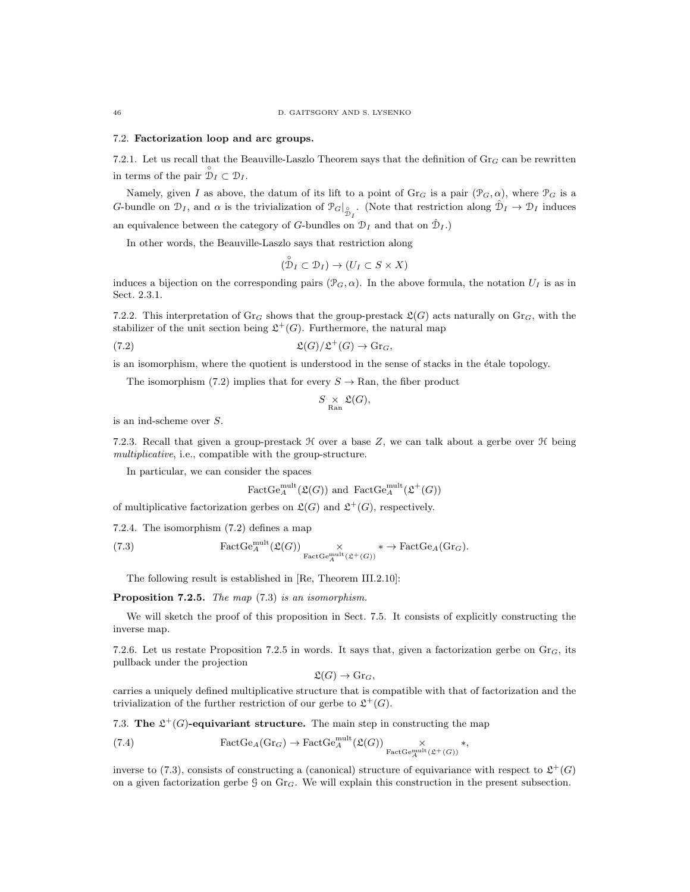#### 7.2. Factorization loop and arc groups.

7.2.1. Let us recall that the Beauville-Laszlo Theorem says that the definition of  $Gr_G$  can be rewritten in terms of the pair  $\mathcal{D}_I \subset \mathcal{D}_I$ .

Namely, given I as above, the datum of its lift to a point of  $\mathrm{Gr}_G$  is a pair  $(\mathcal{P}_G, \alpha)$ , where  $\mathcal{P}_G$  is a G-bundle on  $\mathcal{D}_I$ , and  $\alpha$  is the trivialization of  $\mathcal{P}_G|_{\mathcal{D}_I}^{\circ}$ . (Note that restriction along  $\hat{\mathcal{D}}_I \to \mathcal{D}_I$  induces

an equivalence between the category of G-bundles on  $\mathcal{D}_I$  and that on  $\mathcal{D}_I$ .)

In other words, the Beauville-Laszlo says that restriction along

$$
(\overset{\circ}{\mathcal{D}}_I \subset \mathcal{D}_I) \to (U_I \subset S \times X)
$$

induces a bijection on the corresponding pairs  $(\mathcal{P}_G, \alpha)$ . In the above formula, the notation  $U_I$  is as in Sect. 2.3.1.

7.2.2. This interpretation of Gr<sub>G</sub> shows that the group-prestack  $\mathfrak{L}(G)$  acts naturally on Gr<sub>G</sub>, with the stabilizer of the unit section being  $\mathfrak{L}^+(G)$ . Furthermore, the natural map

(7.2) 
$$
\mathfrak{L}(G)/\mathfrak{L}^+(G) \to \mathrm{Gr}_G,
$$

is an isomorphism, where the quotient is understood in the sense of stacks in the étale topology.

The isomorphism (7.2) implies that for every  $S \to \text{Ran}$ , the fiber product

$$
S \underset{\text{Ran}}{\times} \mathfrak{L}(G),
$$

is an ind-scheme over S.

7.2.3. Recall that given a group-prestack  $H$  over a base Z, we can talk about a gerbe over  $H$  being multiplicative, i.e., compatible with the group-structure.

In particular, we can consider the spaces

FactGe<sub>A</sub><sup>mult</sup>(
$$
\mathfrak{L}(G)
$$
) and FactGe<sub>A</sub><sup>mult</sup>( $\mathfrak{L}^+(G)$ )

of multiplicative factorization gerbes on  $\mathfrak{L}(G)$  and  $\mathfrak{L}^+(G)$ , respectively.

7.2.4. The isomorphism (7.2) defines a map

(7.3) 
$$
\text{FactGe}_{A}^{\text{mult}}(\mathfrak{L}(G)) \underset{\text{FactGe}_{A}^{\text{mult}}(\mathfrak{L}^{+}(G))}{\times} * \to \text{FactGe}_{A}(\text{Gr}_{G}).
$$

The following result is established in [Re, Theorem III.2.10]:

Proposition 7.2.5. The map  $(7.3)$  is an isomorphism.

We will sketch the proof of this proposition in Sect. 7.5. It consists of explicitly constructing the inverse map.

7.2.6. Let us restate Proposition 7.2.5 in words. It says that, given a factorization gerbe on  $\text{Gr}_G$ , its pullback under the projection

$$
\mathfrak{L}(G) \to \mathrm{Gr}_G,
$$

carries a uniquely defined multiplicative structure that is compatible with that of factorization and the trivialization of the further restriction of our gerbe to  $\mathfrak{L}^+(G)$ .

7.3. The  $\mathfrak{L}^+(G)$ -equivariant structure. The main step in constructing the map

(7.4) 
$$
\text{FactGe}_{A}(\text{Gr}_{G}) \to \text{FactGe}_{A}^{\text{mult}}(\mathfrak{L}(G)) \underset{\text{FactGe}_{A}^{\text{mult}}(\mathfrak{L}^{+}(G))}{\times} *,
$$

inverse to (7.3), consists of constructing a (canonical) structure of equivariance with respect to  $\mathfrak{L}^+(G)$ on a given factorization gerbe  $G$  on  $Gr_G$ . We will explain this construction in the present subsection.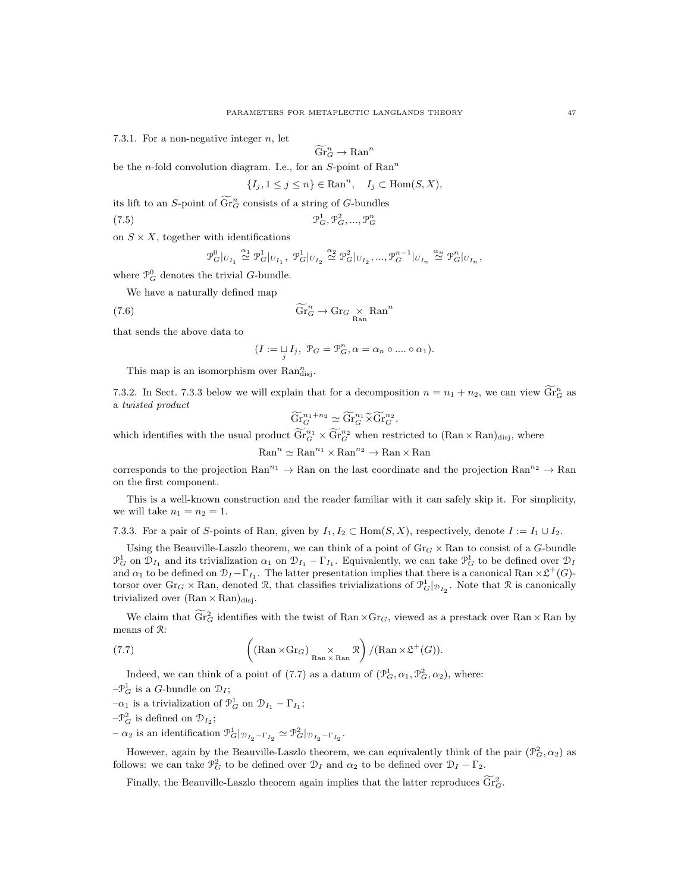7.3.1. For a non-negative integer  $n$ , let

$$
\widetilde{\mathrm{Gr}}_G^n \to \mathrm{Ran}^n
$$

be the *n*-fold convolution diagram. I.e., for an  $S$ -point of  $\text{Ran}^n$ 

$$
\{I_j, 1 \le j \le n\} \in \text{Ran}^n, \quad I_j \subset \text{Hom}(S, X),
$$

its lift to an S-point of  $\widetilde{\text{Gr}}_{G}^{n}$  consists of a string of G-bundles

(7.5) P 1 <sup>G</sup>, P 2 <sup>G</sup>, ..., P n G

on  $S \times X$ , together with identifications

$$
\mathcal{P}_G^0|_{U_{I_1}}\overset{\alpha_1}{\simeq}\mathcal{P}_G^1|_{U_{I_1}},\ \mathcal{P}_G^1|_{U_{I_2}}\overset{\alpha_2}{\simeq}\mathcal{P}_G^2|_{U_{I_2}},...,\mathcal{P}_G^{n-1}|_{U_{I_n}}\overset{\alpha_n}{\simeq}\mathcal{P}_G^n|_{U_{I_n}},
$$

where  $\mathcal{P}_G^0$  denotes the trivial G-bundle. We have a naturally defined map

(7.6) 
$$
\widetilde{\text{Gr}}_G^n \to \text{Gr}_G \times \text{Ran}^n
$$

that sends the above data to

$$
(I := \mathop{\sqcup}\limits_j I_j, \ \mathcal{P}_G = \mathcal{P}_G^n, \alpha = \alpha_n \circ \dots \circ \alpha_1).
$$

This map is an isomorphism over  $\text{Ran}^n_{\text{disj}}$ .

7.3.2. In Sect. 7.3.3 below we will explain that for a decomposition  $n = n_1 + n_2$ , we can view  $\widetilde{\text{Gr}}_G^n$  as a twisted product

$$
\widetilde{\mathrm{Gr}}_G^{n_1+n_2} \simeq \widetilde{\mathrm{Gr}}_G^{n_1} \widetilde{\times} \widetilde{\mathrm{Gr}}_G^{n_2},
$$

which identifies with the usual product  $\widetilde{\text{Gr}}_G^{n_1} \times \widetilde{\text{Gr}}_G^{n_2}$  when restricted to  $(\text{Ran} \times \text{Ran})_{\text{disj}}$ , where

 $\mathrm{Ran}^n \simeq \mathrm{Ran}^{n_1} \times \mathrm{Ran}^{n_2} \to \mathrm{Ran} \times \mathrm{Ran}$ 

corresponds to the projection Ran<sup>n<sub>1</sub></sup>  $\rightarrow$  Ran on the last coordinate and the projection Ran<sup>n<sub>2</sub></sup>  $\rightarrow$  Ran on the first component.

This is a well-known construction and the reader familiar with it can safely skip it. For simplicity, we will take  $n_1 = n_2 = 1$ .

7.3.3. For a pair of S-points of Ran, given by  $I_1, I_2 \subset \text{Hom}(S, X)$ , respectively, denote  $I := I_1 \cup I_2$ .

Using the Beauville-Laszlo theorem, we can think of a point of  $\text{Gr}_G \times \text{Ran}$  to consist of a G-bundle  $\mathcal{P}_G^1$  on  $\mathcal{D}_{I_1}$  and its trivialization  $\alpha_1$  on  $\mathcal{D}_{I_1} - \Gamma_{I_1}$ . Equivalently, we can take  $\mathcal{P}_G^1$  to be defined over  $\mathcal{D}_I$ and  $\alpha_1$  to be defined on  $\mathcal{D}_I-\Gamma_{I_1}$ . The latter presentation implies that there is a canonical Ran  $\times \mathfrak{L}^+(G)$ torsor over  $\text{Gr}_G \times \text{Ran}$ , denoted R, that classifies trivializations of  $\mathcal{P}_G^1|_{\mathcal{D}_{I_2}}$ . Note that R is canonically trivialized over  $(Ran \times Ran)_{disj}$ .

We claim that  $\widetilde{\text{Gr}}_G^2$  identifies with the twist of Ran  $\times \text{Gr}_G$ , viewed as a prestack over Ran  $\times$  Ran by means of R:

(7.7) 
$$
\left( (\text{Ran} \times \text{Gr}_G) \underset{\text{Ran} \times \text{Ran}}{\times} \mathcal{R} \right) / (\text{Ran} \times \mathcal{L}^+(G)).
$$

Indeed, we can think of a point of (7.7) as a datum of  $(\mathcal{P}_G^1, \alpha_1, \mathcal{P}_G^2, \alpha_2)$ , where:

- $-\mathcal{P}_G^1$  is a *G*-bundle on  $\mathcal{D}_I$ ;
- $-\alpha_1$  is a trivialization of  $\mathcal{P}_G^1$  on  $\mathcal{D}_{I_1} \Gamma_{I_1}$ ;
- $-\mathcal{P}_G^2$  is defined on  $\mathcal{D}_{I_2}$ ;

 $-\alpha_2$  is an identification  $\mathcal{P}_G^1|_{\mathcal{D}_{I_2} - \Gamma_{I_2}} \simeq \mathcal{P}_G^2|_{\mathcal{D}_{I_2} - \Gamma_{I_2}}.$ 

However, again by the Beauville-Laszlo theorem, we can equivalently think of the pair  $(\mathcal{P}_G^2, \alpha_2)$  as follows: we can take  $\mathcal{P}_G^2$  to be defined over  $\mathcal{D}_I$  and  $\alpha_2$  to be defined over  $\mathcal{D}_I - \Gamma_2$ .

Finally, the Beauville-Laszlo theorem again implies that the latter reproduces  $\widetilde{\text{Gr}}_G^2$ .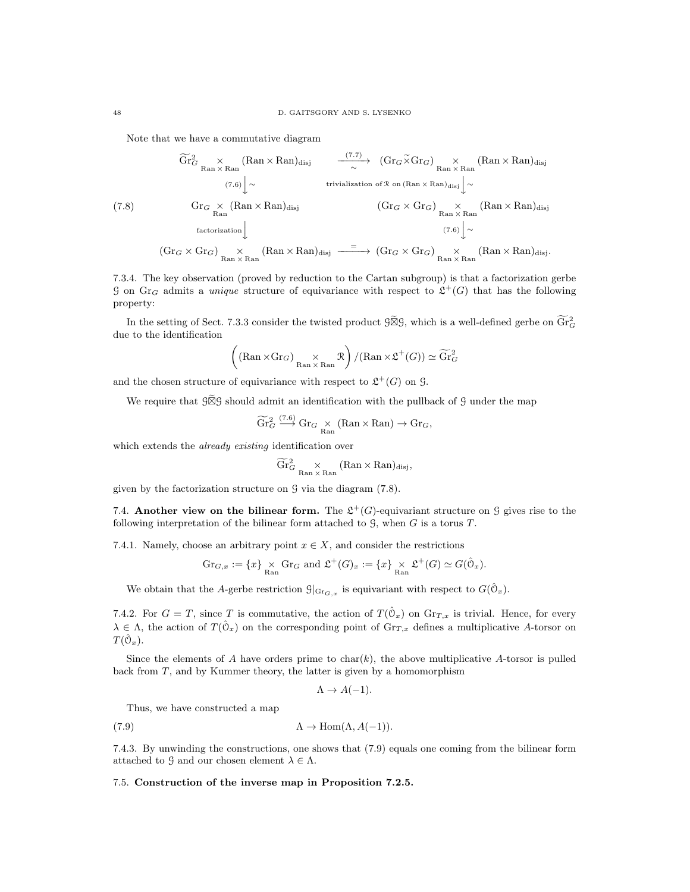Note that we have a commutative diagram

(7.8) Gr f2 <sup>G</sup> × Ran × Ran (Ran × Ran)disj (7.7) −−−−−→<sup>∼</sup> (GrG×eGrG) <sup>×</sup> Ran × Ran (Ran × Ran)disj (7.6) <sup>y</sup><sup>∼</sup> trivialization of <sup>R</sup> on (Ran <sup>×</sup> Ran)disj y∼ Gr<sup>G</sup> × Ran (Ran × Ran)disj (Gr<sup>G</sup> × GrG) × Ran × Ran (Ran × Ran)disj factorization <sup>y</sup> (7.6) y∼ (Gr<sup>G</sup> × GrG) × Ran × Ran (Ran × Ran)disj <sup>=</sup> −−−−−→ (Gr<sup>G</sup> × GrG) × Ran × Ran (Ran × Ran)disj.

7.3.4. The key observation (proved by reduction to the Cartan subgroup) is that a factorization gerbe G on Gr<sub>G</sub> admits a *unique* structure of equivariance with respect to  $\mathfrak{L}^+(G)$  that has the following property:

In the setting of Sect. 7.3.3 consider the twisted product  $\widetilde{\mathfrak{G}}\mathfrak{G}$ , which is a well-defined gerbe on  $\widetilde{\text{Gr}}_G^2$ due to the identification

$$
\left( (\text{Ran} \times \text{Gr}_G) \underset{\text{Ran} \times \text{Ran}}{\times} \mathcal{R} \right) / (\text{Ran} \times \mathfrak{L}^+(G)) \simeq \widetilde{\text{Gr}}_G^2
$$

and the chosen structure of equivariance with respect to  $\mathfrak{L}^+(G)$  on  $\mathfrak{G}$ .

We require that  $\mathcal{G}\widetilde{\boxtimes}\mathcal{G}$  should admit an identification with the pullback of  $\mathcal G$  under the map

$$
\widetilde{\mathrm{Gr}}_G^2 \stackrel{(7.6)}{\longrightarrow} \mathrm{Gr}_G \underset{\mathrm{Ran}}{\times} (\mathrm{Ran} \times \mathrm{Ran}) \to \mathrm{Gr}_G,
$$

which extends the *already existing* identification over

$$
\widetilde{\mathrm{Gr}}_G^2 \underset{\mathrm{Ran}\,\times\,\mathrm{Ran}}{\times} (\mathrm{Ran}\times\mathrm{Ran})_{\mathrm{disj}},
$$

given by the factorization structure on  $\mathcal G$  via the diagram (7.8).

7.4. Another view on the bilinear form. The  $\mathfrak{L}^+(G)$ -equivariant structure on  $\mathfrak g$  gives rise to the following interpretation of the bilinear form attached to  $G$ , when  $G$  is a torus  $T$ .

7.4.1. Namely, choose an arbitrary point  $x \in X$ , and consider the restrictions

$$
\operatorname{Gr}_{G,x} := \{x\} \underset{\text{Ran}}{\times} \operatorname{Gr}_G \text{ and } \mathfrak{L}^+(G)_x := \{x\} \underset{\text{Ran}}{\times} \mathfrak{L}^+(G) \simeq G(\hat{0}_x).
$$

We obtain that the A-gerbe restriction  $\mathcal{G}|_{\text{Gr}_{G,x}}$  is equivariant with respect to  $G(\hat{\mathbb{O}}_x)$ .

7.4.2. For  $G = T$ , since T is commutative, the action of  $T(\hat{\theta}_x)$  on  $\text{Gr}_{T,x}$  is trivial. Hence, for every  $\lambda \in \Lambda$ , the action of  $T(\hat{\mathbb{O}}_x)$  on the corresponding point of  $\text{Gr}_{T,x}$  defines a multiplicative A-torsor on  $T(\hat{\mathcal{O}}_x)$ .

Since the elements of A have orders prime to char $(k)$ , the above multiplicative A-torsor is pulled back from  $T$ , and by Kummer theory, the latter is given by a homomorphism

 $\Lambda \rightarrow A(-1)$ .

Thus, we have constructed a map

(7.9) 
$$
\Lambda \to \text{Hom}(\Lambda, A(-1)).
$$

7.4.3. By unwinding the constructions, one shows that (7.9) equals one coming from the bilinear form attached to  $\mathcal{G}$  and our chosen element  $\lambda \in \Lambda$ .

7.5. Construction of the inverse map in Proposition 7.2.5.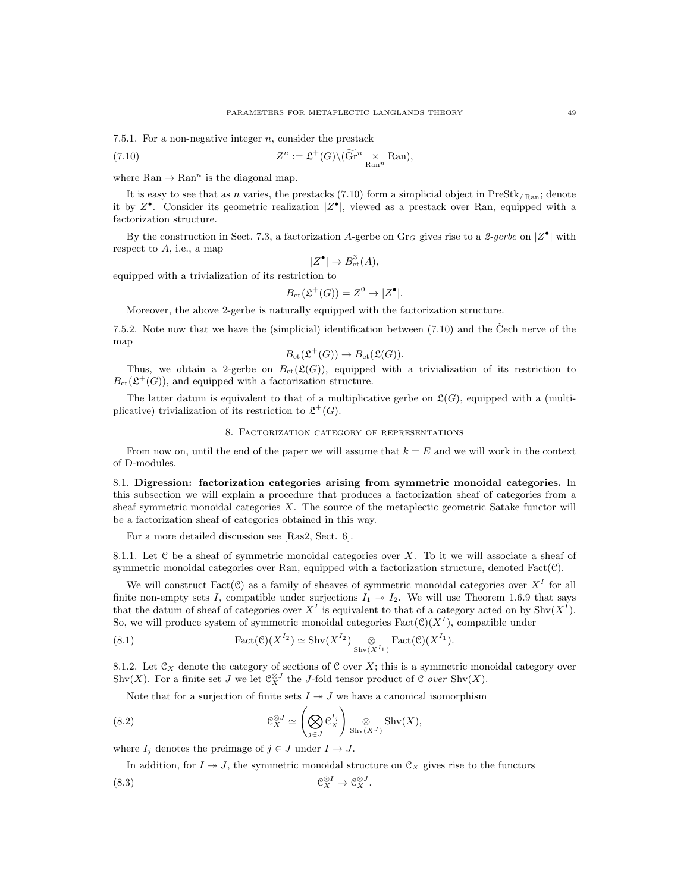7.5.1. For a non-negative integer n, consider the prestack

(7.10) 
$$
Z^{n} := \mathfrak{L}^{+}(G) \backslash (\widetilde{\text{Gr}}^{n} \underset{\text{Ran}^{n}}{\times} \text{Ran}),
$$

where  $\text{Ran} \to \text{Ran}^n$  is the diagonal map.

It is easy to see that as n varies, the prestacks (7.10) form a simplicial object in PreStk<sub>/Ran</sub>; denote it by  $Z^{\bullet}$ . Consider its geometric realization  $|Z^{\bullet}|$ , viewed as a prestack over Ran, equipped with a factorization structure.

By the construction in Sect. 7.3, a factorization A-gerbe on Gr<sub>G</sub> gives rise to a 2-gerbe on  $|Z^{\bullet}|$  with respect to  $A$ , i.e., a map

$$
|Z^{\bullet}| \to B^3_{\text{et}}(A),
$$

equipped with a trivialization of its restriction to

$$
B_{\mathrm{et}}(\mathfrak{L}^+(G)) = Z^0 \to |Z^{\bullet}|.
$$

Moreover, the above 2-gerbe is naturally equipped with the factorization structure.

7.5.2. Note now that we have the (simplicial) identification between  $(7.10)$  and the Cech nerve of the map

$$
B_{\mathrm{et}}(\mathfrak{L}^+(G)) \to B_{\mathrm{et}}(\mathfrak{L}(G)).
$$

Thus, we obtain a 2-gerbe on  $B_{\text{et}}(\mathfrak{L}(G))$ , equipped with a trivialization of its restriction to  $B_{\text{et}}(\mathfrak{L}^+(G))$ , and equipped with a factorization structure.

The latter datum is equivalent to that of a multiplicative gerbe on  $\mathfrak{L}(G)$ , equipped with a (multiplicative) trivialization of its restriction to  $\mathfrak{L}^+(G)$ .

#### 8. Factorization category of representations

From now on, until the end of the paper we will assume that  $k = E$  and we will work in the context of D-modules.

8.1. Digression: factorization categories arising from symmetric monoidal categories. In this subsection we will explain a procedure that produces a factorization sheaf of categories from a sheaf symmetric monoidal categories  $X$ . The source of the metaplectic geometric Satake functor will be a factorization sheaf of categories obtained in this way.

For a more detailed discussion see [Ras2, Sect. 6].

8.1.1. Let  $\mathcal C$  be a sheaf of symmetric monoidal categories over X. To it we will associate a sheaf of symmetric monoidal categories over Ran, equipped with a factorization structure, denoted Fact $(\mathcal{C})$ .

We will construct Fact( $C$ ) as a family of sheaves of symmetric monoidal categories over  $X<sup>I</sup>$  for all finite non-empty sets I, compatible under surjections  $I_1 \rightarrow I_2$ . We will use Theorem 1.6.9 that says that the datum of sheaf of categories over  $X^I$  is equivalent to that of a category acted on by  $\text{Shv}(X^I)$ . So, we will produce system of symmetric monoidal categories  $Fact(\mathcal{C})(X^I)$ , compatible under

(8.1) 
$$
\text{Fact}(\mathcal{C})(X^{I_2}) \simeq \text{Shv}(X^{I_2}) \underset{\text{Shv}(X^{I_1})}{\otimes} \text{Fact}(\mathcal{C})(X^{I_1}).
$$

8.1.2. Let  $\mathfrak{C}_X$  denote the category of sections of  $\mathfrak C$  over X; this is a symmetric monoidal category over Shv(X). For a finite set J we let  $\mathfrak{C}_X^{\otimes J}$  the J-fold tensor product of C *over* Shv(X).

Note that for a surjection of finite sets  $I \rightarrow J$  we have a canonical isomorphism

(8.2) 
$$
\mathcal{C}_X^{\otimes J} \simeq \left(\bigotimes_{j\in J} \mathcal{C}_X^{I_j}\right) \bigotimes_{\text{Shv}(X^J)} \text{Shv}(X),
$$

where  $I_j$  denotes the preimage of  $j \in J$  under  $I \to J$ .

In addition, for  $I \rightarrow J$ , the symmetric monoidal structure on  $\mathfrak{C}_X$  gives rise to the functors  $(8.3)$  $\mathcal{L}^I_X \to \mathcal{C}_X^{\otimes J}.$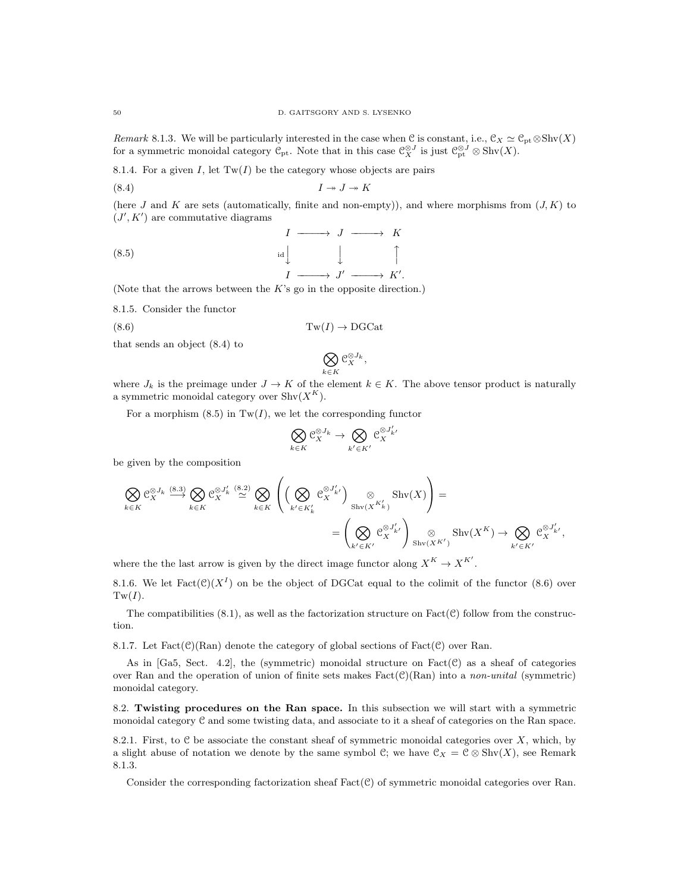Remark 8.1.3. We will be particularly interested in the case when C is constant, i.e.,  $\mathcal{C}_X \simeq \mathcal{C}_{pt} \otimes \text{Shv}(X)$ for a symmetric monoidal category  $\mathcal{C}_{pt}$ . Note that in this case  $\mathcal{C}_{X}^{\otimes J}$  is just  $\mathcal{C}_{pt}^{\otimes J} \otimes \text{Shv}(X)$ .

8.1.4. For a given I, let  $Tw(I)$  be the category whose objects are pairs

$$
(8.4) \t\t I \twoheadrightarrow J \twoheadrightarrow K
$$

(here J and K are sets (automatically, finite and non-empty)), and where morphisms from  $(J, K)$  to  $(J', K')$  are commutative diagrams

$$
\begin{array}{ccc}\n & I \longrightarrow J \longrightarrow K \\
\downarrow & \qquad \qquad \uparrow \\
I \longrightarrow J' \longrightarrow K'.\n\end{array}
$$

(Note that the arrows between the  $K$ 's go in the opposite direction.)

8.1.5. Consider the functor

$$
(8.6) \t\t \t\t {Tw}(I) \to \text{DGCat}
$$

that sends an object (8.4) to

$$
\bigotimes_{k\in K} \mathfrak{C}^{\otimes J_k}_X,
$$

where  $J_k$  is the preimage under  $J \to K$  of the element  $k \in K$ . The above tensor product is naturally a symmetric monoidal category over  $\text{Shv}(X^K)$ .

For a morphism  $(8.5)$  in Tw(I), we let the corresponding functor

$$
\bigotimes_{k \in K} \mathfrak{C}^{\otimes J_k}_X \to \bigotimes_{k' \in K'} \mathfrak{C}^{\otimes J'_{k'}}_X
$$

be given by the composition

$$
\bigotimes_{k \in K} \mathcal{C}_{X}^{\otimes J_{k}} \stackrel{(8.3)}{\longrightarrow} \bigotimes_{k \in K} \mathcal{C}_{X}^{\otimes J'_{k}} \stackrel{(8.2)}{\simeq} \bigotimes_{k \in K} \left( \left( \bigotimes_{k' \in K'_{k}} \mathcal{C}_{X}^{\otimes J'_{k'}} \right)_{\text{Shv}(X^{K'_{k}})} \otimes \text{Shv}(X) \right) =
$$
\n
$$
= \left( \bigotimes_{k' \in K'} \mathcal{C}_{X}^{\otimes J'_{k'}} \right)_{\text{Shv}(X^{K'})} \otimes \text{Shv}(X^{K}) \to \bigotimes_{k' \in K'} \mathcal{C}_{X}^{\otimes J'_{k'}},
$$

where the the last arrow is given by the direct image functor along  $X^K \to X^{K'}$ .

8.1.6. We let  $Fact(\mathcal{C})(X^I)$  on be the object of DGCat equal to the colimit of the functor (8.6) over  $Tw(I).$ 

The compatibilities  $(8.1)$ , as well as the factorization structure on Fact $(\mathcal{C})$  follow from the construction.

8.1.7. Let  $Fact(\mathcal{C})(\text{Ran})$  denote the category of global sections of  $Fact(\mathcal{C})$  over Ran.

As in [Ga5, Sect. 4.2], the (symmetric) monoidal structure on  $Fact(\mathcal{C})$  as a sheaf of categories over Ran and the operation of union of finite sets makes  $Fact(\mathcal{C})(Ran)$  into a non-unital (symmetric) monoidal category.

8.2. Twisting procedures on the Ran space. In this subsection we will start with a symmetric monoidal category C and some twisting data, and associate to it a sheaf of categories on the Ran space.

8.2.1. First, to  $C$  be associate the constant sheaf of symmetric monoidal categories over X, which, by a slight abuse of notation we denote by the same symbol C; we have  $\mathfrak{C}_X = \mathfrak{C} \otimes \text{Shv}(X)$ , see Remark 8.1.3.

Consider the corresponding factorization sheaf  $Fact(\mathcal{C})$  of symmetric monoidal categories over Ran.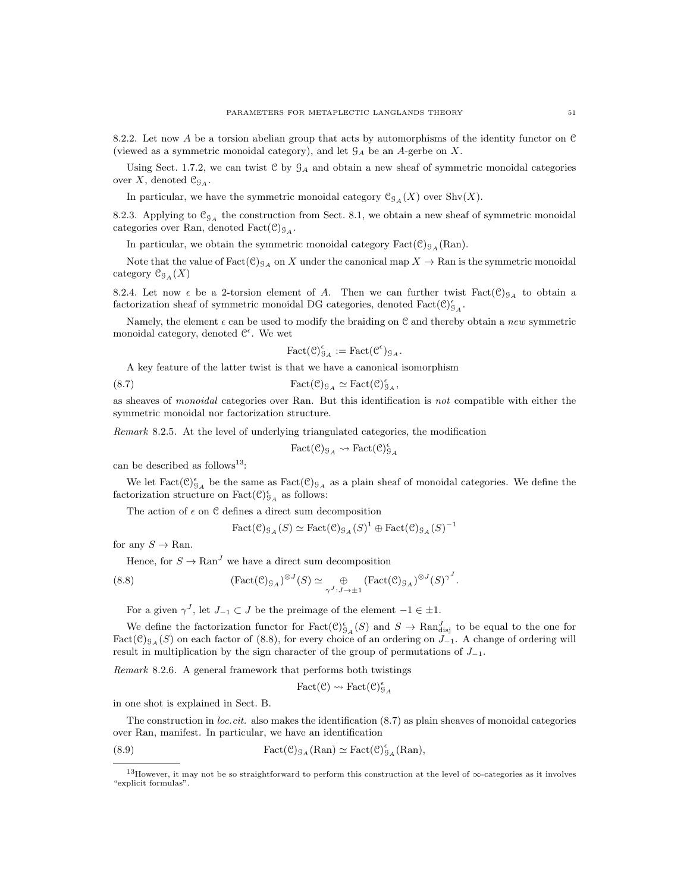8.2.2. Let now A be a torsion abelian group that acts by automorphisms of the identity functor on C (viewed as a symmetric monoidal category), and let  $\mathcal{G}_A$  be an A-gerbe on X.

Using Sect. 1.7.2, we can twist  $C$  by  $G_A$  and obtain a new sheaf of symmetric monoidal categories over X, denoted  $\mathfrak{C}_{\mathfrak{g}_A}$ .

In particular, we have the symmetric monoidal category  $C_{\mathcal{G}_A}(X)$  over Shv $(X)$ .

8.2.3. Applying to  $\mathfrak{C}_{\mathfrak{G}_A}$  the construction from Sect. 8.1, we obtain a new sheaf of symmetric monoidal categories over Ran, denoted  $Fact(\mathcal{C})_{\mathcal{G}_A}$ .

In particular, we obtain the symmetric monoidal category  $Fact(\mathcal{C})_{\mathcal{G}_A}(\text{Ran})$ .

Note that the value of  $Fact(\mathcal{C})_{\mathcal{G}_A}$  on X under the canonical map  $X \to \mathbb{R}$ an is the symmetric monoidal category  $C_{\mathcal{G}_A}(X)$ 

8.2.4. Let now  $\epsilon$  be a 2-torsion element of A. Then we can further twist Fact(C)<sub>GA</sub> to obtain a factorization sheaf of symmetric monoidal DG categories, denoted  $\text{Fact}(\mathcal{C})^{\epsilon}_{\mathcal{G}_{A}}.$ 

Namely, the element  $\epsilon$  can be used to modify the braiding on C and thereby obtain a new symmetric monoidal category, denoted  $\mathcal{C}^{\epsilon}$ . We wet

$$
\mathrm{Fact}(\mathcal{C})^{\epsilon}_{\mathcal{G}_A} := \mathrm{Fact}(\mathcal{C}^{\epsilon})_{\mathcal{G}_A}.
$$

A key feature of the latter twist is that we have a canonical isomorphism

(8.7) 
$$
\text{Fact}(\mathcal{C})_{\mathcal{G}_A} \simeq \text{Fact}(\mathcal{C})_{\mathcal{G}_A}^{\epsilon},
$$

as sheaves of monoidal categories over Ran. But this identification is not compatible with either the symmetric monoidal nor factorization structure.

Remark 8.2.5. At the level of underlying triangulated categories, the modification

$$
\text{Fact}(\mathcal{C})_{\mathcal{G}_A} \rightsquigarrow \text{Fact}(\mathcal{C})_{\mathcal{G}_A}^{\epsilon}
$$

can be described as follows<sup>13</sup>:

We let  $Fact(\mathcal{C})_{\mathcal{G}_A}^{\epsilon}$  be the same as  $Fact(\mathcal{C})_{\mathcal{G}_A}$  as a plain sheaf of monoidal categories. We define the factorization structure on  $Fact(\mathcal{C})_{\mathcal{G}_A}^{\epsilon}$  as follows:

The action of  $\epsilon$  on  $\mathcal C$  defines a direct sum decomposition

$$
\text{Fact}(\mathcal{C})_{\mathcal{G}_{A}}(S) \simeq \text{Fact}(\mathcal{C})_{\mathcal{G}_{A}}(S)^{1} \oplus \text{Fact}(\mathcal{C})_{\mathcal{G}_{A}}(S)^{-1}
$$

for any  $S \to \text{Ran}$ .

Hence, for  $S \to \text{Ran}^J$  we have a direct sum decomposition

(8.8) 
$$
(\text{Fact}(\mathcal{C})_{\mathcal{G}_A})^{\otimes J}(S) \simeq \bigoplus_{\gamma^J : J \to \pm 1} (\text{Fact}(\mathcal{C})_{\mathcal{G}_A})^{\otimes J}(S)^{\gamma^J}.
$$

For a given  $\gamma^J$ , let  $J_{-1} \subset J$  be the preimage of the element  $-1 \in \pm 1$ .

We define the factorization functor for  $Fact(\mathcal{C})_{\mathcal{G}_{A}}^{\epsilon}(S)$  and  $S \to \text{Ran}_{disj}^{J}$  to be equal to the one for  $Fact(C)_{GA}(S)$  on each factor of (8.8), for every choice of an ordering on  $J_{-1}$ . A change of ordering will result in multiplication by the sign character of the group of permutations of  $J_{-1}$ .

Remark 8.2.6. A general framework that performs both twistings

$$
\text{Fact}(\mathcal{C}) \rightsquigarrow \text{Fact}(\mathcal{C})^{\epsilon}_{\mathcal{G}_A}
$$

in one shot is explained in Sect. B.

The construction in loc.cit. also makes the identification (8.7) as plain sheaves of monoidal categories over Ran, manifest. In particular, we have an identification

(8.9)  $\text{Fact}(\mathcal{C})_{\mathcal{G}_A}(\text{Ran}) \simeq \text{Fact}(\mathcal{C})_{\mathcal{G}_A}^{\epsilon}(\text{Ran}),$ 

<sup>13</sup>However, it may not be so straightforward to perform this construction at the level of ∞-categories as it involves "explicit formulas".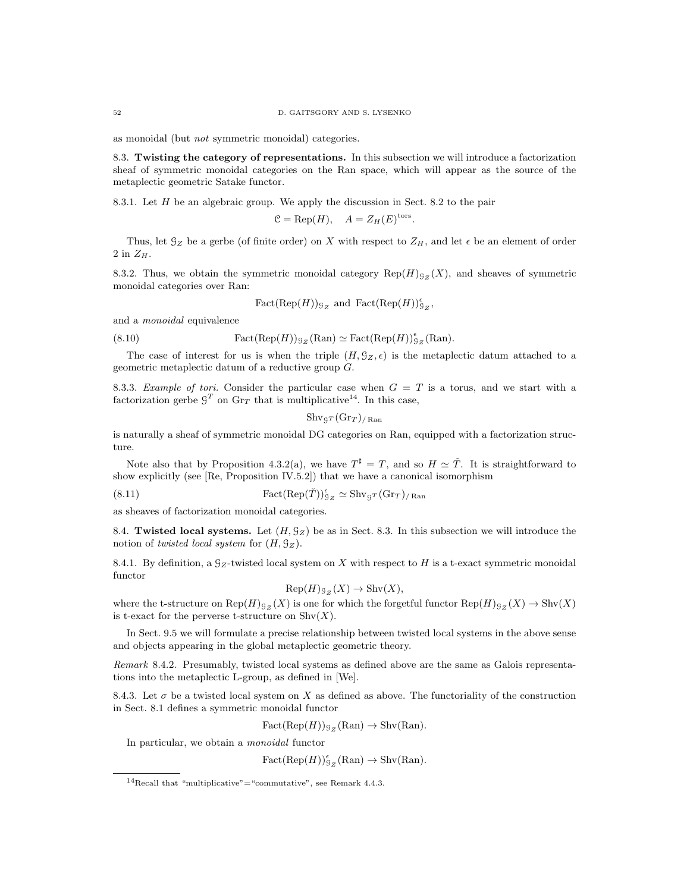as monoidal (but not symmetric monoidal) categories.

8.3. Twisting the category of representations. In this subsection we will introduce a factorization sheaf of symmetric monoidal categories on the Ran space, which will appear as the source of the metaplectic geometric Satake functor.

8.3.1. Let  $H$  be an algebraic group. We apply the discussion in Sect. 8.2 to the pair

$$
C = \text{Rep}(H), \quad A = Z_H(E)^{\text{tors}}
$$

.

Thus, let  $\mathcal{G}_Z$  be a gerbe (of finite order) on X with respect to  $Z_H$ , and let  $\epsilon$  be an element of order 2 in  $Z_H$ .

8.3.2. Thus, we obtain the symmetric monoidal category  $\text{Rep}(H)_{S_Z}(X)$ , and sheaves of symmetric monoidal categories over Ran:

$$
Fact(Rep(H))_{\mathcal{G}_Z} \text{ and } Fact(Rep(H))_{\mathcal{G}_Z}^{\epsilon},
$$

and a monoidal equivalence

(8.10) 
$$
Fact(Rep(H))_{\mathcal{G}_Z}(Ran) \simeq Fact(Rep(H))_{\mathcal{G}_Z}^{\epsilon}(Ran).
$$

The case of interest for us is when the triple  $(H, \mathcal{G}_Z, \epsilon)$  is the metaplectic datum attached to a geometric metaplectic datum of a reductive group G.

8.3.3. Example of tori. Consider the particular case when  $G = T$  is a torus, and we start with a factorization gerbe  $\mathcal{G}^T$  on  $\mathrm{Gr}_T$  that is multiplicative<sup>14</sup>. In this case,

$$
\mathrm{Shv}_{\mathcal{G}^T}(\mathrm{Gr}_T)_{/\operatorname{Ran}}
$$

is naturally a sheaf of symmetric monoidal DG categories on Ran, equipped with a factorization structure.

Note also that by Proposition 4.3.2(a), we have  $T^{\sharp} = T$ , and so  $H \simeq \check{T}$ . It is straightforward to show explicitly (see [Re, Proposition IV.5.2]) that we have a canonical isomorphism

(8.11)  $\operatorname{Fact}(\operatorname{Rep}(\check{T}))_{9_Z}^{\epsilon} \simeq \operatorname{Shv}_{9^T}(\operatorname{Gr}_T)_{/\operatorname{Ran}}$ 

as sheaves of factorization monoidal categories.

8.4. Twisted local systems. Let  $(H, \mathcal{G}_Z)$  be as in Sect. 8.3. In this subsection we will introduce the notion of twisted local system for  $(H, \mathcal{G}_Z)$ .

8.4.1. By definition, a  $g_Z$ -twisted local system on X with respect to H is a t-exact symmetric monoidal functor

$$
Rep(H)_{\mathcal{G}_Z}(X) \to Shv(X),
$$

where the t-structure on  $\text{Rep}(H)_{\mathfrak{S}_Z}(X)$  is one for which the forgetful functor  $\text{Rep}(H)_{\mathfrak{S}_Z}(X) \to \text{Shv}(X)$ is t-exact for the perverse t-structure on  $\text{Shv}(X)$ .

In Sect. 9.5 we will formulate a precise relationship between twisted local systems in the above sense and objects appearing in the global metaplectic geometric theory.

Remark 8.4.2. Presumably, twisted local systems as defined above are the same as Galois representations into the metaplectic L-group, as defined in [We].

8.4.3. Let  $\sigma$  be a twisted local system on X as defined as above. The functoriality of the construction in Sect. 8.1 defines a symmetric monoidal functor

$$
Fact(Rep(H))_{\mathcal{G}_Z}(Ran) \to Shv(Ran).
$$

In particular, we obtain a monoidal functor

 $Fact(Rep(H))_{\mathcal{G}_Z}^{\epsilon}(\text{Ran}) \to \text{Shv}(\text{Ran}).$ 

<sup>&</sup>lt;sup>14</sup>Recall that "multiplicative"="commutative", see Remark 4.4.3.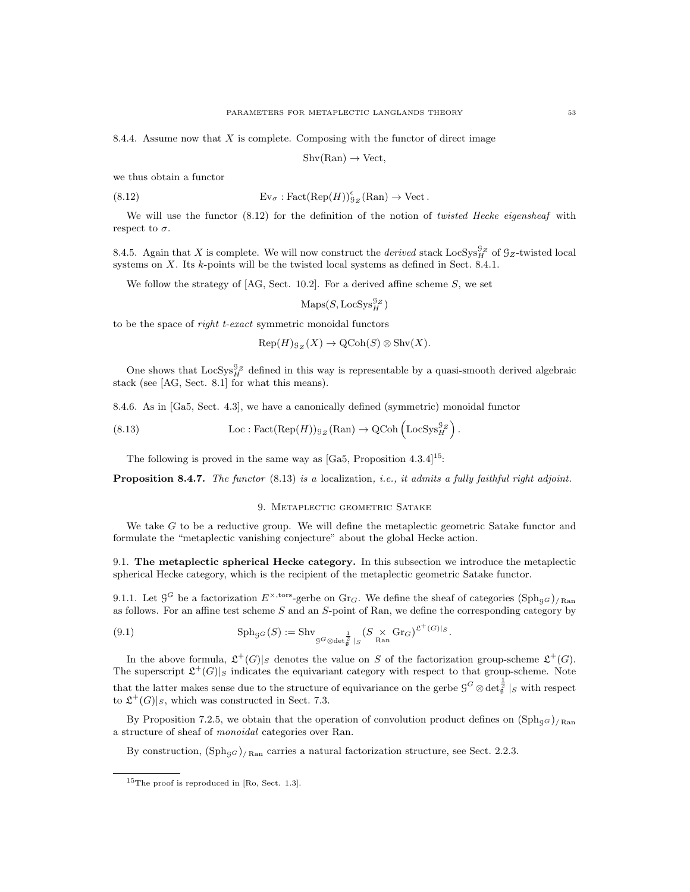8.4.4. Assume now that  $X$  is complete. Composing with the functor of direct image

 $Shv(Ran) \rightarrow Vect,$ 

we thus obtain a functor

(8.12) 
$$
Ev_{\sigma} : \text{Fact}(\text{Rep}(H))_{\mathfrak{L}_Z}^{\epsilon}(\text{Ran}) \to \text{Vect}.
$$

We will use the functor (8.12) for the definition of the notion of twisted Hecke eigensheaf with respect to  $\sigma$ .

8.4.5. Again that X is complete. We will now construct the *derived* stack  $\text{LocSys}_{H}^{SZ}$  of  $\mathcal{G}_Z$ -twisted local systems on X. Its k-points will be the twisted local systems as defined in Sect. 8.4.1.

We follow the strategy of  $[AG, Sect. 10.2]$ . For a derived affine scheme S, we set

 $\mathrm{Maps}(S, \mathrm{LocSys}_{H}^{\mathcal{G}_Z})$ 

to be the space of right t-exact symmetric monoidal functors

 $\mathrm{Rep}(H)_{\mathcal{G}_Z}(X) \to \mathrm{QCoh}(S) \otimes \mathrm{Shv}(X).$ 

One shows that  $LocSys_H^{\mathcal{G}_Z}$  defined in this way is representable by a quasi-smooth derived algebraic stack (see [AG, Sect. 8.1] for what this means).

8.4.6. As in [Ga5, Sect. 4.3], we have a canonically defined (symmetric) monoidal functor

(8.13) 
$$
\operatorname{Loc}: \operatorname{Fact}(\operatorname{Rep}(H))_{\mathcal{G}_Z}(\operatorname{Ran}) \to \operatorname{QCoh}\left(\operatorname{LocSys}_H^{\mathcal{G}_Z}\right).
$$

The following is proved in the same way as  $[Ga5, Proposition 4.3.4]^{15}$ :

**Proposition 8.4.7.** The functor  $(8.13)$  is a localization, i.e., it admits a fully faithful right adjoint.

#### 9. Metaplectic geometric Satake

We take  $G$  to be a reductive group. We will define the metaplectic geometric Satake functor and formulate the "metaplectic vanishing conjecture" about the global Hecke action.

9.1. The metaplectic spherical Hecke category. In this subsection we introduce the metaplectic spherical Hecke category, which is the recipient of the metaplectic geometric Satake functor.

9.1.1. Let  $\mathcal{G}^G$  be a factorization  $E^{\times, \text{tors}}$ -gerbe on  $\text{Gr}_G$ . We define the sheaf of categories  $(\text{Sph}_{\mathcal{G}})_\text{/ Ran}$ as follows. For an affine test scheme S and an S-point of Ran, we define the corresponding category by

(9.1) 
$$
\mathrm{Sph}_{\mathcal{G}G}(S) := \mathrm{Shv}_{\mathcal{G}G \otimes \det_{\mathcal{G}}^{\frac{1}{2}}|_S} (S \times \mathrm{Gr}_G)^{\mathfrak{L}^+(G)|_S}.
$$

In the above formula,  $\mathfrak{L}^+(G)|_S$  denotes the value on S of the factorization group-scheme  $\mathfrak{L}^+(G)$ . The superscript  $\mathfrak{L}^+(G)|_S$  indicates the equivariant category with respect to that group-scheme. Note that the latter makes sense due to the structure of equivariance on the gerbe  $\mathcal{G}^G\otimes\det^{\frac{1}{2}}_\mathfrak{g}|_S$  with respect to  $\mathfrak{L}^+(G)|_S$ , which was constructed in Sect. 7.3.

By Proposition 7.2.5, we obtain that the operation of convolution product defines on  $(\text{Sph}_{\text{GG}})_{/\text{Ran}}$ a structure of sheaf of monoidal categories over Ran.

By construction,  $(\text{Sph}_{\text{GG}})_{/\text{Ran}}$  carries a natural factorization structure, see Sect. 2.2.3.

<sup>15</sup>The proof is reproduced in [Ro, Sect. 1.3].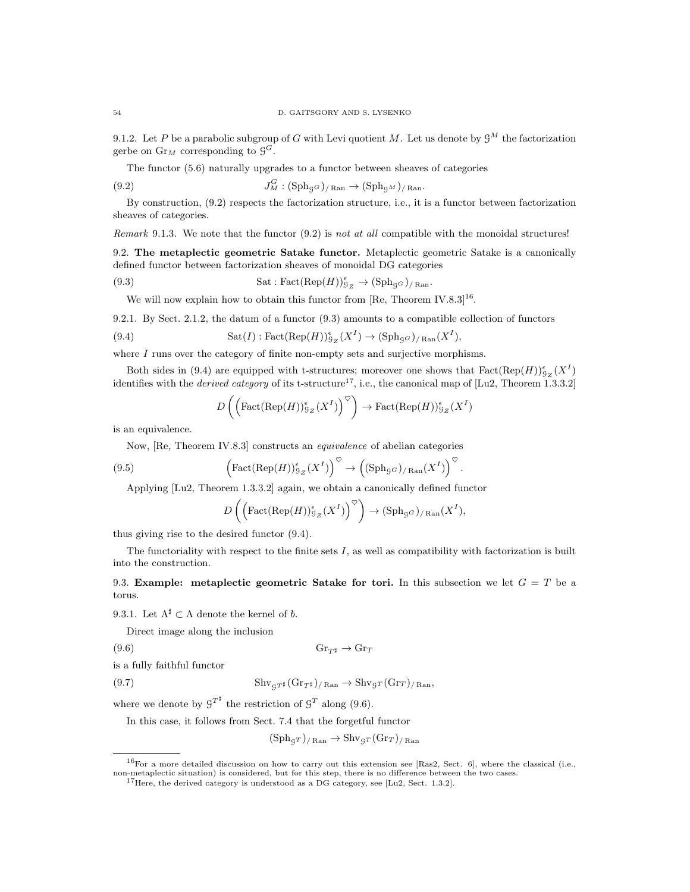9.1.2. Let P be a parabolic subgroup of G with Levi quotient M. Let us denote by  $\mathcal{G}^M$  the factorization gerbe on  $\mathrm{Gr}_M$  corresponding to  $\mathcal{G}^G$ .

The functor (5.6) naturally upgrades to a functor between sheaves of categories

(9.2) 
$$
J_M^G : (\mathrm{Sph}_{G})_{/\mathrm{Ran}} \to (\mathrm{Sph}_{G^M})_{/\mathrm{Ran}}.
$$

By construction, (9.2) respects the factorization structure, i.e., it is a functor between factorization sheaves of categories.

Remark 9.1.3. We note that the functor  $(9.2)$  is not at all compatible with the monoidal structures!

9.2. The metaplectic geometric Satake functor. Metaplectic geometric Satake is a canonically defined functor between factorization sheaves of monoidal DG categories

(9.3) 
$$
Sat: \text{Fact}(\text{Rep}(H))_{\mathcal{G}_Z}^{\epsilon} \to (\text{Sph}_{\mathcal{G}G})_{/\text{Ran}}.
$$

We will now explain how to obtain this functor from  $[Re, Theorem IV.8.3]^{16}$ .

9.2.1. By Sect. 2.1.2, the datum of a functor (9.3) amounts to a compatible collection of functors

(9.4) 
$$
\mathrm{Sat}(I): \mathrm{Fact}(\mathrm{Rep}(H))_{\mathcal{G}_Z}^{\epsilon}(X^I) \to (\mathrm{Sph}_{\mathcal{G}G})_{/\mathrm{Ran}}(X^I),
$$

where  $I$  runs over the category of finite non-empty sets and surjective morphisms.

Both sides in (9.4) are equipped with t-structures; moreover one shows that  $\text{Fact}(\text{Rep}(H))_{\mathcal{G}_Z}^{\epsilon}(X^I)$ identifies with the *derived category* of its t-structure<sup>17</sup>, i.e., the canonical map of [Lu2, Theorem 1.3.3.2]

$$
D\left(\left(\text{Fact}(\text{Rep}(H))\,S_Z(X^I)\right)^\heartsuit\right) \to \text{Fact}(\text{Rep}(H))\,S_Z(X^I)
$$

is an equivalence.

Now, [Re, Theorem IV.8.3] constructs an equivalence of abelian categories

(9.5) 
$$
\left(\text{Fact}(\text{Rep}(H))_{\mathcal{G}_Z}^{\epsilon}(X^I)\right)^{\heartsuit} \to \left((\text{Sph}_{\mathcal{G}^G})_{/\text{Ran}}(X^I)\right)^{\heartsuit}.
$$

Applying [Lu2, Theorem 1.3.3.2] again, we obtain a canonically defined functor

$$
D\left(\left(\text{Fact}(\text{Rep}(H))_{\mathcal{G}_Z}^{\epsilon}(X^I)\right)^{\heartsuit}\right) \to (\text{Sph}_{\mathcal{G}G})_{/\text{Ran}}(X^I),
$$

thus giving rise to the desired functor (9.4).

The functoriality with respect to the finite sets I, as well as compatibility with factorization is built into the construction.

9.3. Example: metaplectic geometric Satake for tori. In this subsection we let  $G = T$  be a torus.

9.3.1. Let  $\Lambda^{\sharp} \subset \Lambda$  denote the kernel of b.

Direct image along the inclusion

is a fully faithful functor

 $(\text{9.6})$  Gr<sub>T</sub><sup>t</sup>  $\rightarrow$  Gr<sub>T</sub><sup>t</sup>

(9.7) 
$$
\mathrm{Shv}_{gT^{\sharp}}(\mathrm{Gr}_{T^{\sharp}})_{/\mathrm{Ran}} \to \mathrm{Shv}_{gT}(\mathrm{Gr}_{T})_{/\mathrm{Ran}},
$$

where we denote by  $\mathcal{G}^{T^{\sharp}}$  the restriction of  $\mathcal{G}^{T}$  along (9.6).

In this case, it follows from Sect. 7.4 that the forgetful functor

$$
(\mathrm{Sph}_{\mathcal{G}^T})_{/\mathrm{Ran}} \to \mathrm{Shv}_{\mathcal{G}^T}(\mathrm{Gr}_T)_{/\mathrm{Ran}}
$$

 $16$ For a more detailed discussion on how to carry out this extension see [Ras2, Sect. 6], where the classical (i.e., non-metaplectic situation) is considered, but for this step, there is no difference between the two cases.

 $17$ Here, the derived category is understood as a DG category, see [Lu2, Sect. 1.3.2].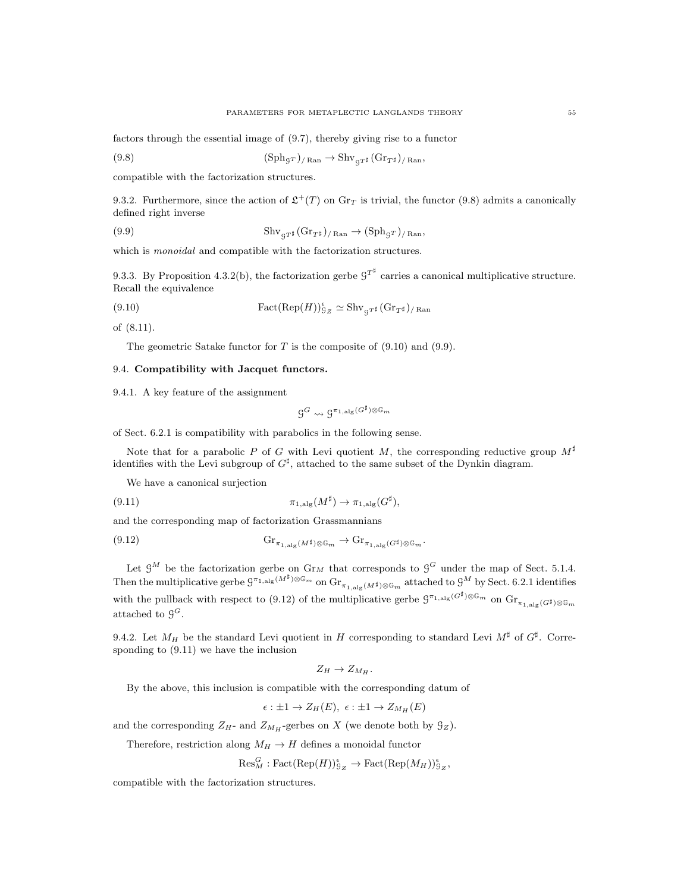factors through the essential image of (9.7), thereby giving rise to a functor

(9.8) 
$$
(\mathrm{Sph}_{\mathcal{G}^T})_{/\mathrm{Ran}} \to \mathrm{Shv}_{\mathcal{G}^T^{\sharp}}(\mathrm{Gr}_{T^{\sharp}})_{/\mathrm{Ran}},
$$

compatible with the factorization structures.

9.3.2. Furthermore, since the action of  $\mathfrak{L}^+(T)$  on  $\text{Gr}_T$  is trivial, the functor (9.8) admits a canonically defined right inverse

(9.9) 
$$
\mathrm{Shv}_{gT^{\sharp}}(\mathrm{Gr}_{T^{\sharp}})_{/\mathrm{Ran}} \to (\mathrm{Sph}_{gT})_{/\mathrm{Ran}},
$$

which is *monoidal* and compatible with the factorization structures.

9.3.3. By Proposition 4.3.2(b), the factorization gerbe  $9^{T^{\sharp}}$  carries a canonical multiplicative structure. Recall the equivalence

(9.10) 
$$
Fact(Rep(H))_{\mathcal{G}_Z}^{\epsilon} \simeq \text{Shv}_{\mathcal{G}^{T^{\sharp}}}(Gr_{T^{\sharp}})_{/ \text{Ran}}
$$

of (8.11).

The geometric Satake functor for  $T$  is the composite of  $(9.10)$  and  $(9.9)$ .

### 9.4. Compatibility with Jacquet functors.

9.4.1. A key feature of the assignment

$$
\mathcal{G}^G \leadsto \mathcal{G}^{\pi_{1,\mathrm{alg}}(G^\sharp) \otimes \mathbb{G}_m}
$$

of Sect. 6.2.1 is compatibility with parabolics in the following sense.

Note that for a parabolic P of G with Levi quotient M, the corresponding reductive group  $M^{\sharp}$ identifies with the Levi subgroup of  $G^{\sharp}$ , attached to the same subset of the Dynkin diagram.

We have a canonical surjection

(9.11) 
$$
\pi_{1,\text{alg}}(M^{\sharp}) \to \pi_{1,\text{alg}}(G^{\sharp}),
$$

and the corresponding map of factorization Grassmannians

(9.12) Gr<sup>π</sup>1,alg(M])⊗G<sup>m</sup> → Gr<sup>π</sup>1,alg(G])⊗G<sup>m</sup> .

Let  $\mathcal{G}^M$  be the factorization gerbe on  $\mathrm{Gr}_M$  that corresponds to  $\mathcal{G}^G$  under the map of Sect. 5.1.4. Then the multiplicative gerbe  $\mathcal{G}^{\pi_{1,\text{alg}}(M^{\sharp})\otimes\mathbb{G}_m}$  on  $\text{Gr}_{\pi_{1,\text{alg}}(M^{\sharp})\otimes\mathbb{G}_m}$  attached to  $\mathcal{G}^M$  by Sect. 6.2.1 identifies with the pullback with respect to (9.12) of the multiplicative gerbe  $\mathcal{G}^{\pi_{1,\text{alg}}(G^{\sharp})\otimes \mathbb{G}_m}$  on  $\text{Gr}_{\pi_{1,\text{alg}}(G^{\sharp})\otimes \mathbb{G}_m}$ attached to  $\mathcal{G}^G$ .

9.4.2. Let  $M_H$  be the standard Levi quotient in H corresponding to standard Levi  $M^{\sharp}$  of  $G^{\sharp}$ . Corresponding to (9.11) we have the inclusion

$$
Z_H \to Z_{M_H}.
$$

By the above, this inclusion is compatible with the corresponding datum of

$$
\epsilon: \pm 1 \to Z_H(E), \ \epsilon: \pm 1 \to Z_{M_H}(E)
$$

and the corresponding  $Z_H$ - and  $Z_{M_H}$ -gerbes on X (we denote both by  $\mathcal{G}_Z$ ).

Therefore, restriction along  $M_H \to H$  defines a monoidal functor

$$
\text{Res}_{M}^{G}:\text{Fact}(\text{Rep}(H))_{\mathcal{G}_{Z}}^{e} \to \text{Fact}(\text{Rep}(M_{H}))_{\mathcal{G}_{Z}}^{e},
$$

compatible with the factorization structures.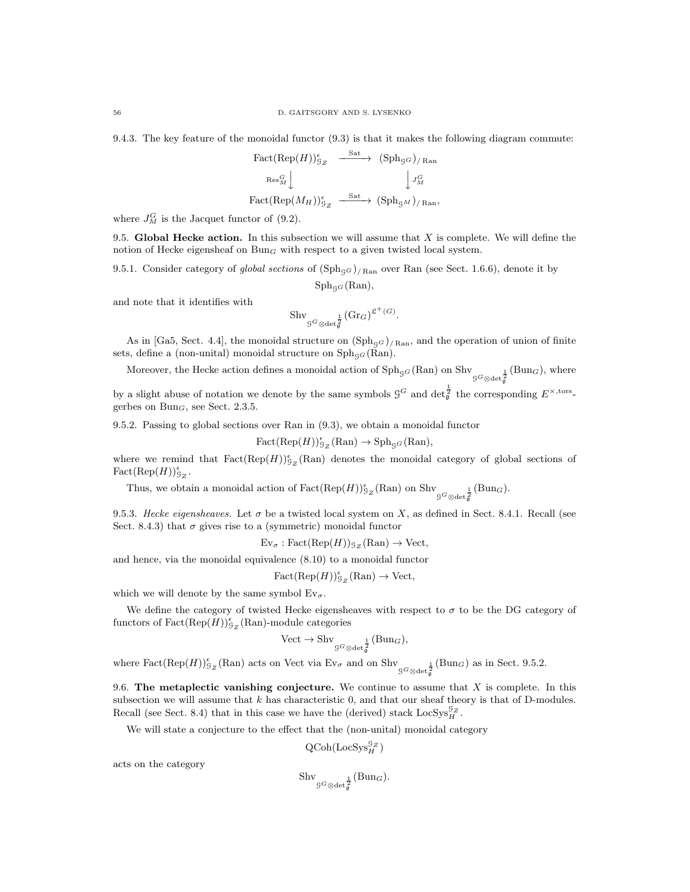9.4.3. The key feature of the monoidal functor (9.3) is that it makes the following diagram commute:

$$
\begin{array}{ccc}\n\text{Fact}(\text{Rep}(H))_{\mathcal{G}_Z}^{\epsilon} & \xrightarrow{\text{Sat}} & (\text{Sph}_{\mathcal{G}G})_{/\text{Ran}} \\
\downarrow^{\mathcal{G}} & & \downarrow^{\mathcal{G}_M} \\
\text{Fact}(\text{Rep}(M_H))_{\mathcal{G}_Z}^{\epsilon} & \xrightarrow{\text{Sat}} & (\text{Sph}_{\mathcal{G}M})_{/\text{Ran}},\n\end{array}
$$

where  $J_M^G$  is the Jacquet functor of (9.2).

9.5. Global Hecke action. In this subsection we will assume that  $X$  is complete. We will define the notion of Hecke eigensheaf on  $Bun_G$  with respect to a given twisted local system.

9.5.1. Consider category of global sections of  $(\text{Sph}_{\text{gg}})_{/\text{Ran}}$  over Ran (see Sect. 1.6.6), denote it by

$$
\mathrm{Sph}_{\mathcal{G}^G}(\mathrm{Ran}),
$$

and note that it identifies with

$$
\mathrm{Shv}_{\mathcal{G}^G \otimes \det_{\mathfrak{g}}^{\frac{1}{2}}}(\mathrm{Gr}_G)^{\mathfrak{L}^+(G)}.
$$

As in [Ga5, Sect. 4.4], the monoidal structure on  $(\text{Sph}_{G})_{/\text{Ran}}$ , and the operation of union of finite sets, define a (non-unital) monoidal structure on  $\text{Sph}_{\text{gg}}(\text{Ran})$ .

Moreover, the Hecke action defines a monoidal action of  $\text{Sph}_{gG}(\text{Ran})$  on  $\text{Sh}_{gG \otimes \text{det}_{g}^{\frac{1}{2}}}(\text{Bun}_G)$ , where

by a slight abuse of notation we denote by the same symbols  $\mathcal{G}^G$  and  $\det_{\mathfrak{g}}^{\frac{1}{2}}$  the corresponding  $E^{\times, \text{tors}}$ gerbes on  $Bun_G$ , see Sect. 2.3.5.

9.5.2. Passing to global sections over Ran in (9.3), we obtain a monoidal functor

$$
Fact(Rep(H))_{9_Z}^{\epsilon}(\text{Ran}) \to \text{Sph}_{\mathcal{G}^G}(\text{Ran}),
$$

where we remind that  $\text{Fact}(\text{Rep}(H))_{\mathcal{G}_Z}^{\epsilon}(\text{Ran})$  denotes the monoidal category of global sections of  $\text{Fact}(\text{Rep}(H))_{\mathfrak{g}_Z}^{\epsilon}.$ 

Thus, we obtain a monoidal action of  $Fact(Rep(H))_{g_Z}^{\epsilon}(\text{Ran})$  on  $\text{Shv}_{g_G \otimes \text{det}_{g}^{\frac{1}{2}}}(\text{Bun}_G)$ .

9.5.3. Hecke eigensheaves. Let  $\sigma$  be a twisted local system on X, as defined in Sect. 8.4.1. Recall (see Sect. 8.4.3) that  $\sigma$  gives rise to a (symmetric) monoidal functor

 $\text{Ev}_{\sigma} : \text{Fact}(\text{Rep}(H))_{\mathcal{G}_Z}(\text{Ran}) \to \text{Vect},$ 

and hence, via the monoidal equivalence (8.10) to a monoidal functor

 $Fact(Rep(H))_{9_Z}^{\epsilon}(\text{Ran}) \to \text{Vect},$ 

which we will denote by the same symbol  $Ev_{\sigma}$ .

We define the category of twisted Hecke eigensheaves with respect to  $\sigma$  to be the DG category of functors of  $\operatorname{Fact}(\operatorname{Rep}(H))_{\mathcal{G}_Z}^{\epsilon}(\operatorname{Ran})$ -module categories

$$
\text{Vect} \to \text{Shv}_{\mathcal{G}^G \otimes \text{det}^{\frac{1}{2}}}(\text{Bun}_G),
$$

where  $\text{Fact}(\text{Rep}(H))_{\mathfrak{G}_Z}^{\epsilon}(\text{Ran})$  acts on Vect via  $\text{Ev}_{\sigma}$  and on  $\text{Shv}_{\mathfrak{G}^G \otimes \text{det}_{\mathfrak{G}}^{\frac{1}{2}}}(\text{Bun}_G)$  as in Sect. 9.5.2.

9.6. The metaplectic vanishing conjecture. We continue to assume that  $X$  is complete. In this subsection we will assume that  $k$  has characteristic 0, and that our sheaf theory is that of D-modules. Recall (see Sect. 8.4) that in this case we have the (derived) stack  $LocSys_H^{g_Z}$ .

We will state a conjecture to the effect that the (non-unital) monoidal category

$$
\operatorname{QCoh}(\operatorname{LocSys}_H^{\mathcal{G}_Z})
$$

acts on the category

$$
\mathrm{Shv}_{\mathcal{G}^G \otimes \det_{\mathfrak{g}}^{\frac{1}{2}}}(\mathrm{Bun}_G).
$$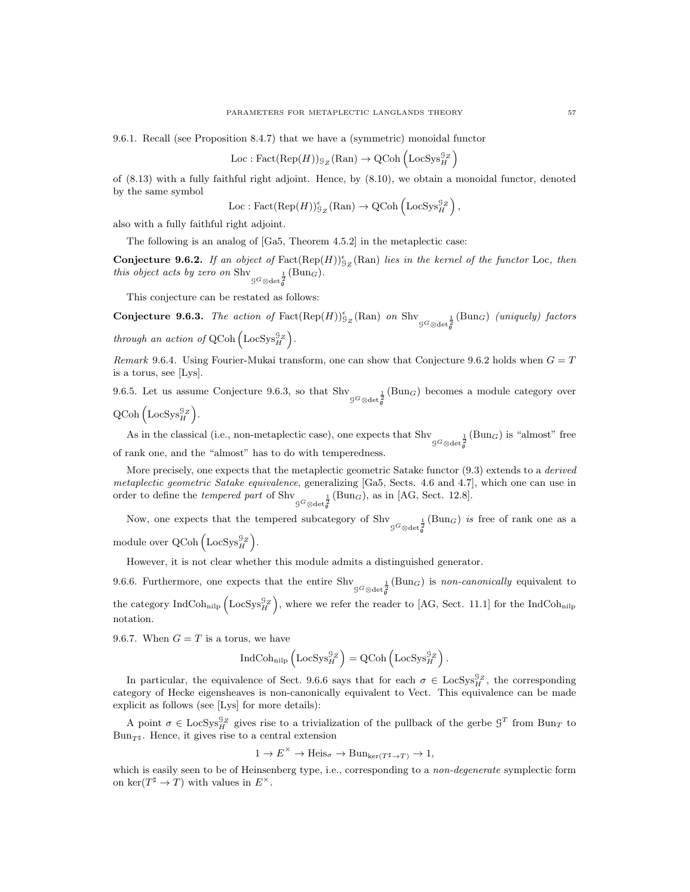9.6.1. Recall (see Proposition 8.4.7) that we have a (symmetric) monoidal functor

$$
Loc: Fact(Rep(H))_{\mathcal{G}_Z}(Ran) \to QCoh \left( LocSys_H^{\mathcal{G}_Z} \right)
$$

of (8.13) with a fully faithful right adjoint. Hence, by (8.10), we obtain a monoidal functor, denoted by the same symbol

$$
\mathrm{Loc} : \mathrm{Fact}(\mathrm{Rep}(H))^\epsilon_{9\,Z}(\mathrm{Ran}) \to \mathrm{QCoh}\left(\mathrm{LocSys}_H^{9\,Z}\right),
$$

also with a fully faithful right adjoint.

The following is an analog of [Ga5, Theorem 4.5.2] in the metaplectic case:

**Conjecture 9.6.2.** If an object of  $\text{Fact}(\text{Rep}(H))_{2z}^{\epsilon}(\text{Ran})$  lies in the kernel of the functor Loc, then this object acts by zero on  $\text{Shv}_{\mathcal{G}^G \otimes \text{det}_{\mathfrak{g}}^{\frac{1}{2}}}(\text{Bun}_G)$ .

This conjecture can be restated as follows:

**Conjecture 9.6.3.** The action of  $\text{Fact}(\text{Rep}(H))_{2z}^{\epsilon}(\text{Ran})$  on  $\text{Shv}_{G^G \otimes \text{det}_{\mathfrak{g}}^{\frac{1}{2}}}(\text{Bun}_G)$  (uniquely) factors through an action of QCoh  $(\text{LocSys}_{H}^{\mathcal{G}_Z})$ .

Remark 9.6.4. Using Fourier-Mukai transform, one can show that Conjecture 9.6.2 holds when  $G = T$ is a torus, see [Lys].

9.6.5. Let us assume Conjecture 9.6.3, so that  $\text{Shv}_{\mathcal{G}^G \otimes \text{det}_{\mathfrak{g}}^{\mathfrak{g}}}^{\mathfrak{g}}(\text{Bun}_G)$  becomes a module category over

 $\text{QCoh}\left(\text{LocSys}_{H}^{\mathcal{G}_Z}\right)$ .

As in the classical (i.e., non-metaplectic case), one expects that Shv  $g_{G \otimes \text{det}_{g}^{\frac{1}{2}}}(\text{Bun}_G)$  is "almost" free of rank one, and the "almost" has to do with temperedness.

More precisely, one expects that the metaplectic geometric Satake functor  $(9.3)$  extends to a *derived* metaplectic geometric Satake equivalence, generalizing [Ga5, Sects. 4.6 and 4.7], which one can use in order to define the *tempered part* of Shv<sub> $G^G \otimes \det_{\mathfrak{g}}^{\mathfrak{g}}$  (Bun<sub>G</sub>), as in [AG, Sect. 12.8].</sub>

Now, one expects that the tempered subcategory of Shv  $G^G \otimes \det_{\mathfrak{g}}^{\frac{1}{2}}$  (Bun<sub>G</sub>) is free of rank one as a module over  $\text{QCoh}\left(\text{LocSys}_{H}^{\text{G}_Z}\right)$ .

However, it is not clear whether this module admits a distinguished generator.

9.6.6. Furthermore, one expects that the entire  $\text{Shv}_{\mathcal{G}^G \otimes \text{det}_{g}^{\mathcal{G}}}(\text{Bun}_G)$  is non-canonically equivalent to the category  $\text{IndCoh}_{\text{nilp}}\left(\text{LocSys}_{H}^{\mathcal{G}_Z}\right)$ , where we refer the reader to [AG, Sect. 11.1] for the IndCoh<sub>nilp</sub>

notation.

9.6.7. When  $G = T$  is a torus, we have

$$
\operatorname{IndCoh}_{\operatorname{nilp}}\left(\operatorname{LocSys}_{H}^{\mathcal{G}_Z}\right) = \operatorname{QCoh}\left(\operatorname{LocSys}_{H}^{\mathcal{G}_Z}\right).
$$

In particular, the equivalence of Sect. 9.6.6 says that for each  $\sigma \in \text{LocSys}_{H}^{G}$ , the corresponding category of Hecke eigensheaves is non-canonically equivalent to Vect. This equivalence can be made explicit as follows (see [Lys] for more details):

A point  $\sigma \in \text{LocSys}_{H}^{\mathcal{G}_Z}$  gives rise to a trivialization of the pullback of the gerbe  $\mathcal{G}^T$  from  $\text{Bun}_T$  to  $\mathrm{Bun}_{T^\sharp}.$  Hence, it gives rise to a central extension

$$
1 \to E^{\times} \to \text{Heis}_{\sigma} \to \text{Bun}_{\text{ker}(T^{\sharp} \to T)} \to 1,
$$

which is easily seen to be of Heinsenberg type, i.e., corresponding to a non-degenerate symplectic form on ker $(T^{\sharp} \to T)$  with values in  $E^{\times}$ .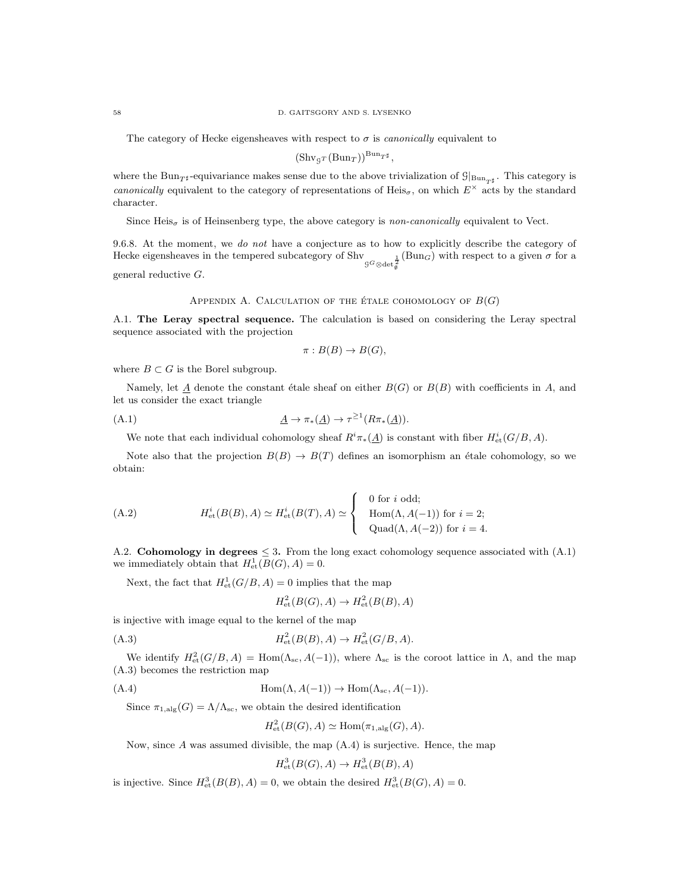The category of Hecke eigensheaves with respect to  $\sigma$  is *canonically* equivalent to

 $(\text{Shv}_{\mathcal{G}^T}(\text{Bun}_T))^{\text{Bun}}_{T^{\sharp}},$ 

where the Bun<sub>T<sup>#</sup></sub>-equivariance makes sense due to the above trivialization of  $\mathcal{G}_{\vert \text{Bun}_{T^{\sharp}}}$ . This category is canonically equivalent to the category of representations of Heis<sub>σ</sub>, on which  $E^{\times}$  acts by the standard character.

Since  $Heis_{\sigma}$  is of Heinsenberg type, the above category is non-canonically equivalent to Vect.

9.6.8. At the moment, we do not have a conjecture as to how to explicitly describe the category of Hecke eigensheaves in the tempered subcategory of Shv<sub>g</sub> $G_{\otimes \det_{\mathfrak{g}}^{\mathfrak{g}}}^{\mathfrak{g}}(\text{Bun}_G)$  with respect to a given  $\sigma$  for a general reductive G.

# APPENDIX A. CALCULATION OF THE ÉTALE COHOMOLOGY OF  $B(G)$

A.1. The Leray spectral sequence. The calculation is based on considering the Leray spectral sequence associated with the projection

$$
\pi: B(B) \to B(G),
$$

where  $B \subset G$  is the Borel subgroup.

Namely, let  $\underline{A}$  denote the constant étale sheaf on either  $B(G)$  or  $B(B)$  with coefficients in A, and let us consider the exact triangle

$$
\underline{A} \to \pi_*(\underline{A}) \to \tau^{\geq 1}(R\pi_*(\underline{A})).
$$

We note that each individual cohomology sheaf  $R^i \pi_*(\underline{A})$  is constant with fiber  $H^i_{\text{et}}(G/B, A)$ .

Note also that the projection  $B(B) \to B(T)$  defines an isomorphism an étale cohomology, so we obtain:

(A.2) 
$$
H_{\mathrm{et}}^{i}(B(B), A) \simeq H_{\mathrm{et}}^{i}(B(T), A) \simeq \begin{cases} 0 \text{ for } i \text{ odd}; \\ \text{Hom}(\Lambda, A(-1)) \text{ for } i = 2; \\ \text{Quad}(\Lambda, A(-2)) \text{ for } i = 4. \end{cases}
$$

A.2. Cohomology in degrees  $\leq$  3. From the long exact cohomology sequence associated with (A.1) we immediately obtain that  $H^1_{\text{\rm et}}(B(G),A)=0$ .

Next, the fact that  $H^1_{\text{et}}(G/B, A) = 0$  implies that the map

H

$$
H^2_{\text{et}}(B(G), A) \to H^2_{\text{et}}(B(B), A)
$$

is injective with image equal to the kernel of the map

(A.3) 
$$
H_{\text{et}}^2(B(B), A) \to H_{\text{et}}^2(G/B, A).
$$

We identify  $H^2_{\text{et}}(G/B, A) = \text{Hom}(\Lambda_{\text{sc}}, A(-1)),$  where  $\Lambda_{\text{sc}}$  is the coroot lattice in  $\Lambda$ , and the map (A.3) becomes the restriction map

(A.4) Hom(Λ, A(−1)) → Hom(Λsc, A(−1)).

Since  $\pi_{1,\mathrm{alg}}(G)=\Lambda/\Lambda_{\mathrm{sc}},$  we obtain the desired identification

$$
H^2_{\text{et}}(B(G), A) \simeq \text{Hom}(\pi_{1, \text{alg}}(G), A).
$$

Now, since  $A$  was assumed divisible, the map  $(A.4)$  is surjective. Hence, the map

$$
H^3_{\text{et}}(B(G), A) \to H^3_{\text{et}}(B(B), A)
$$

is injective. Since  $H^3_{\text{\rm et}}(B(B), A) = 0$ , we obtain the desired  $H^3_{\text{\rm et}}(B(G), A) = 0$ .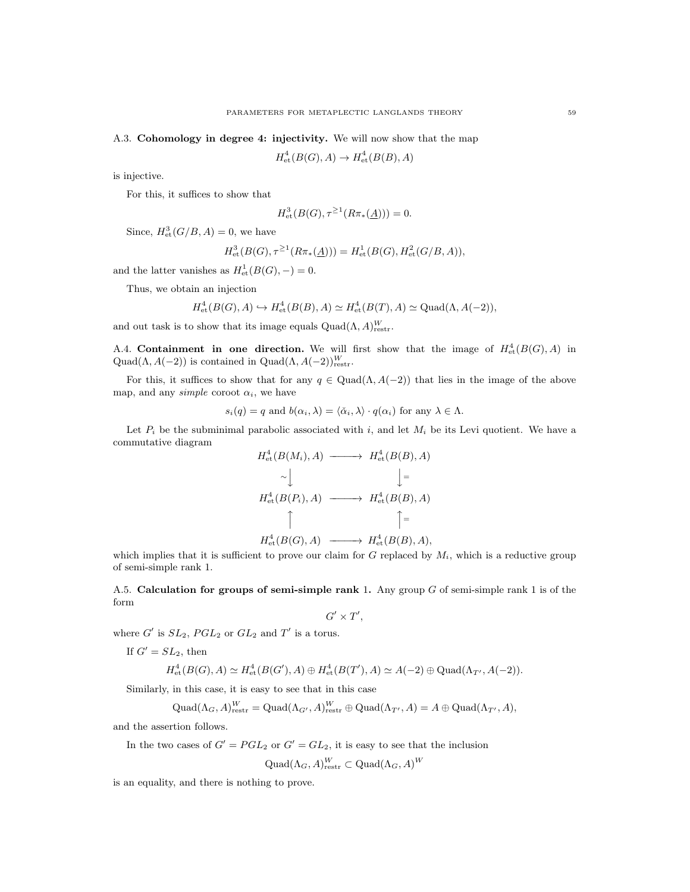A.3. Cohomology in degree 4: injectivity. We will now show that the map

$$
H^4_{\text{et}}(B(G), A) \to H^4_{\text{et}}(B(B), A)
$$

is injective.

For this, it suffices to show that

$$
H^3_{\text{et}}(B(G), \tau^{\geq 1}(R\pi_*(\underline{A}))) = 0.
$$

Since,  $H^3_{\text{\rm et}}(G/B, A) = 0$ , we have

$$
H_{\mathrm{et}}^{3}(B(G), \tau^{\geq 1}(R\pi_{*}(\underline{A}))) = H_{\mathrm{et}}^{1}(B(G), H_{\mathrm{et}}^{2}(G/B, A)),
$$

and the latter vanishes as  $H^1_{\text{\rm et}}(B(G),-) = 0$ .

Thus, we obtain an injection

$$
H_{\mathrm{et}}^4(B(G), A) \hookrightarrow H_{\mathrm{et}}^4(B(B), A) \simeq H_{\mathrm{et}}^4(B(T), A) \simeq \mathrm{Quad}(\Lambda, A(-2)),
$$

and out task is to show that its image equals  $\text{Quad}(\Lambda, A)_{\text{restr}}^W$ .

A.4. Containment in one direction. We will first show that the image of  $H^4_{\text{et}}(B(G), A)$  in Quad( $\Lambda$ ,  $A(-2)$ ) is contained in Quad( $\Lambda$ ,  $A(-2)$ ) $_{\text{restr}}^W$ .

For this, it suffices to show that for any  $q \in \text{Quad}(\Lambda, A(-2))$  that lies in the image of the above map, and any *simple* coroot  $\alpha_i$ , we have

$$
s_i(q) = q
$$
 and  $b(\alpha_i, \lambda) = \langle \check{\alpha}_i, \lambda \rangle \cdot q(\alpha_i)$  for any  $\lambda \in \Lambda$ .

Let  $P_i$  be the subminimal parabolic associated with i, and let  $M_i$  be its Levi quotient. We have a commutative diagram

$$
H_{\text{et}}^{4}(B(M_{i}), A) \longrightarrow H_{\text{et}}^{4}(B(B), A)
$$
  
\n
$$
\sim \bigcup_{\text{det}} \bigcup_{\text{det}} \bigcup_{\text{det}} \bigcup_{\text{det}} \bigcup_{\text{det}} \bigcap_{\text{det}} \bigcap_{\text{det}} \bigcap_{\text{det}} \bigcap_{\text{det}} \bigcap_{\text{det}} \bigcap_{\text{det}} \bigcap_{\text{det}} \bigcap_{\text{det}} \bigcap_{\text{det}} \bigcap_{\text{det}} \bigcap_{\text{det}} \bigcap_{\text{det}} \bigcap_{\text{det}} \bigcap_{\text{det}} \bigcap_{\text{det}} \bigcap_{\text{det}} \bigcap_{\text{det}} \bigcap_{\text{det}} \bigcap_{\text{det}} \bigcap_{\text{det}} \bigcap_{\text{det}} \bigcap_{\text{det}} \bigcap_{\text{det}} \bigcap_{\text{det}} \bigcap_{\text{det}} \bigcap_{\text{det}} \bigcap_{\text{det}} \bigcap_{\text{det}} \bigcap_{\text{det}} \bigcap_{\text{det}} \bigcap_{\text{det}} \bigcap_{\text{det}} \bigcap_{\text{det}} \bigcap_{\text{det}} \bigcap_{\text{det}} \bigcap_{\text{det}} \bigcap_{\text{det}} \bigcap_{\text{det}} \bigcap_{\text{det}} \bigcap_{\text{det}} \bigcap_{\text{det}} \bigcap_{\text{det}} \bigcap_{\text{det}} \bigcap_{\text{det}} \bigcap_{\text{det}} \bigcap_{\text{det}} \bigcap_{\text{det}} \bigcap_{\text{det}} \bigcap_{\text{det}} \bigcap_{\text{det}} \bigcap_{\text{det}} \bigcap_{\text{det}} \bigcap_{\text{det}} \bigcap_{\text{det}} \bigcap_{\text{det}} \bigcap_{\text{det}} \bigcap_{\text{det}} \bigcap_{\text{det}} \bigcap_{\text{det}} \bigcap_{\text{det}} \bigcap_{\text{det}} \bigcap_{\text{det}} \bigcap_{\text{det}} \bigcap_{\text{det}} \bigcap_{\text{det}} \bigcap_{\text{det}} \bigcap_{\text{det}} \bigcap_{\text{det}} \bigcap_{\text{det}} \bigcap_{\text{det}} \bigcap_{\text{det}} \bigcap_{\text{det}} \bigcap_{\text{det}} \bigcap_{\text{det}} \big
$$

which implies that it is sufficient to prove our claim for G replaced by  $M_i$ , which is a reductive group of semi-simple rank 1.

A.5. Calculation for groups of semi-simple rank 1. Any group  $G$  of semi-simple rank 1 is of the form

$$
G' \times T',
$$

where  $G'$  is  $SL_2$ ,  $PGL_2$  or  $GL_2$  and  $T'$  is a torus.

If  $G' = SL_2$ , then

$$
H^4_{\text{et}}(B(G), A) \simeq H^4_{\text{et}}(B(G'), A) \oplus H^4_{\text{et}}(B(T'), A) \simeq A(-2) \oplus \text{Quad}(\Lambda_{T'}, A(-2)).
$$

Similarly, in this case, it is easy to see that in this case

$$
\mathrm{Quad}(\Lambda_G, A)^W_\mathrm{restr} = \mathrm{Quad}(\Lambda_{G'}, A)^W_\mathrm{restr} \oplus \mathrm{Quad}(\Lambda_{T'}, A) = A \oplus \mathrm{Quad}(\Lambda_{T'}, A),
$$

and the assertion follows.

In the two cases of  $G' = PGL_2$  or  $G' = GL_2$ , it is easy to see that the inclusion

 $\mathrm{Quad}(\Lambda_G, A)^W_{\mathrm{restr}} \subset \mathrm{Quad}(\Lambda_G, A)^W$ 

is an equality, and there is nothing to prove.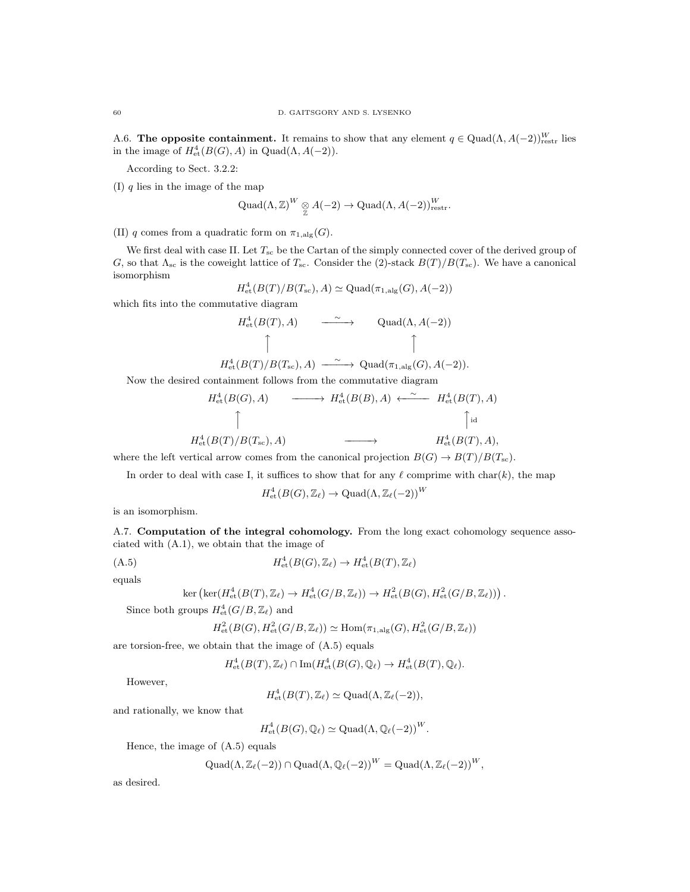A.6. The opposite containment. It remains to show that any element  $q \in \text{Quad}(\Lambda, A(-2))_{\text{restr}}^W$  lies in the image of  $H^4_{\text{et}}(B(G), A)$  in  $\text{Quad}(\Lambda, A(-2)).$ 

According to Sect. 3.2.2:

(I)  $q$  lies in the image of the map

$$
Quad( $\Lambda, \mathbb{Z})^W \underset{\mathbb{Z}}{\otimes} A(-2) \to Quad( $\Lambda, A(-2)$ )_{\text{restr}}^W.$
$$

(II) q comes from a quadratic form on  $\pi_{1,\text{alg}}(G)$ .

We first deal with case II. Let  $T_{sc}$  be the Cartan of the simply connected cover of the derived group of G, so that  $\Lambda_{\rm sc}$  is the coweight lattice of  $T_{\rm sc}$ . Consider the (2)-stack  $B(T)/B(T_{\rm sc})$ . We have a canonical isomorphism

$$
H^4_{\text{et}}(B(T)/B(T_{\text{sc}}), A) \simeq \text{Quad}(\pi_{1, \text{alg}}(G), A(-2))
$$

which fits into the commutative diagram

$$
H_{\text{et}}^{4}(B(T), A) \longrightarrow \text{Quad}(\Lambda, A(-2))
$$
  
\n
$$
\uparrow \qquad \qquad \uparrow
$$
  
\n
$$
H_{\text{et}}^{4}(B(T)/B(T_{\text{sc}}), A) \longrightarrow \text{Quad}(\pi_{1, \text{alg}}(G), A(-2)).
$$

Now the desired containment follows from the commutative diagram

$$
H_{\text{et}}^{4}(B(G), A) \longrightarrow H_{\text{et}}^{4}(B(B), A) \longleftarrow \sim H_{\text{et}}^{4}(B(T), A)
$$
\n
$$
\uparrow \qquad \qquad \uparrow \qquad \qquad \downarrow
$$
\n
$$
H_{\text{et}}^{4}(B(T)/B(T_{\text{sc}}), A) \longrightarrow H_{\text{et}}^{4}(B(T), A),
$$

where the left vertical arrow comes from the canonical projection  $B(G) \to B(T)/B(T_{sc})$ .

In order to deal with case I, it suffices to show that for any  $\ell$  comprime with char(k), the map

$$
H^4_{\text{\rm et}}(B(G),{{\mathbb Z}}_{\ell})\to {\rm Quad}(\Lambda,{{\mathbb Z}}_{\ell}(-2))^W
$$

is an isomorphism.

A.7. Computation of the integral cohomology. From the long exact cohomology sequence associated with (A.1), we obtain that the image of

$$
(A.5) \tH4et(B(G), \mathbb{Z}_{\ell}) \to H4et(B(T), \mathbb{Z}_{\ell})
$$

equals

$$
\ker\left(\ker(H_{\mathrm{et}}^4(B(T),\mathbb{Z}_\ell)\to H_{\mathrm{et}}^4(G/B,\mathbb{Z}_\ell)\right)\to H_{\mathrm{et}}^2(B(G),H_{\mathrm{et}}^2(G/B,\mathbb{Z}_\ell))\right)
$$

Since both groups  $H^4_{\text{\rm et}}(G/B,{{\mathbb Z}}_{\ell})$  and

$$
H^2_{\text{et}}(B(G), H^2_{\text{et}}(G/B, \mathbb{Z}_\ell)) \simeq \text{Hom}(\pi_{1,\text{alg}}(G), H^2_{\text{et}}(G/B, \mathbb{Z}_\ell))
$$

.

are torsion-free, we obtain that the image of (A.5) equals

$$
H^4_{\text{et}}(B(T), \mathbb{Z}_\ell) \cap \text{Im}(H^4_{\text{et}}(B(G), \mathbb{Q}_\ell) \to H^4_{\text{et}}(B(T), \mathbb{Q}_\ell).
$$

However,

$$
H^4_{\text{et}}(B(T), \mathbb{Z}_{\ell}) \simeq \text{Quad}(\Lambda, \mathbb{Z}_{\ell}(-2)),
$$

and rationally, we know that

 $H^4_{\text{\rm et}}(B(G),\mathbb Q_\ell)\simeq \text{Quad}(\Lambda,\mathbb Q_\ell(-2))^W.$ 

Hence, the image of (A.5) equals

$$
\mathrm{Quad}(\Lambda, \mathbb{Z}_{\ell}(-2)) \cap \mathrm{Quad}(\Lambda, \mathbb{Q}_{\ell}(-2))^W = \mathrm{Quad}(\Lambda, \mathbb{Z}_{\ell}(-2))^W,
$$

as desired.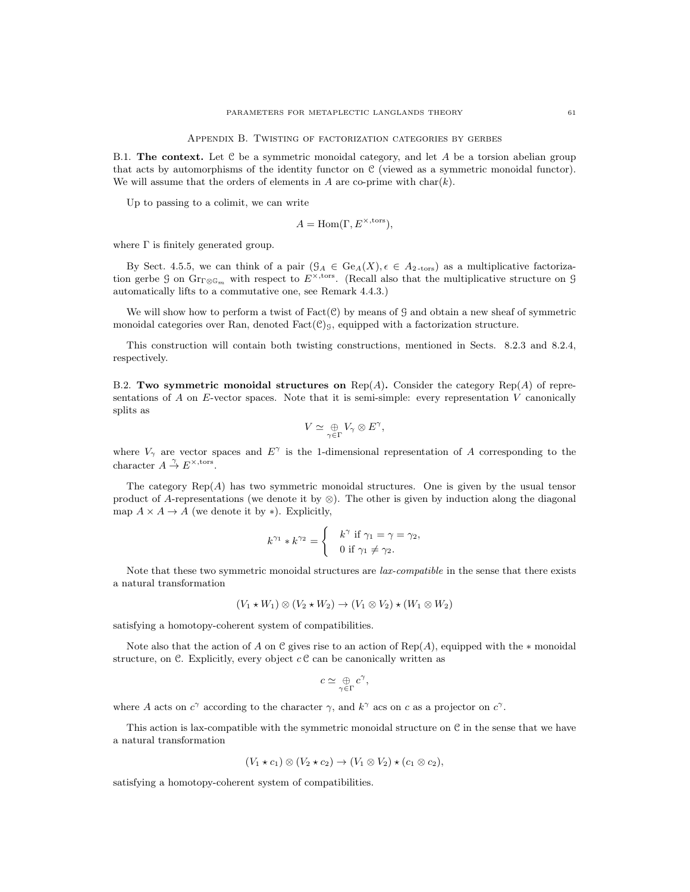Appendix B. Twisting of factorization categories by gerbes

B.1. The context. Let  $C$  be a symmetric monoidal category, and let A be a torsion abelian group that acts by automorphisms of the identity functor on C (viewed as a symmetric monoidal functor). We will assume that the orders of elements in A are co-prime with  $char(k)$ .

Up to passing to a colimit, we can write

$$
A = \text{Hom}(\Gamma, E^{\times, \text{tors}}),
$$

where  $\Gamma$  is finitely generated group.

By Sect. 4.5.5, we can think of a pair  $(\mathcal{G}_A \in \text{Ge}_A(X), \epsilon \in A_{2\text{-tors}})$  as a multiplicative factorization gerbe G on  $\text{Gr}_{\Gamma \otimes \mathbb{G}_m}$  with respect to  $E^{\times, \text{tors}}$ . (Recall also that the multiplicative structure on G automatically lifts to a commutative one, see Remark 4.4.3.)

We will show how to perform a twist of  $Fact(\mathcal{C})$  by means of G and obtain a new sheaf of symmetric monoidal categories over Ran, denoted  $Fact(C)<sub>9</sub>$ , equipped with a factorization structure.

This construction will contain both twisting constructions, mentioned in Sects. 8.2.3 and 8.2.4, respectively.

B.2. Two symmetric monoidal structures on  $\text{Rep}(A)$ . Consider the category  $\text{Rep}(A)$  of representations of A on E-vector spaces. Note that it is semi-simple: every representation  $V$  canonically splits as

$$
V \simeq \mathop{\oplus}_{\gamma \in \Gamma} V_{\gamma} \otimes E^{\gamma},
$$

where  $V_{\gamma}$  are vector spaces and  $E^{\gamma}$  is the 1-dimensional representation of A corresponding to the character  $A \stackrel{\gamma}{\rightarrow} E^{\times, \text{tors}}$ .

The category  $\text{Rep}(A)$  has two symmetric monoidal structures. One is given by the usual tensor product of A-representations (we denote it by  $\otimes$ ). The other is given by induction along the diagonal map  $A \times A \rightarrow A$  (we denote it by \*). Explicitly,

$$
k^{\gamma_1} * k^{\gamma_2} = \begin{cases} k^{\gamma} & \text{if } \gamma_1 = \gamma = \gamma_2, \\ 0 & \text{if } \gamma_1 \neq \gamma_2. \end{cases}
$$

Note that these two symmetric monoidal structures are *lax-compatible* in the sense that there exists a natural transformation

$$
(V_1 \star W_1) \otimes (V_2 \star W_2) \to (V_1 \otimes V_2) \star (W_1 \otimes W_2)
$$

satisfying a homotopy-coherent system of compatibilities.

Note also that the action of A on C gives rise to an action of  $Rep(A)$ , equipped with the  $*$  monoidal structure, on C. Explicitly, every object  $c \, \mathcal{C}$  can be canonically written as

$$
c\simeq \mathop{\oplus}_{\gamma\in\Gamma}c^{\gamma},
$$

where A acts on  $c^{\gamma}$  according to the character  $\gamma$ , and  $k^{\gamma}$  acs on c as a projector on  $c^{\gamma}$ .

This action is lax-compatible with the symmetric monoidal structure on  $\mathcal C$  in the sense that we have a natural transformation

$$
(V_1 \star c_1) \otimes (V_2 \star c_2) \to (V_1 \otimes V_2) \star (c_1 \otimes c_2),
$$

satisfying a homotopy-coherent system of compatibilities.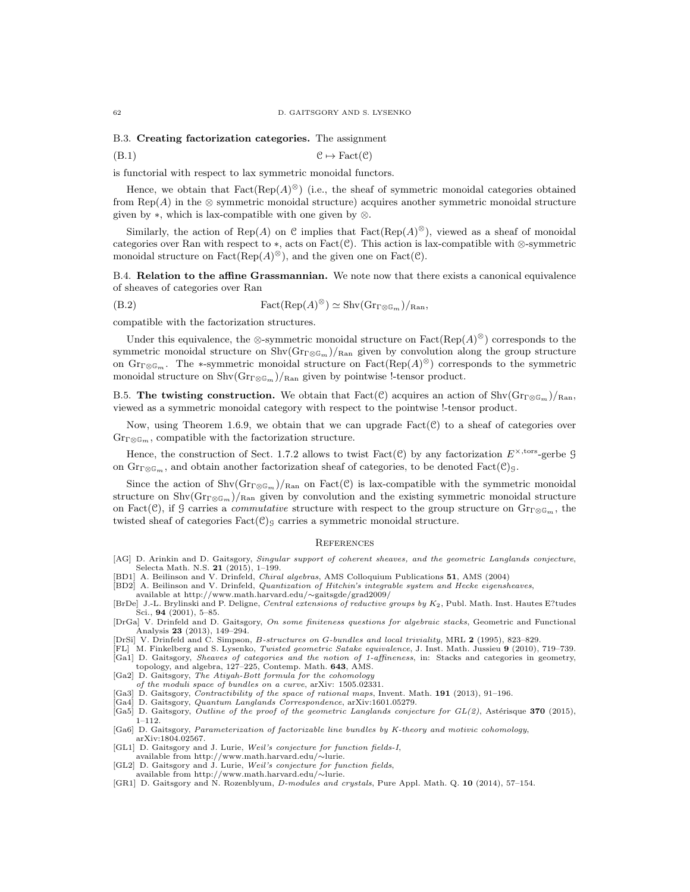#### B.3. Creating factorization categories. The assignment

(B.1) C 7→ Fact(C)

is functorial with respect to lax symmetric monoidal functors.

Hence, we obtain that  $Fact(Rep(A)^{\otimes})$  (i.e., the sheaf of symmetric monoidal categories obtained from Rep(A) in the  $\otimes$  symmetric monoidal structure) acquires another symmetric monoidal structure given by  $\ast$ , which is lax-compatible with one given by  $\otimes$ .

Similarly, the action of Rep(A) on C implies that  $Fact(Rep(A)^{\otimes})$ , viewed as a sheaf of monoidal categories over Ran with respect to  $\ast$ , acts on Fact(C). This action is lax-compatible with ⊗-symmetric monoidal structure on  $Fact(Rep(A)^{\otimes})$ , and the given one on  $Fact(\mathcal{C})$ .

B.4. Relation to the affine Grassmannian. We note now that there exists a canonical equivalence of sheaves of categories over Ran

(B.2) 
$$
Fact(Rep(A)^{\otimes}) \simeq Shv(Gr_{\Gamma \otimes \mathbb{G}_m})/_{\text{Ran}},
$$

compatible with the factorization structures.

Under this equivalence, the ⊗-symmetric monoidal structure on  $Fact(Rep(A)^{\otimes})$  corresponds to the symmetric monoidal structure on  $\text{Shv}(\text{Gr}_{\Gamma\otimes\mathbb{G}_m})/_{\text{Ran}}$  given by convolution along the group structure on  $\operatorname{Gr}_{\Gamma\otimes\mathbb{G}_m}$ . The \*-symmetric monoidal structure on  $\operatorname{Fact}(\operatorname{Rep}(A)^{\otimes})$  corresponds to the symmetric monoidal structure on  $\text{Shv}(\text{Gr}_{\Gamma\otimes\mathbb{G}_m})/_{\text{Ran}}$  given by pointwise !-tensor product.

B.5. The twisting construction. We obtain that Fact(C) acquires an action of Shv $(\text{Gr}_{\mathbb{C}\otimes \mathbb{G}_m})/\text{Ran}$ , viewed as a symmetric monoidal category with respect to the pointwise !-tensor product.

Now, using Theorem 1.6.9, we obtain that we can upgrade  $Fact(\mathcal{C})$  to a sheaf of categories over  $\mathrm{Gr}_{\Gamma\otimes\mathbb{G}_m}$ , compatible with the factorization structure.

Hence, the construction of Sect. 1.7.2 allows to twist  $Fact(\mathcal{C})$  by any factorization  $E^{\times, \text{tors}}$ -gerbe  $\mathcal{G}$ on  $\text{Gr}_{\Gamma \otimes \mathbb{G}_m}$ , and obtain another factorization sheaf of categories, to be denoted  $\text{Fact}(\mathcal{C})_9$ .

Since the action of  $\text{Shv}(Gr_{\text{TCG}_m})_{\text{Ran}}$  on  $\text{Fact}(\mathcal{C})$  is lax-compatible with the symmetric monoidal structure on Shv $(\text{Gr}_{\Gamma\otimes \mathbb{G}_m})/_{\text{Ran}}$  given by convolution and the existing symmetric monoidal structure on Fact(C), if G carries a *commutative* structure with respect to the group structure on  $\mathrm{Gr}_{\mathbb{F}\otimes\mathbb{G}_m}$ , the twisted sheaf of categories  $Fact(\mathcal{C})_g$  carries a symmetric monoidal structure.

#### **REFERENCES**

- [AG] D. Arinkin and D. Gaitsgory, Singular support of coherent sheaves, and the geometric Langlands conjecture, Selecta Math. N.S. 21 (2015), 1-199.
- [BD1] A. Beilinson and V. Drinfeld, Chiral algebras, AMS Colloquium Publications 51, AMS (2004)
- [BD2] A. Beilinson and V. Drinfeld, Quantization of Hitchin's integrable system and Hecke eigensheaves,

available at http://www.math.harvard.edu/∼gaitsgde/grad2009/

- [BrDe] J.-L. Brylinski and P. Deligne, Central extensions of reductive groups by  $K_2$ , Publ. Math. Inst. Hautes E?tudes Sci., 94 (2001), 5–85. [DrGa] V. Drinfeld and D. Gaitsgory, On some finiteness questions for algebraic stacks, Geometric and Functional
- Analysis 23 (2013), 149–294.<br>
[DrSi] V. Drinfeld and C. Simpson, *B-structures on G-bundles and local triviality*, MRL 2 (1995), 823–829.
- 
- [FL] M. Finkelberg and S. Lysenko, Twisted geometric Satake equivalence, J. Inst. Math. Jussieu 9 (2010), 719–739.

[Ga1] D. Gaitsgory, Sheaves of categories and the notion of 1-affineness, in: Stacks and categories in geometry, topology, and algebra, 127–225, Contemp. Math. 643, AMS.

- [Ga2] D. Gaitsgory, The Atiyah-Bott formula for the cohomology
- of the moduli space of bundles on a curve, arXiv: 1505.02331.
- [Ga3] D. Gaitsgory, *Contractibility of the space of rational maps*, Invent. Math. 191 (2013), 91-196.
- [Ga4] D. Gaitsgory, Quantum Langlands Correspondence, arXiv:1601.05279.  $[Ga5]$  D. Gaitsgory, Outline of the proof of the geometric Langlands conjecture for  $GL(2)$ , Astérisque 370 (2015), 1–112.
- [Ga6] D. Gaitsgory, Parameterization of factorizable line bundles by K-theory and motivic cohomology, arXiv:1804.02567.
- [GL1] D. Gaitsgory and J. Lurie, Weil's conjecture for function fields-I,
- available from http://www.math.harvard.edu/∼lurie. [GL2] D. Gaitsgory and J. Lurie, Weil's conjecture for function fields,
- 
- available from http://www.math.harvard.edu/∼lurie. [GR1] D. Gaitsgory and N. Rozenblyum, D-modules and crystals, Pure Appl. Math. Q. 10 (2014), 57–154.